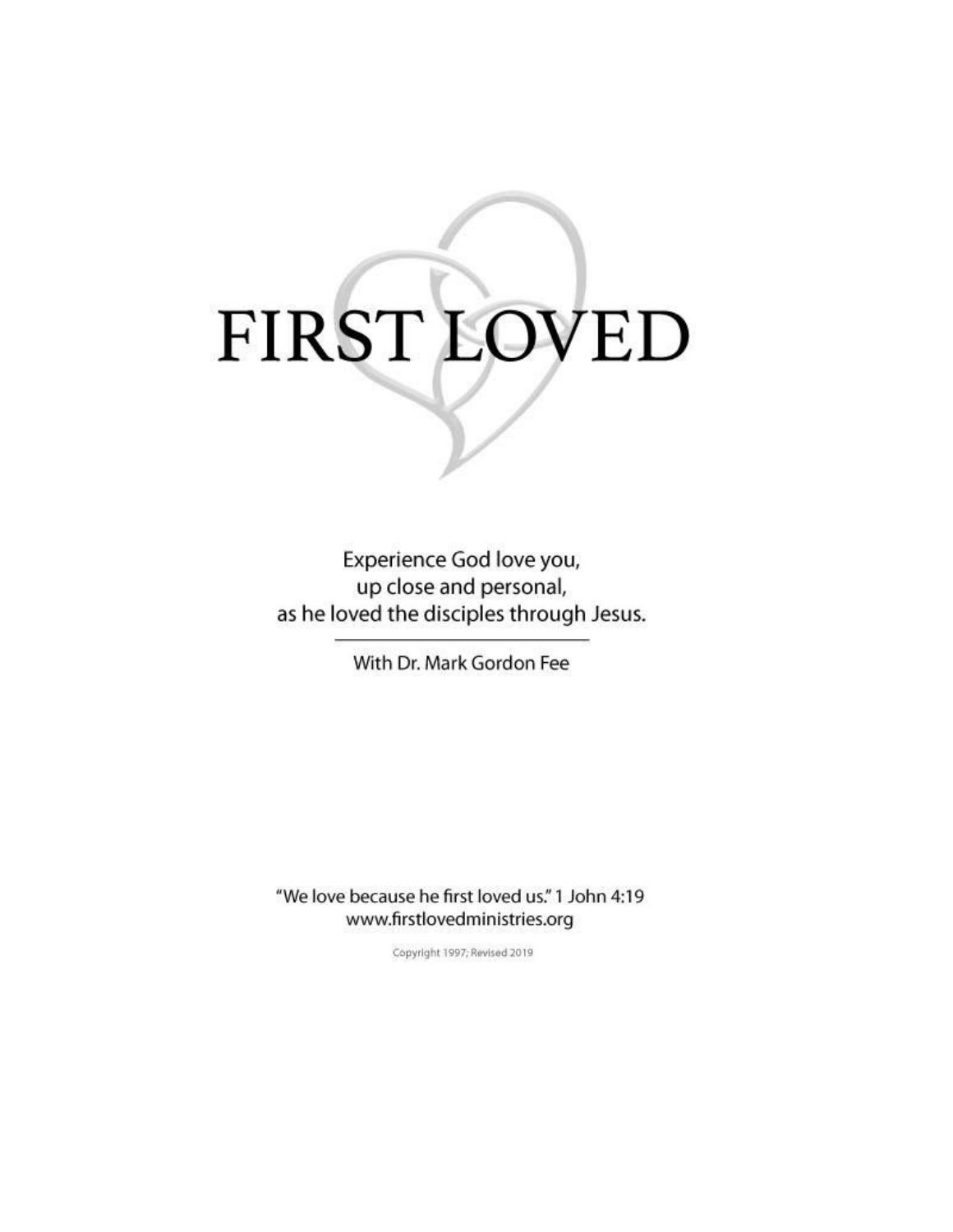# FIRST LOVED

Experience God love you, up close and personal, as he loved the disciples through Jesus.

With Dr. Mark Gordon Fee

"We love because he first loved us." 1 John 4:19 www.firstlovedministries.org

Copyright 1997; Revised 2019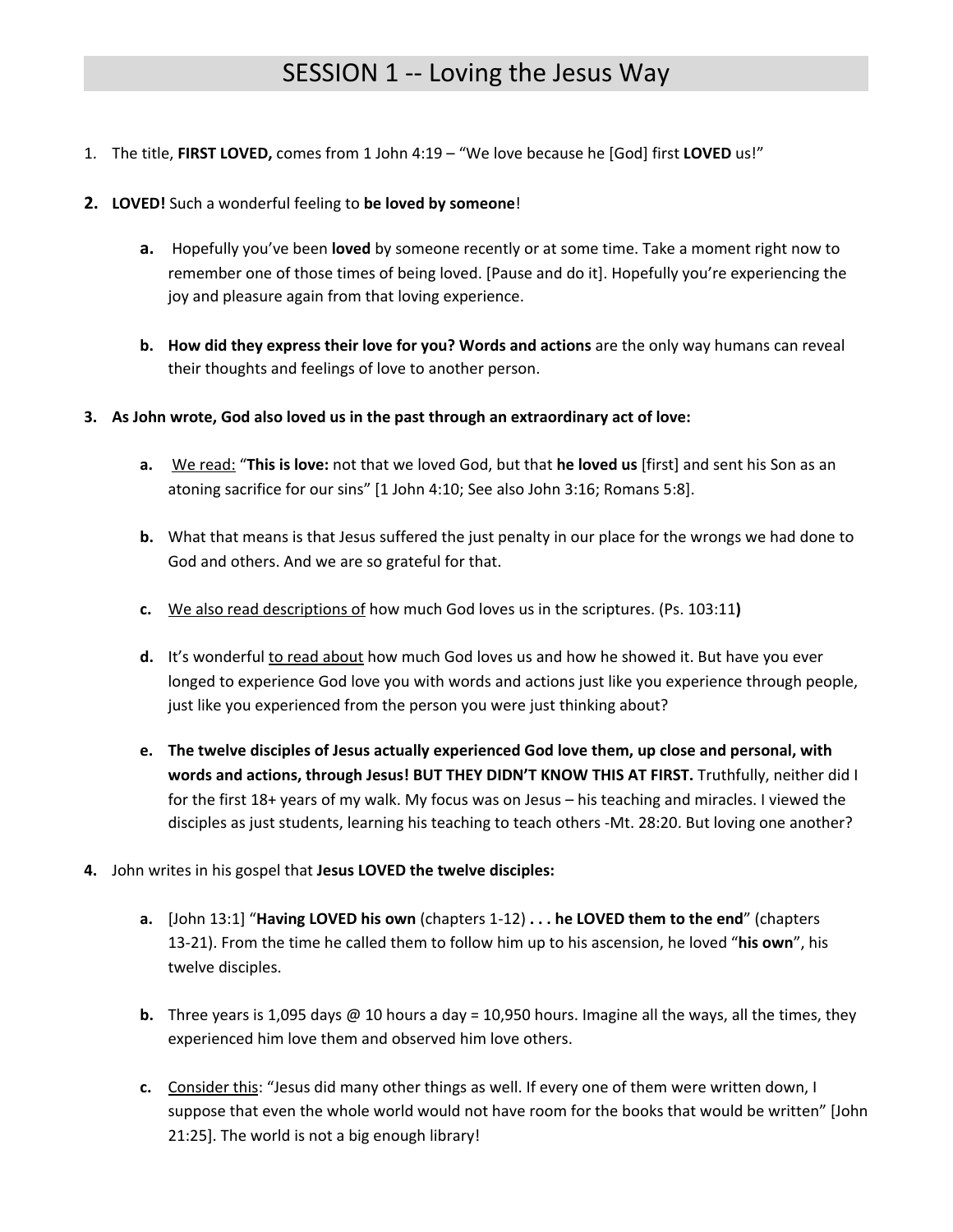# SESSION 1 -- Loving the Jesus Way

- 1. The title, **FIRST LOVED,** comes from 1 John 4:19 "We love because he [God] first **LOVED** us!"
- **2. LOVED!** Such a wonderful feeling to **be loved by someone**!
	- **a.** Hopefully you've been **loved** by someone recently or at some time. Take a moment right now to remember one of those times of being loved. [Pause and do it]. Hopefully you're experiencing the joy and pleasure again from that loving experience.
	- **b. How did they express their love for you? Words and actions** are the only way humans can reveal their thoughts and feelings of love to another person.
- **3. As John wrote, God also loved us in the past through an extraordinary act of love:**
	- **a.** We read: "**This is love:** not that we loved God, but that **he loved us** [first] and sent his Son as an atoning sacrifice for our sins" [1 John 4:10; See also John 3:16; Romans 5:8].
	- **b.** What that means is that Jesus suffered the just penalty in our place for the wrongs we had done to God and others. And we are so grateful for that.
	- **c.** We also read descriptions of how much God loves us in the scriptures. (Ps. 103:11**)**
	- **d.** It's wonderful to read about how much God loves us and how he showed it. But have you ever longed to experience God love you with words and actions just like you experience through people, just like you experienced from the person you were just thinking about?
	- **e. The twelve disciples of Jesus actually experienced God love them, up close and personal, with words and actions, through Jesus! BUT THEY DIDN'T KNOW THIS AT FIRST.** Truthfully, neither did I for the first 18+ years of my walk. My focus was on Jesus – his teaching and miracles. I viewed the disciples as just students, learning his teaching to teach others -Mt. 28:20. But loving one another?
- **4.** John writes in his gospel that **Jesus LOVED the twelve disciples:**
	- **a.** [John 13:1] "**Having LOVED his own** (chapters 1-12) **. . . he LOVED them to the end**" (chapters 13-21). From the time he called them to follow him up to his ascension, he loved "**his own**", his twelve disciples.
	- **b.** Three years is 1,095 days @ 10 hours a day = 10,950 hours. Imagine all the ways, all the times, they experienced him love them and observed him love others.
	- **c.** Consider this: "Jesus did many other things as well. If every one of them were written down, I suppose that even the whole world would not have room for the books that would be written" [John 21:25]. The world is not a big enough library!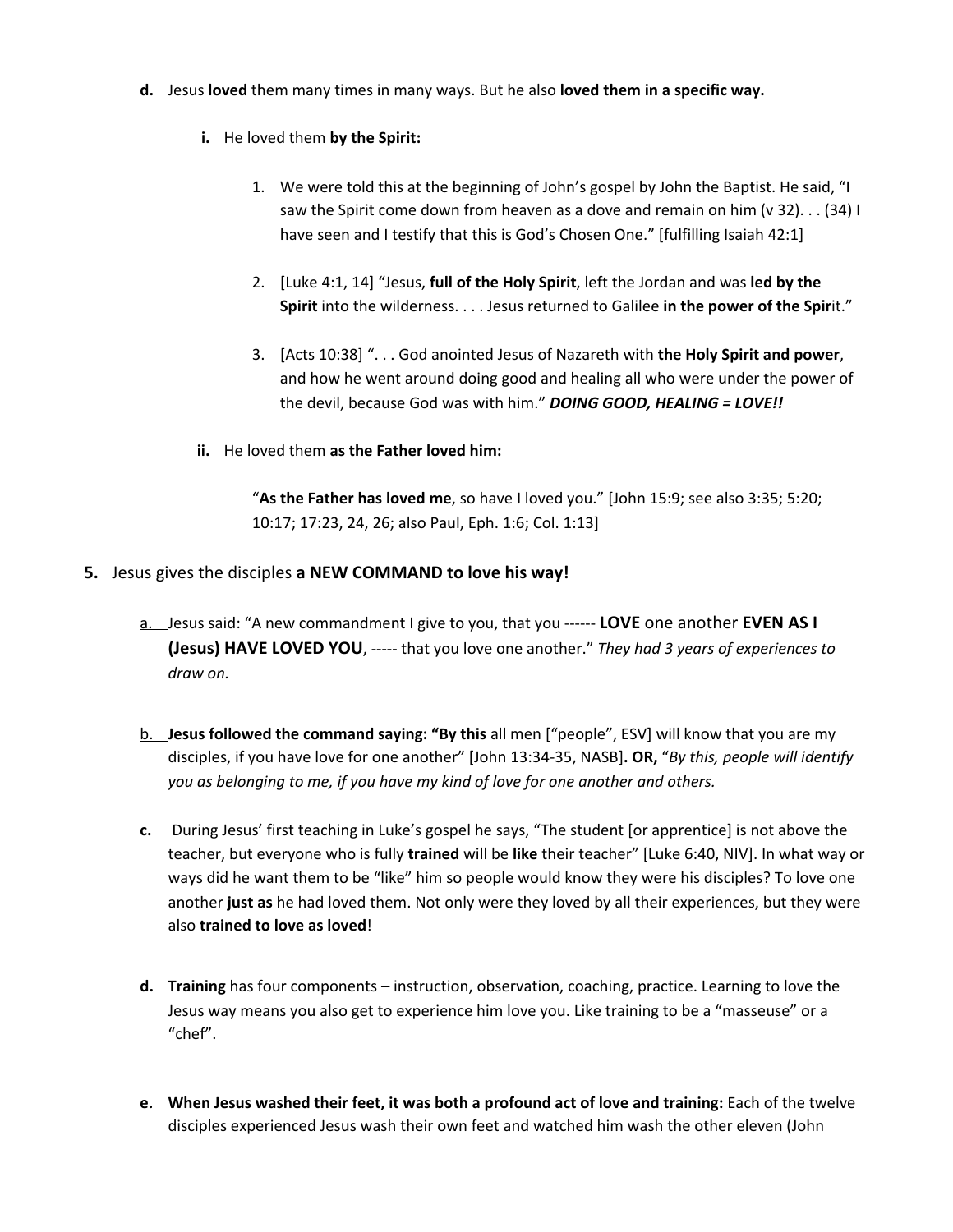- **d.** Jesus **loved** them many times in many ways. But he also **loved them in a specific way.**
	- **i.** He loved them **by the Spirit:**
		- 1. We were told this at the beginning of John's gospel by John the Baptist. He said, "I saw the Spirit come down from heaven as a dove and remain on him (v 32). . . (34) I have seen and I testify that this is God's Chosen One." [fulfilling Isaiah 42:1]
		- 2. [Luke 4:1, 14] "Jesus, **full of the Holy Spirit**, left the Jordan and was **led by the Spirit** into the wilderness. . . . Jesus returned to Galilee **in the power of the Spir**it."
		- 3. [Acts 10:38] ". . . God anointed Jesus of Nazareth with **the Holy Spirit and power**, and how he went around doing good and healing all who were under the power of the devil, because God was with him." *DOING GOOD, HEALING = LOVE!!*
	- **ii.** He loved them **as the Father loved him:**

"**As the Father has loved me**, so have I loved you." [John 15:9; see also 3:35; 5:20; 10:17; 17:23, 24, 26; also Paul, Eph. 1:6; Col. 1:13]

- **5.** Jesus gives the disciples **a NEW COMMAND to love his way!**
	- a. Jesus said: "A new commandment I give to you, that you ------ **LOVE** one another **EVEN AS I (Jesus) HAVE LOVED YOU**, ----- that you love one another." *They had 3 years of experiences to draw on.*
	- b. **Jesus followed the command saying: "By this** all men ["people", ESV] will know that you are my disciples, if you have love for one another" [John 13:34-35, NASB]**. OR,** "*By this, people will identify you as belonging to me, if you have my kind of love for one another and others.*
	- **c.** During Jesus' first teaching in Luke's gospel he says, "The student [or apprentice] is not above the teacher, but everyone who is fully **trained** will be **like** their teacher" [Luke 6:40, NIV]. In what way or ways did he want them to be "like" him so people would know they were his disciples? To love one another **just as** he had loved them. Not only were they loved by all their experiences, but they were also **trained to love as loved**!
	- **d. Training** has four components instruction, observation, coaching, practice. Learning to love the Jesus way means you also get to experience him love you. Like training to be a "masseuse" or a "chef".
	- **e. When Jesus washed their feet, it was both a profound act of love and training:** Each of the twelve disciples experienced Jesus wash their own feet and watched him wash the other eleven (John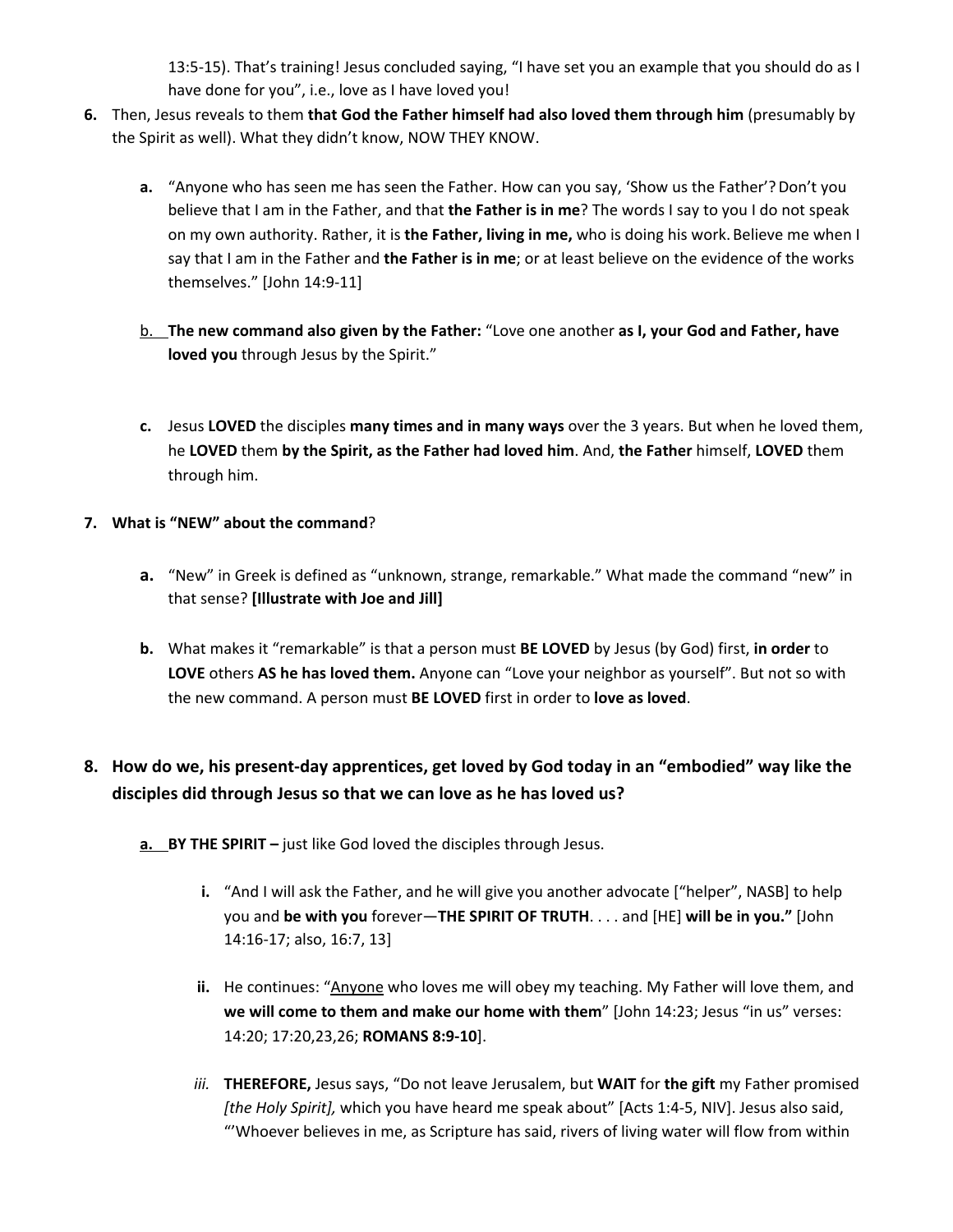13:5-15). That's training! Jesus concluded saying, "I have set you an example that you should do as I have done for you", i.e., love as I have loved you!

- **6.** Then, Jesus reveals to them **that God the Father himself had also loved them through him** (presumably by the Spirit as well). What they didn't know, NOW THEY KNOW.
	- **a.** "Anyone who has seen me has seen the Father. How can you say, 'Show us the Father'?Don't you believe that I am in the Father, and that **the Father is in me**? The words I say to you I do not speak on my own authority. Rather, it is **the Father, living in me,** who is doing his work. Believe me when I say that I am in the Father and **the Father is in me**; or at least believe on the evidence of the works themselves." [John 14:9-11]
	- b. **The new command also given by the Father:** "Love one another **as I, your God and Father, have loved you** through Jesus by the Spirit."
	- **c.** Jesus **LOVED** the disciples **many times and in many ways** over the 3 years. But when he loved them, he **LOVED** them **by the Spirit, as the Father had loved him**. And, **the Father** himself, **LOVED** them through him.
- **7. What is "NEW" about the command**?
	- **a.** "New" in Greek is defined as "unknown, strange, remarkable." What made the command "new" in that sense? **[Illustrate with Joe and Jill]**
	- **b.** What makes it "remarkable" is that a person must **BE LOVED** by Jesus (by God) first, **in order** to **LOVE** others **AS he has loved them.** Anyone can "Love your neighbor as yourself". But not so with the new command. A person must **BE LOVED** first in order to **love as loved**.

### **8. How do we, his present-day apprentices, get loved by God today in an "embodied" way like the disciples did through Jesus so that we can love as he has loved us?**

- **a. BY THE SPIRIT –** just like God loved the disciples through Jesus.
	- **i.** "And I will ask the Father, and he will give you another advocate ["helper", NASB] to help you and **be with you** forever—**THE SPIRIT OF TRUTH**. . . . and [HE] **will be in you."** [John 14:16-17; also, 16:7, 13]
	- ii. He continues: "Anyone who loves me will obey my teaching. My Father will love them, and **we will come to them and make our home with them**" [John 14:23; Jesus "in us" verses: 14:20; 17:20,23,26; **ROMANS 8:9-10**].
	- *iii.* **THEREFORE,** Jesus says, "Do not leave Jerusalem, but **WAIT** for **the gift** my Father promised *[the Holy Spirit],* which you have heard me speak about" [Acts 1:4-5, NIV]. Jesus also said, "'Whoever believes in me, as Scripture has said, rivers of living water will flow from within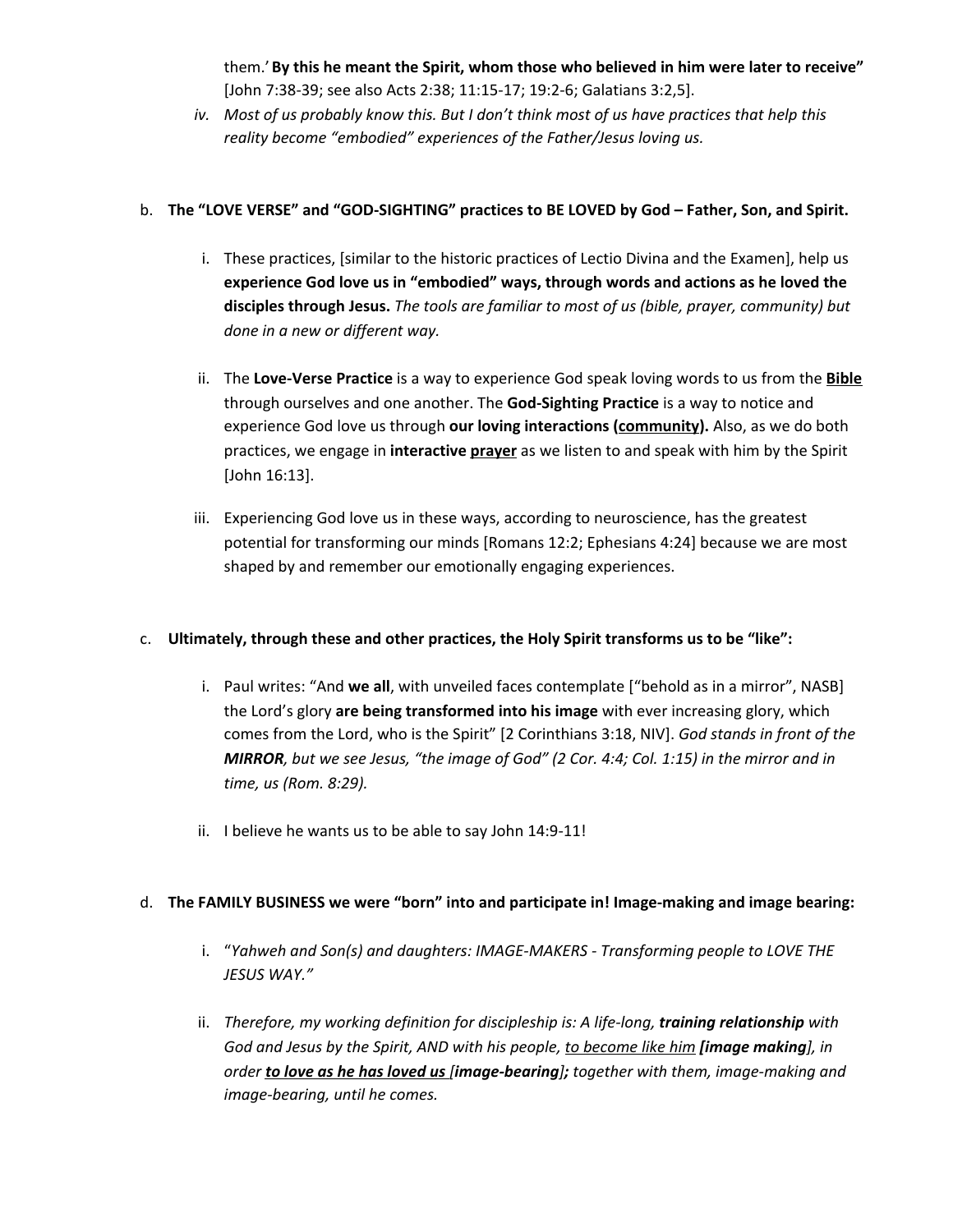them.'**By this he meant the Spirit, whom those who believed in him were later to receive"** [John 7:38-39; see also Acts 2:38; 11:15-17; 19:2-6; Galatians 3:2,5].

iv. Most of us probably know this. But I don't think most of us have practices that help this *reality become "embodied" experiences of the Father/Jesus loving us.*

### b. **The "LOVE VERSE" and "GOD-SIGHTING" practices to BE LOVED by God – Father, Son, and Spirit.**

- i. These practices, [similar to the historic practices of Lectio Divina and the Examen], help us **experience God love us in "embodied" ways, through words and actions as he loved the disciples through Jesus.** *The tools are familiar to most of us (bible, prayer, community) but done in a new or different way.*
- ii. The **Love-Verse Practice** is a way to experience God speak loving words to us from the **Bible** through ourselves and one another. The **God-Sighting Practice** is a way to notice and experience God love us through **our loving interactions (community).** Also, as we do both practices, we engage in **interactive prayer** as we listen to and speak with him by the Spirit [John 16:13].
- iii. Experiencing God love us in these ways, according to neuroscience, has the greatest potential for transforming our minds [Romans 12:2; Ephesians 4:24] because we are most shaped by and remember our emotionally engaging experiences.

### c. **Ultimately, through these and other practices, the Holy Spirit transforms us to be "like":**

- i. Paul writes: "And **we all**, with unveiled faces contemplate ["behold as in a mirror", NASB] the Lord's glory **are being transformed into his image** with ever increasing glory, which comes from the Lord, who is the Spirit" [2 Corinthians 3:18, NIV]. *God stands in front of the* MIRROR, but we see Jesus, "the image of God" (2 Cor. 4:4; Col. 1:15) in the mirror and in *time, us (Rom. 8:29).*
- ii. I believe he wants us to be able to say John 14:9-11!

### d. **The FAMILY BUSINESS we were "born" into and participate in! Image-making and image bearing:**

- i. "*Yahweh and Son(s) and daughters: IMAGE-MAKERS - Transforming people to LOVE THE JESUS WAY."*
- ii. *Therefore, my working definition for discipleship is: A life-long, training relationship with God and Jesus by the Spirit, AND with his people, to become like him [image making], in order to love as he has loved us [image-bearing]; together with them, image-making and image-bearing, until he comes.*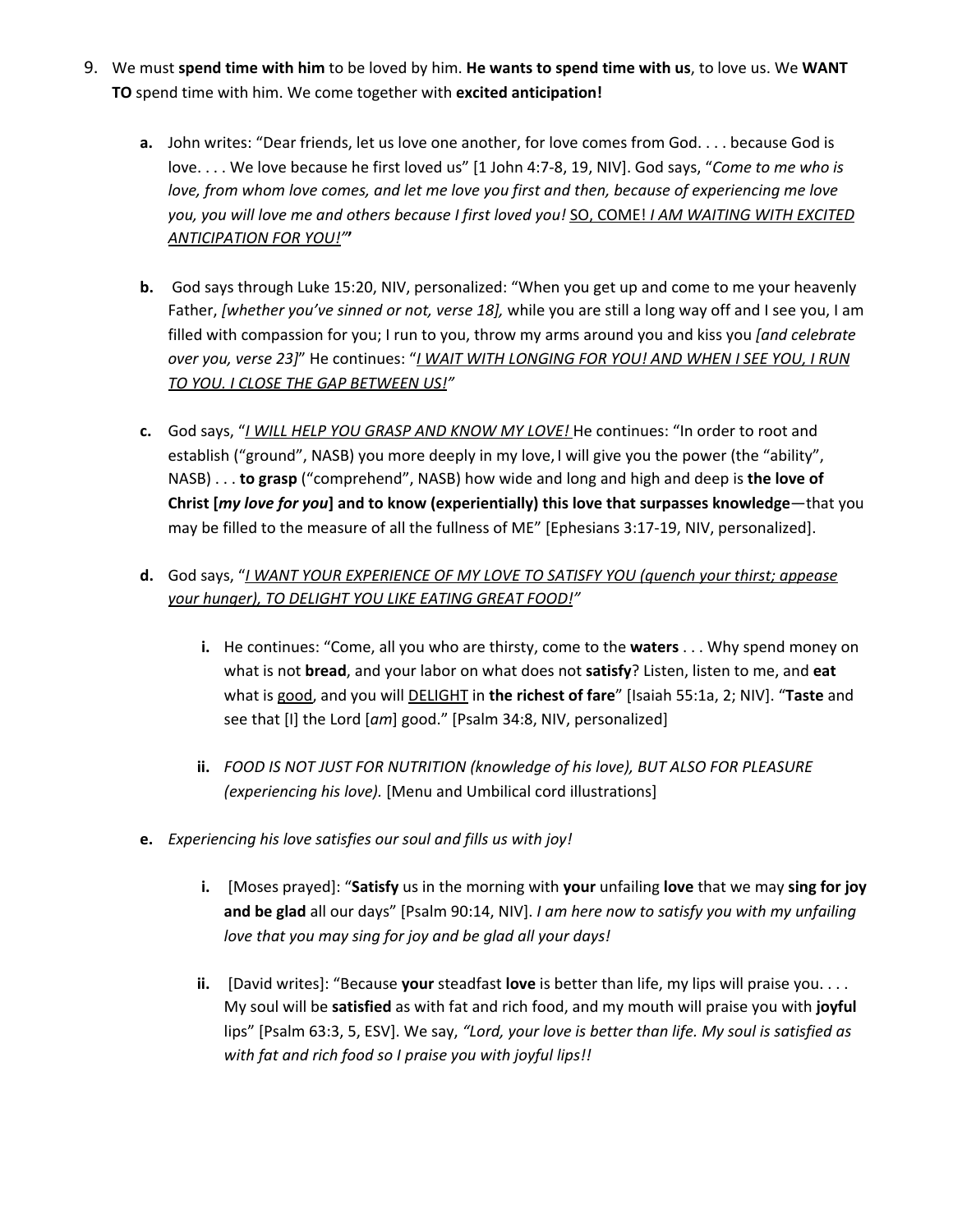- 9. We must **spend time with him** to be loved by him. **He wants to spend time with us**, to love us. We **WANT TO** spend time with him. We come together with **excited anticipation!**
	- **a.** John writes: "Dear friends, let us love one another, for love comes from God. . . . because God is love. . . . We love because he first loved us" [1 John 4:7-8, 19, NIV]. God says, "*Come to me who is love, from whom love comes, and let me love you first and then, because of experiencing me love you, you will love me and others because I first loved you!* SO, COME! *I AM WAITING WITH EXCITED ANTICIPATION FOR YOU!"***'**
	- **b.** God says through Luke 15:20, NIV, personalized: "When you get up and come to me your heavenly Father, *[whether you've sinned or not, verse 18],* while you are still a long way off and I see you, I am filled with compassion for you; I run to you, throw my arms around you and kiss you *[and celebrate over you, verse 23]*" He continues: "*I WAIT WITH LONGING FOR YOU! AND WHEN I SEE YOU, I RUN TO YOU. I CLOSE THE GAP BETWEEN US!"*
	- **c.** God says, "*I WILL HELP YOU GRASP AND KNOW MY LOVE!* He continues: "In order to root and establish ("ground", NASB) you more deeply in my love, I will give you the power (the "ability", NASB) . . . **to grasp** ("comprehend", NASB) how wide and long and high and deep is **the love of Christ [***my love for you***] and to know (experientially) this love that surpasses knowledge**—that you may be filled to the measure of all the fullness of ME" [Ephesians 3:17-19, NIV, personalized].

### **d.** God says, "*I WANT YOUR EXPERIENCE OF MY LOVE TO SATISFY YOU (quench your thirst; appease your hunger), TO DELIGHT YOU LIKE EATING GREAT FOOD!"*

- **i.** He continues: "Come, all you who are thirsty, come to the **waters** . . . Why spend money on what is not **bread**, and your labor on what does not **satisfy**? Listen, listen to me, and **eat** what is good, and you will DELIGHT in **the richest of fare**" [Isaiah 55:1a, 2; NIV]. "**Taste** and see that [I] the Lord [*am*] good." [Psalm 34:8, NIV, personalized]
- **ii.** *FOOD IS NOT JUST FOR NUTRITION (knowledge of his love), BUT ALSO FOR PLEASURE (experiencing his love).* [Menu and Umbilical cord illustrations]
- **e.** *Experiencing his love satisfies our soul and fills us with joy!*
	- **i.** [Moses prayed]: "**Satisfy** us in the morning with **your** unfailing **love** that we may **sing for joy and be glad** all our days" [Psalm 90:14, NIV]. *I am here now to satisfy you with my unfailing love that you may sing for joy and be glad all your days!*
	- **ii.** [David writes]: "Because **your** steadfast **love** is better than life, my lips will praise you. . . . My soul will be **satisfied** as with fat and rich food, and my mouth will praise you with **joyful** lips" [Psalm 63:3, 5, ESV]. We say, *"Lord, your love is better than life. My soul is satisfied as with fat and rich food so I praise you with joyful lips!!*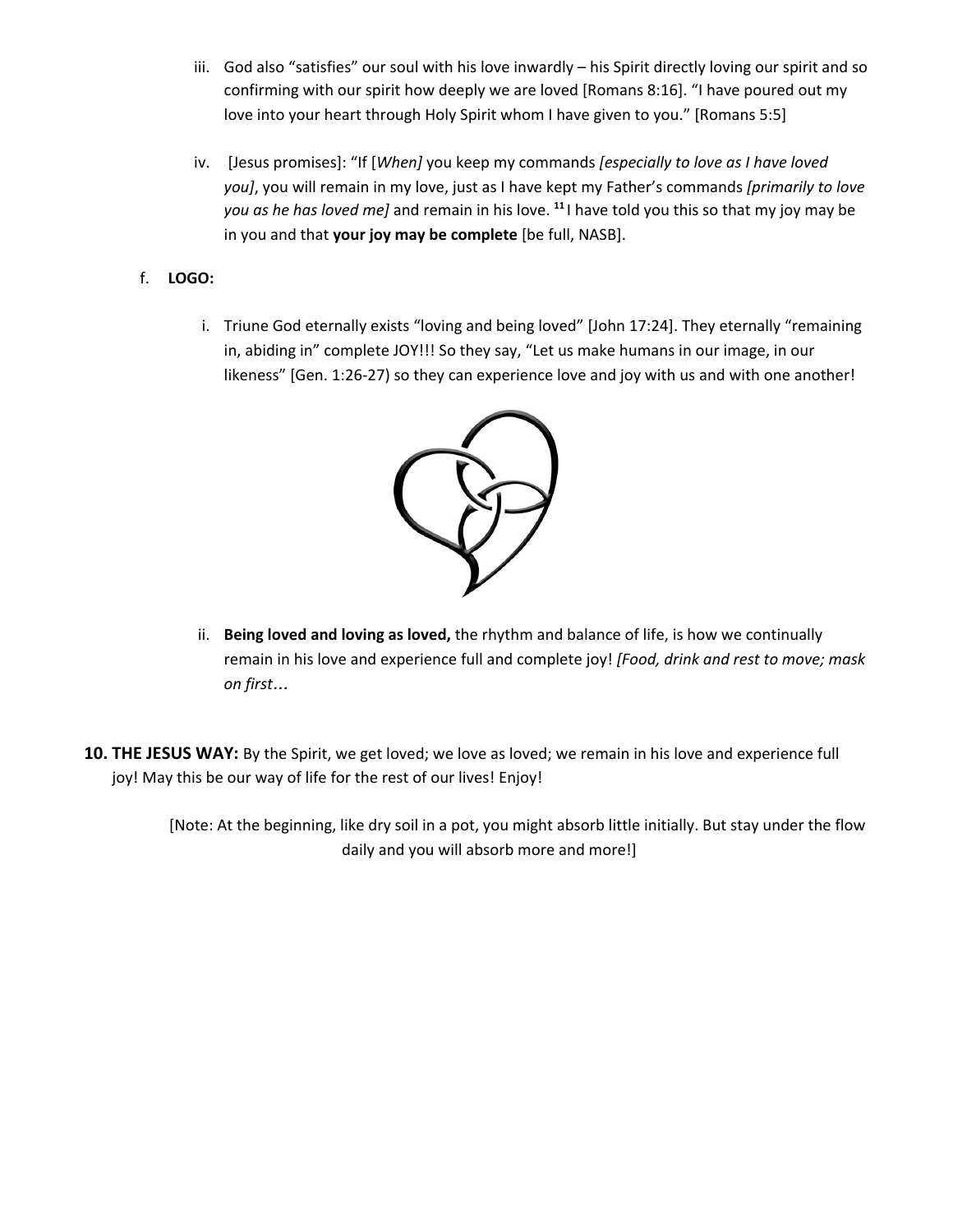- iii. God also "satisfies" our soul with his love inwardly his Spirit directly loving our spirit and so confirming with our spirit how deeply we are loved [Romans 8:16]. "I have poured out my love into your heart through Holy Spirit whom I have given to you." [Romans 5:5]
- iv. [Jesus promises]: "If [*When]* you keep my commands *[especially to love as I have loved you]*, you will remain in my love, just as I have kept my Father's commands *[primarily to love you as he has loved me]* and remain in his love. **11** I have told you this so that my joy may be in you and that **your joy may be complete** [be full, NASB].
- f. **LOGO:**
	- i. Triune God eternally exists "loving and being loved" [John 17:24]. They eternally "remaining in, abiding in" complete JOY!!! So they say, "Let us make humans in our image, in our likeness" [Gen. 1:26-27) so they can experience love and joy with us and with one another!



- ii. **Being loved and loving as loved,** the rhythm and balance of life, is how we continually remain in his love and experience full and complete joy! *[Food, drink and rest to move; mask on first*…
- **10. THE JESUS WAY:** By the Spirit, we get loved; we love as loved; we remain in his love and experience full joy! May this be our way of life for the rest of our lives! Enjoy!

[Note: At the beginning, like dry soil in a pot, you might absorb little initially. But stay under the flow daily and you will absorb more and more!]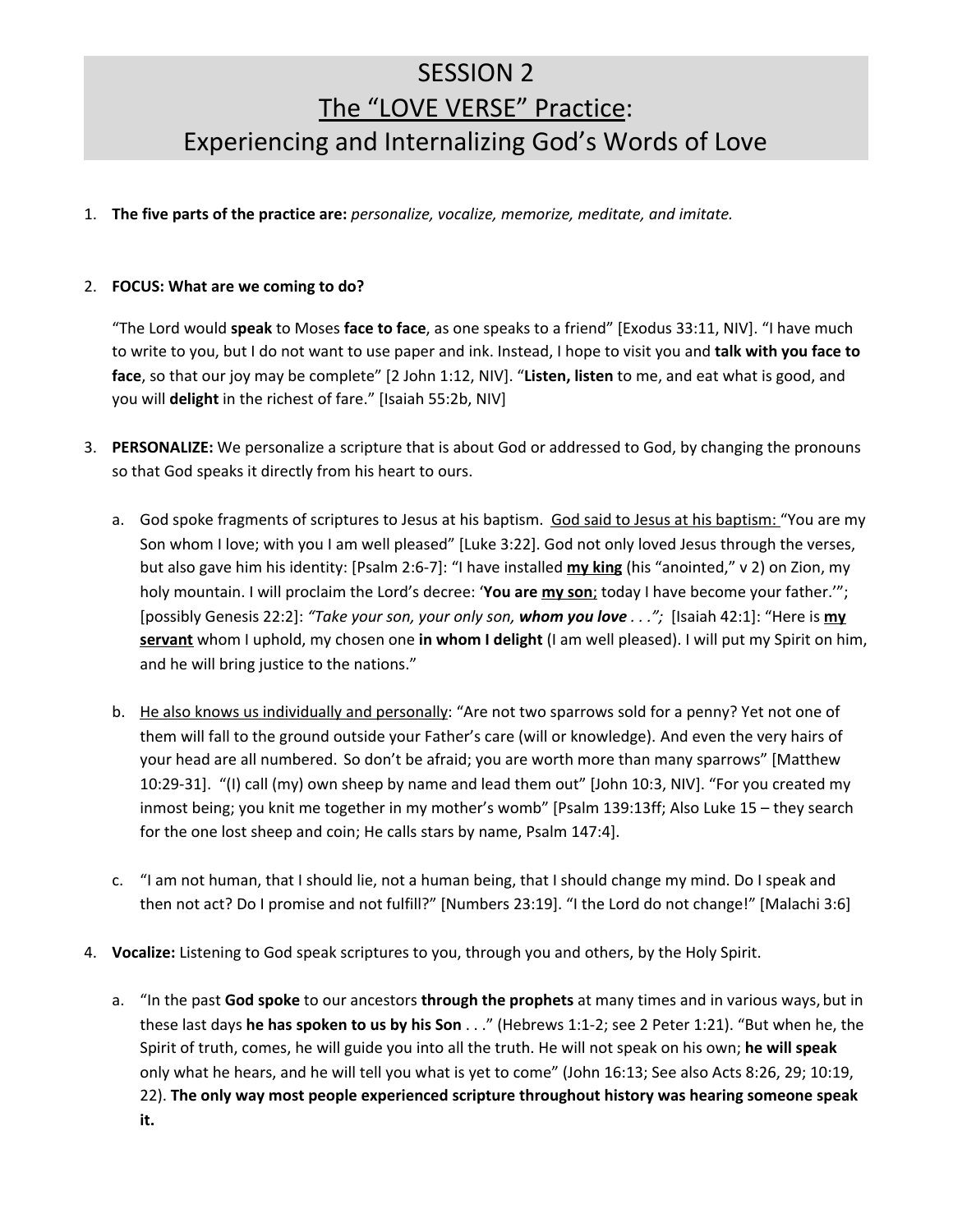# SESSION 2 The "LOVE VERSE" Practice: Experiencing and Internalizing God's Words of Love

1. **The five parts of the practice are:** *personalize, vocalize, memorize, meditate, and imitate.*

#### 2. **FOCUS: What are we coming to do?**

"The Lord would **speak** to Moses **face to face**, as one speaks to a friend" [Exodus 33:11, NIV]. "I have much to write to you, but I do not want to use paper and ink. Instead, I hope to visit you and **talk with you face to face**, so that our joy may be complete" [2 John 1:12, NIV]. "**Listen, listen** to me, and eat what is good, and you will **delight** in the richest of fare." [Isaiah 55:2b, NIV]

- 3. **PERSONALIZE:** We personalize a scripture that is about God or addressed to God, by changing the pronouns so that God speaks it directly from his heart to ours.
	- a. God spoke fragments of scriptures to Jesus at his baptism. God said to Jesus at his baptism: "You are my Son whom I love; with you I am well pleased" [Luke 3:22]. God not only loved Jesus through the verses, but also gave him his identity: [Psalm 2:6-7]: "I have installed **my king** (his "anointed," v 2) on Zion, my holy mountain. I will proclaim the Lord's decree: '**You are my son**; today I have become your father.'"; [possibly Genesis 22:2]: *"Take your son, your only son, whom you love . . .";* [Isaiah 42:1]: "Here is **my servant** whom I uphold, my chosen one **in whom I delight** (I am well pleased). I will put my Spirit on him, and he will bring justice to the nations."
	- b. He also knows us individually and personally: "Are not two sparrows sold for a penny? Yet not one of them will fall to the ground outside your Father's care (will or knowledge). And even the very hairs of your head are all numbered. So don't be afraid; you are worth more than many sparrows" [Matthew 10:29-31]. "(I) call (my) own sheep by name and lead them out" [John 10:3, NIV]. "For you created my inmost being; you knit me together in my mother's womb" [Psalm 139:13ff; Also Luke 15 – they search for the one lost sheep and coin; He calls stars by name, Psalm 147:4].
	- c. "I am not human, that I should lie, not a human being, that I should change my mind. Do I speak and then not act? Do I promise and not fulfill?" [Numbers 23:19]. "I the Lord do not change!" [Malachi 3:6]
- 4. **Vocalize:** Listening to God speak scriptures to you, through you and others, by the Holy Spirit.
	- a. "In the past **God spoke** to our ancestors **through the prophets** at many times and in various ways, but in these last days **he has spoken to us by his Son** . . ." (Hebrews 1:1-2; see 2 Peter 1:21). "But when he, the Spirit of truth, comes, he will guide you into all the truth. He will not speak on his own; **he will speak** only what he hears, and he will tell you what is yet to come" (John 16:13; See also Acts 8:26, 29; 10:19, 22). **The only way most people experienced scripture throughout history was hearing someone speak it.**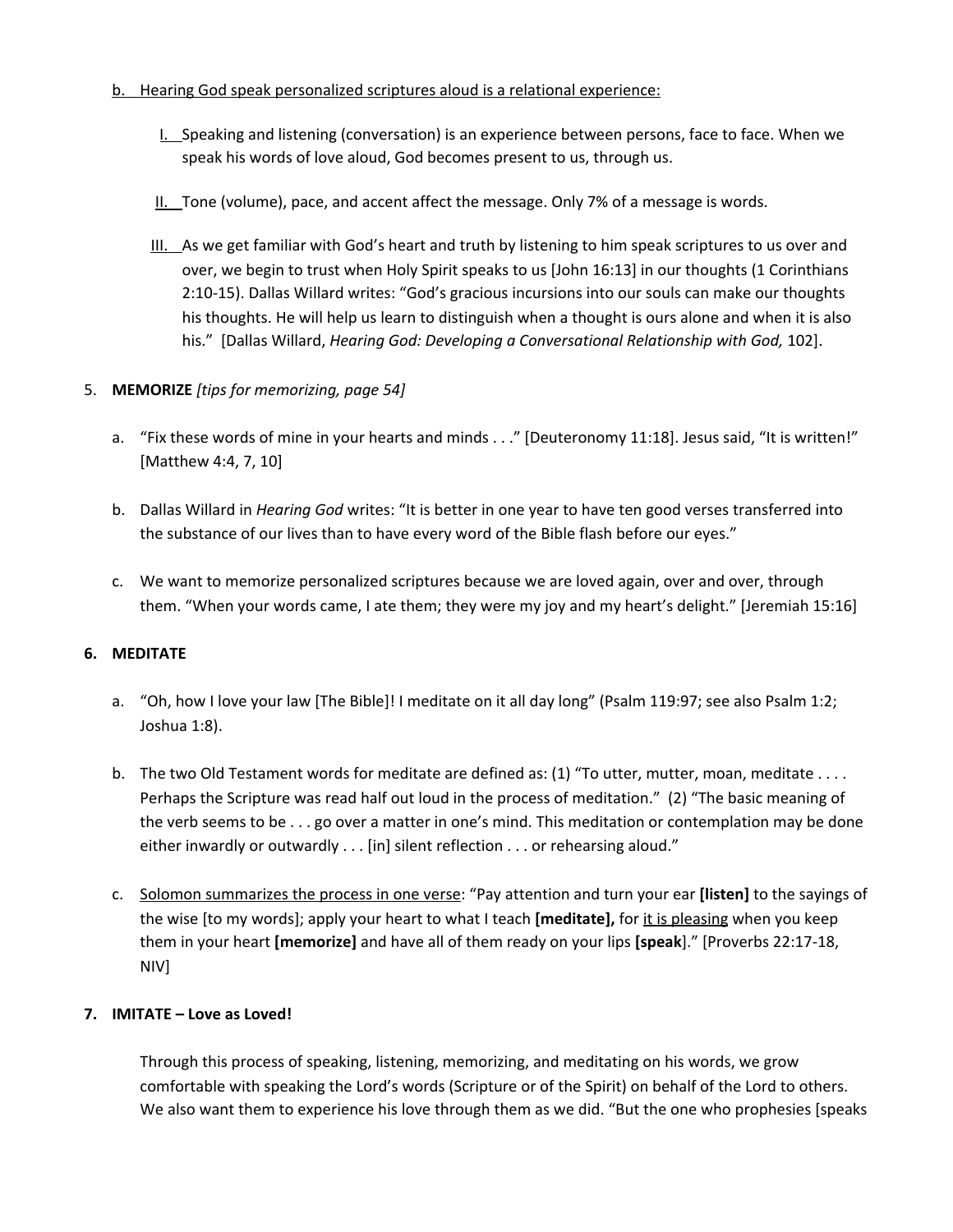- b. Hearing God speak personalized scriptures aloud is a relational experience:
	- I. Speaking and listening (conversation) is an experience between persons, face to face. When we speak his words of love aloud, God becomes present to us, through us.
	- II. Tone (volume), pace, and accent affect the message. Only 7% of a message is words.
	- III. As we get familiar with God's heart and truth by listening to him speak scriptures to us over and over, we begin to trust when Holy Spirit speaks to us [John 16:13] in our thoughts (1 Corinthians 2:10-15). Dallas Willard writes: "God's gracious incursions into our souls can make our thoughts his thoughts. He will help us learn to distinguish when a thought is ours alone and when it is also his." [Dallas Willard, *Hearing God: Developing a Conversational Relationship with God,* 102].

### 5. **MEMORIZE** *[tips for memorizing, page 54]*

- a. "Fix these words of mine in your hearts and minds . . ." [Deuteronomy 11:18]. Jesus said, "It is written!" [Matthew 4:4, 7, 10]
- b. Dallas Willard in *Hearing God* writes: "It is better in one year to have ten good verses transferred into the substance of our lives than to have every word of the Bible flash before our eyes."
- c. We want to memorize personalized scriptures because we are loved again, over and over, through them. "When your words came, I ate them; they were my joy and my heart's delight." [Jeremiah 15:16]

#### **6. MEDITATE**

- a. "Oh, how I love your law [The Bible]! I meditate on it all day long" (Psalm 119:97; see also Psalm 1:2; Joshua 1:8).
- b. The two Old Testament words for meditate are defined as: (1) "To utter, mutter, moan, meditate . . . . Perhaps the Scripture was read half out loud in the process of meditation." (2) "The basic meaning of the verb seems to be . . . go over a matter in one's mind. This meditation or contemplation may be done either inwardly or outwardly . . . [in] silent reflection . . . or rehearsing aloud."
- c. Solomon summarizes the process in one verse: "Pay attention and turn your ear **[listen]** to the sayings of the wise [to my words]; apply your heart to what I teach **[meditate],** for it is pleasing when you keep them in your heart **[memorize]** and have all of them ready on your lips **[speak**]." [Proverbs 22:17-18, NIV]

#### **7. IMITATE – Love as Loved!**

Through this process of speaking, listening, memorizing, and meditating on his words, we grow comfortable with speaking the Lord's words (Scripture or of the Spirit) on behalf of the Lord to others. We also want them to experience his love through them as we did. "But the one who prophesies [speaks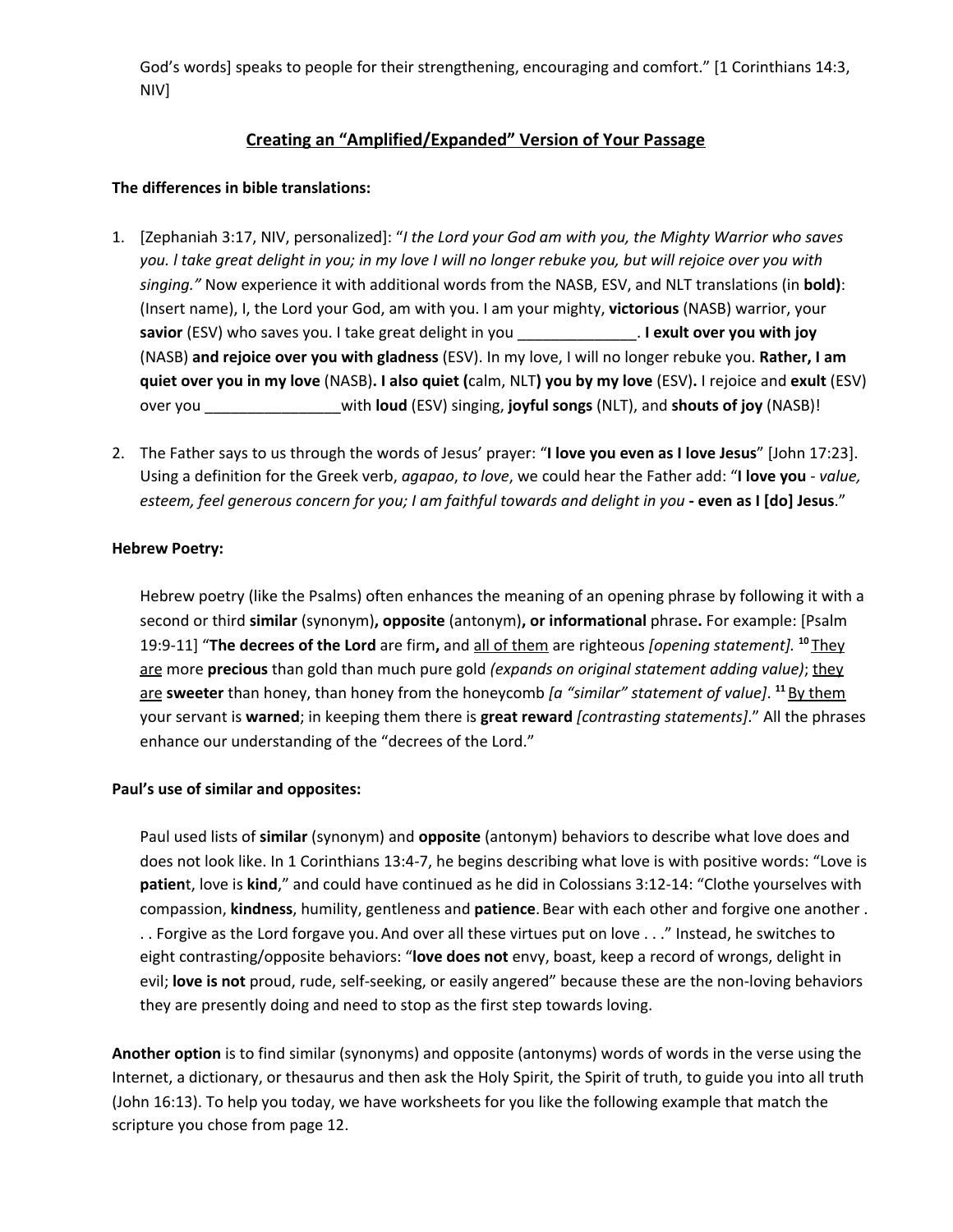God's words] speaks to people for their strengthening, encouraging and comfort." [1 Corinthians 14:3, NIV]

### **Creating an "Amplified/Expanded" Version of Your Passage**

#### **The differences in bible translations:**

- 1. [Zephaniah 3:17, NIV, personalized]: "*I the Lord your God am with you, the Mighty Warrior who saves* you. I take great delight in you; in my love I will no longer rebuke you, but will rejoice over you with *singing."* Now experience it with additional words from the NASB, ESV, and NLT translations (in **bold)**: (Insert name), I, the Lord your God, am with you. I am your mighty, **victorious** (NASB) warrior, your **savior** (ESV) who saves you. I take great delight in you \_\_\_\_\_\_\_\_\_\_\_\_\_\_. **I exult over you with joy** (NASB) **and rejoice over you with gladness** (ESV). In my love, I will no longer rebuke you. **Rather, I am** quiet over you in my love (NASB). I also quiet (calm, NLT) you by my love (ESV). I rejoice and exult (ESV) over you \_\_\_\_\_\_\_\_\_\_\_\_\_\_\_\_with **loud** (ESV) singing, **joyful songs** (NLT), and **shouts of joy** (NASB)!
- 2. The Father says to us through the words of Jesus' prayer: "**I love you even as I love Jesus**" [John 17:23]. Using a definition for the Greek verb, *agapao*, *to love*, we could hear the Father add: "**I love you** - *value,* esteem, feel generous concern for you; I am faithful towards and delight in you - even as I [do] Jesus."

### **Hebrew Poetry:**

Hebrew poetry (like the Psalms) often enhances the meaning of an opening phrase by following it with a second or third **similar** (synonym)**, opposite** (antonym)**, or informational** phrase**.** For example: [Psalm 19:9-11] "**The decrees of the Lord** are firm**,** and all of them are righteous *[opening statement].* **<sup>10</sup>** They are more **precious** than gold than much pure gold *(expands on original statement adding value)*; they are **sweeter** than honey, than honey from the honeycomb *[a "similar" statement of value]*. **<sup>11</sup>** By them your servant is **warned**; in keeping them there is **great reward** *[contrasting statements]*." All the phrases enhance our understanding of the "decrees of the Lord."

#### **Paul's use of similar and opposites:**

Paul used lists of **similar** (synonym) and **opposite** (antonym) behaviors to describe what love does and does not look like. In 1 Corinthians 13:4-7, he begins describing what love is with positive words: "Love is **patien**t, love is **kind**," and could have continued as he did in Colossians 3:12-14: "Clothe yourselves with compassion, **kindness**, humility, gentleness and **patience**. Bear with each other and forgive one another . . . Forgive as the Lord forgave you.And over all these virtues put on love . . ." Instead, he switches to eight contrasting/opposite behaviors: "**love does not** envy, boast, keep a record of wrongs, delight in evil; **love is not** proud, rude, self-seeking, or easily angered" because these are the non-loving behaviors they are presently doing and need to stop as the first step towards loving.

**Another option** is to find similar (synonyms) and opposite (antonyms) words of words in the verse using the Internet, a dictionary, or thesaurus and then ask the Holy Spirit, the Spirit of truth, to guide you into all truth (John 16:13). To help you today, we have worksheets for you like the following example that match the scripture you chose from page 12.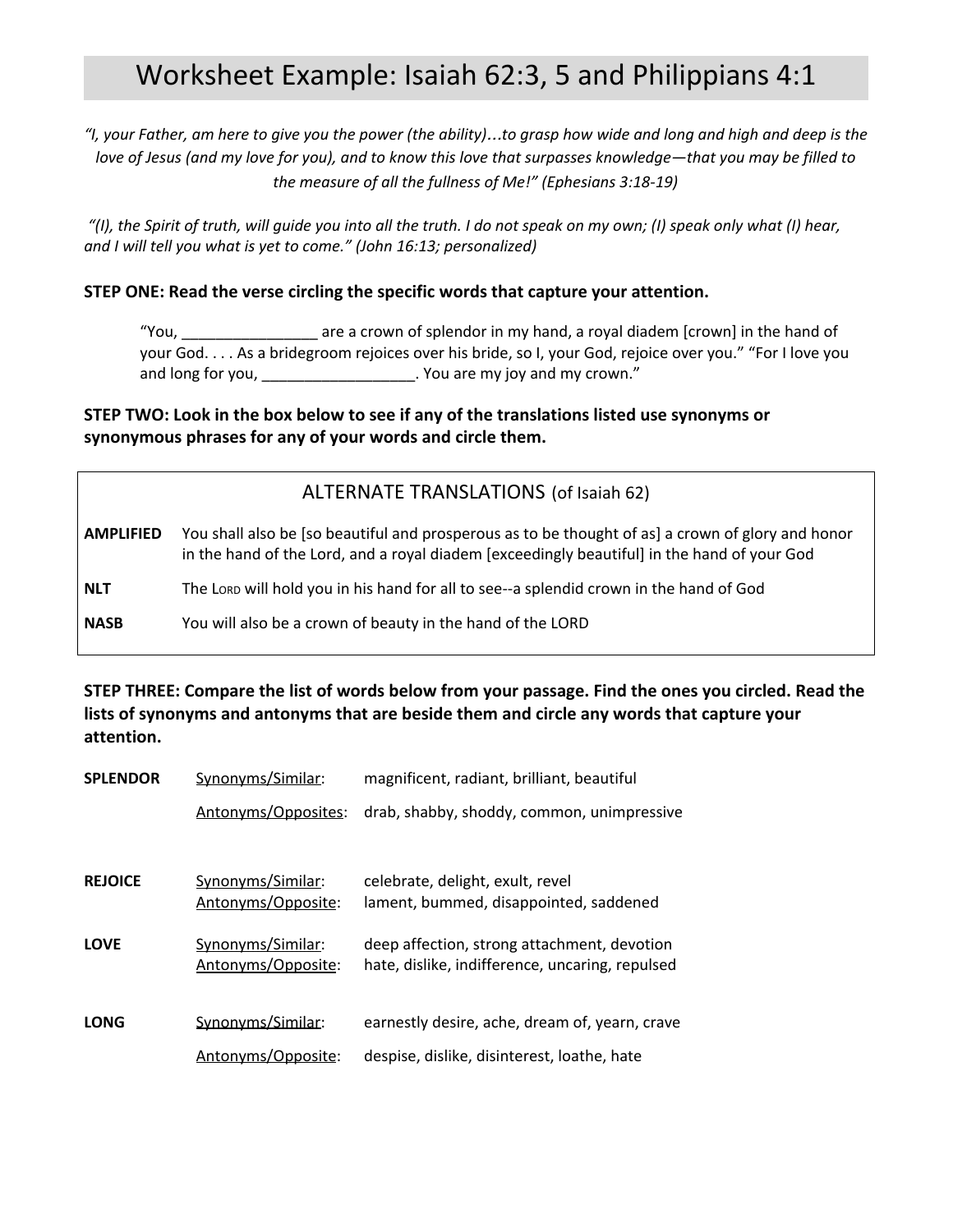# Worksheet Example: Isaiah 62:3, 5 and Philippians 4:1

"I, your Father, am here to give you the power (the ability)...to grasp how wide and long and high and deep is the love of Jesus (and my love for you), and to know this love that surpasses knowledge-that you may be filled to *the measure of all the fullness of Me!" (Ephesians 3:18-19)*

"(I), the Spirit of truth, will quide you into all the truth. I do not speak on my own; (I) speak only what (I) hear, *and I will tell you what is yet to come." (John 16:13; personalized)*

### **STEP ONE: Read the verse circling the specific words that capture your attention.**

"You, \_\_\_\_\_\_\_\_\_\_\_\_\_\_\_\_ are a crown of splendor in my hand, a royal diadem [crown] in the hand of your God. . . . As a bridegroom rejoices over his bride, so I, your God, rejoice over you." "For I love you and long for you, \_\_\_\_\_\_\_\_\_\_\_\_\_\_\_\_\_\_\_. You are my joy and my crown."

### **STEP TWO: Look in the box below to see if any of the translations listed use synonyms or synonymous phrases for any of your words and circle them.**

### ALTERNATE TRANSLATIONS (of Isaiah 62)

- **AMPLIFIED** You shall also be [so beautiful and prosperous as to be thought of as] a crown of glory and honor in the hand of the Lord, and a royal diadem [exceedingly beautiful] in the hand of your God
- **NLT** The LORD will hold you in his hand for all to see--a splendid crown in the hand of God

**NASB** You will also be a crown of beauty in the hand of the LORD

**STEP THREE: Compare the list of words below from your passage. Find the ones you circled. Read the lists of synonyms and antonyms that are beside them and circle any words that capture your attention.**

| <b>SPLENDOR</b> | Synonyms/Similar:                       | magnificent, radiant, brilliant, beautiful                                                     |
|-----------------|-----------------------------------------|------------------------------------------------------------------------------------------------|
|                 | Antonyms/Opposites:                     | drab, shabby, shoddy, common, unimpressive                                                     |
|                 |                                         |                                                                                                |
| <b>REJOICE</b>  | Synonyms/Similar:<br>Antonyms/Opposite: | celebrate, delight, exult, revel<br>lament, bummed, disappointed, saddened                     |
| <b>LOVE</b>     | Synonyms/Similar:<br>Antonyms/Opposite: | deep affection, strong attachment, devotion<br>hate, dislike, indifference, uncaring, repulsed |
| <b>LONG</b>     | Synonyms/Similar:                       | earnestly desire, ache, dream of, yearn, crave                                                 |
|                 | Antonyms/Opposite:                      | despise, dislike, disinterest, loathe, hate                                                    |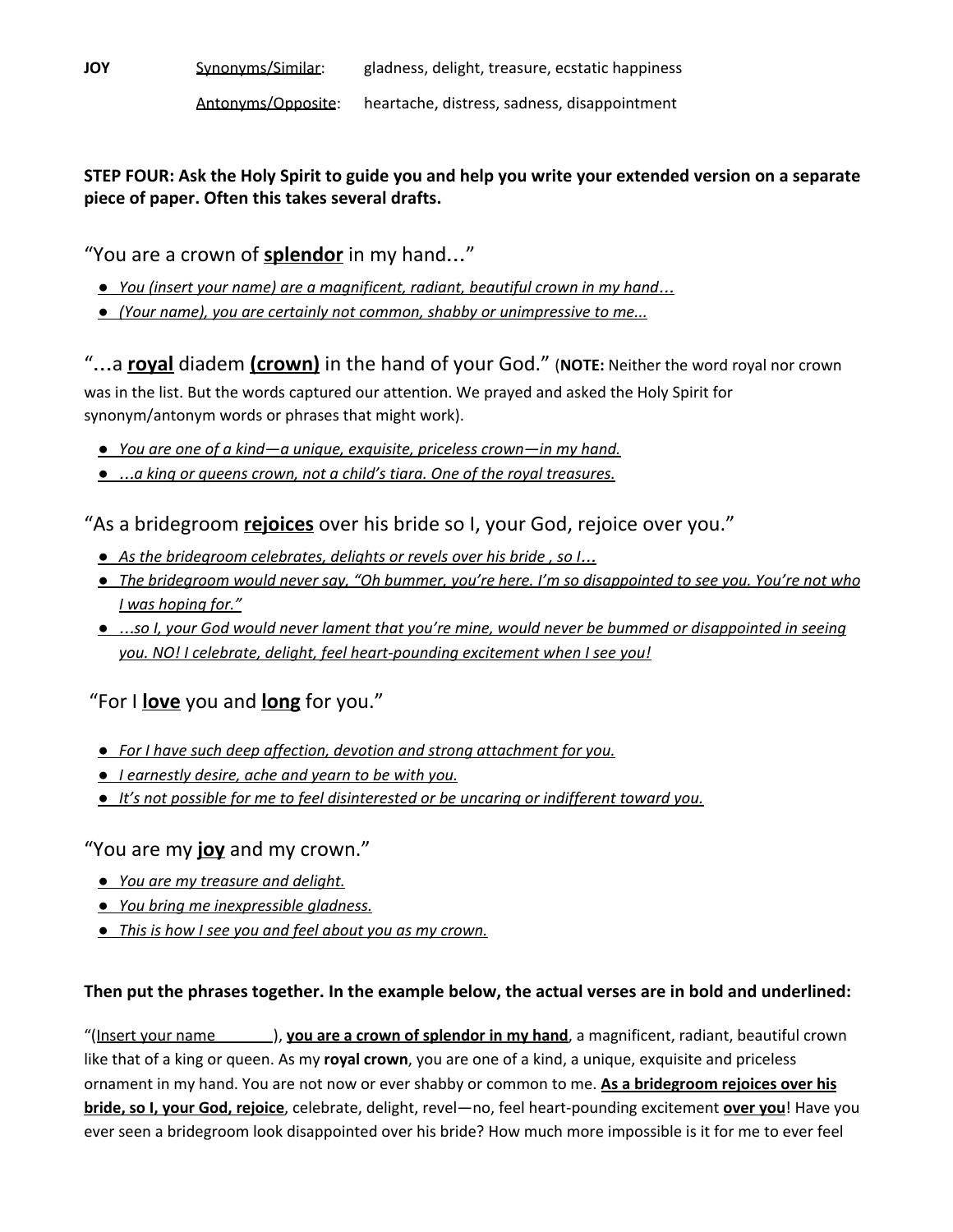### **STEP FOUR: Ask the Holy Spirit to guide you and help you write your extended version on a separate piece of paper. Often this takes several drafts.**

"You are a crown of **splendor** in my hand…"

- *● You (insert your name) are a magnificent, radiant, beautiful crown in my hand*…
- *● (Your name), you are certainly not common, shabby or unimpressive to me...*

"…a **royal** diadem **(crown)** in the hand of your God." (**NOTE:** Neither the word royal nor crown was in the list. But the words captured our attention. We prayed and asked the Holy Spirit for synonym/antonym words or phrases that might work).

- *● You are one of a kind—a unique, exquisite, priceless crown—in my hand.*
- *●* …*a king or queens crown, not a child's tiara. One of the royal treasures.*

"As a bridegroom **rejoices** over his bride so I, your God, rejoice over you."

- *● As the bridegroom celebrates, delights or revels over his bride , so I*…
- The bridegroom would never say, "Oh bummer, you're here. I'm so disappointed to see you. You're not who *I was hoping for."*
- ...so I, your God would never lament that you're mine, would never be bummed or disappointed in seeing *you. NO! I celebrate, delight, feel heart-pounding excitement when I see you!*

"For I **love** you and **long** for you."

- *● For I have such deep affection, devotion and strong attachment for you.*
- *● I earnestly desire, ache and yearn to be with you.*
- *● It's not possible for me to feel disinterested or be uncaring or indifferent toward you.*

"You are my **joy** and my crown."

- *● You are my treasure and delight.*
- *● You bring me inexpressible gladness.*
- *● This is how I see you and feel about you as my crown.*

### **Then put the phrases together. In the example below, the actual verses are in bold and underlined:**

"(Insert your name ), **you are a crown of splendor in my hand**, a magnificent, radiant, beautiful crown like that of a king or queen. As my **royal crown**, you are one of a kind, a unique, exquisite and priceless ornament in my hand. You are not now or ever shabby or common to me. **As a bridegroom rejoices over his bride, so I, your God, rejoice**, celebrate, delight, revel—no, feel heart-pounding excitement **over you**! Have you ever seen a bridegroom look disappointed over his bride? How much more impossible is it for me to ever feel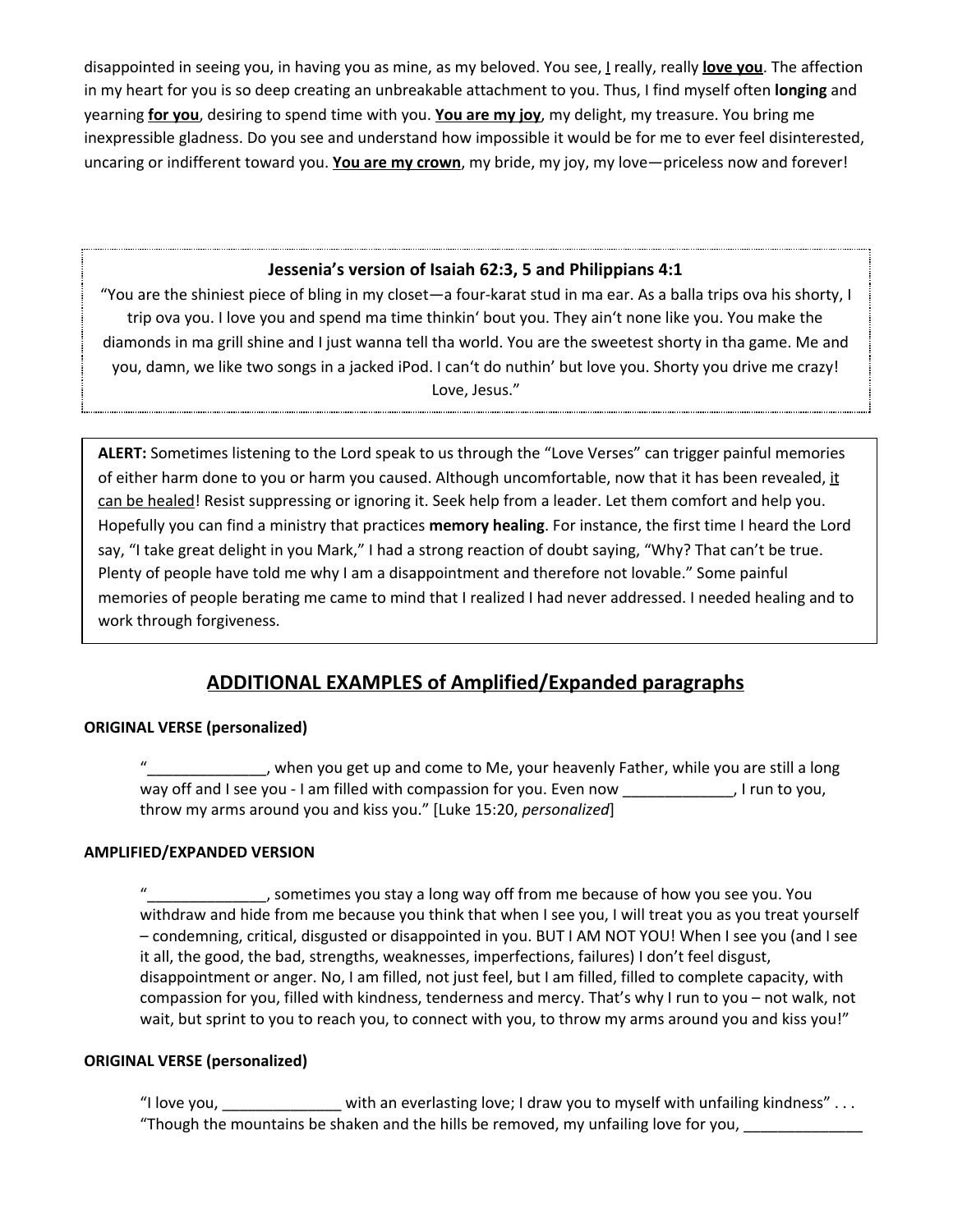disappointed in seeing you, in having you as mine, as my beloved. You see, I really, really **love you**. The affection in my heart for you is so deep creating an unbreakable attachment to you. Thus, I find myself often **longing** and yearning **for you**, desiring to spend time with you. **You are my joy**, my delight, my treasure. You bring me inexpressible gladness. Do you see and understand how impossible it would be for me to ever feel disinterested, uncaring or indifferent toward you. **You are my crown**, my bride, my joy, my love—priceless now and forever!

### **Jessenia's version of Isaiah 62:3, 5 and Philippians 4:1**

"You are the shiniest piece of bling in my closet—a four-karat stud in ma ear. As a balla trips ova his shorty, I trip ova you. I love you and spend ma time thinkin' bout you. They ain't none like you. You make the diamonds in ma grill shine and I just wanna tell tha world. You are the sweetest shorty in tha game. Me and you, damn, we like two songs in a jacked iPod. I can't do nuthin' but love you. Shorty you drive me crazy! Love, Jesus."

**ALERT:** Sometimes listening to the Lord speak to us through the "Love Verses" can trigger painful memories of either harm done to you or harm you caused. Although uncomfortable, now that it has been revealed, it can be healed! Resist suppressing or ignoring it. Seek help from a leader. Let them comfort and help you. Hopefully you can find a ministry that practices **memory healing**. For instance, the first time I heard the Lord say, "I take great delight in you Mark," I had a strong reaction of doubt saying, "Why? That can't be true. Plenty of people have told me why I am a disappointment and therefore not lovable." Some painful memories of people berating me came to mind that I realized I had never addressed. I needed healing and to work through forgiveness.

# **ADDITIONAL EXAMPLES of Amplified/Expanded paragraphs**

### **ORIGINAL VERSE (personalized)**

, when you get up and come to Me, your heavenly Father, while you are still a long way off and I see you - I am filled with compassion for you. Even now \_\_\_\_\_\_\_\_\_\_\_, I run to you, throw my arms around you and kiss you." [Luke 15:20, *personalized*]

### **AMPLIFIED/EXPANDED VERSION**

\_\_\_\_\_\_\_\_, sometimes you stay a long way off from me because of how you see you. You withdraw and hide from me because you think that when I see you, I will treat you as you treat yourself – condemning, critical, disgusted or disappointed in you. BUT I AM NOT YOU! When I see you (and I see it all, the good, the bad, strengths, weaknesses, imperfections, failures) I don't feel disgust, disappointment or anger. No, I am filled, not just feel, but I am filled, filled to complete capacity, with compassion for you, filled with kindness, tenderness and mercy. That's why I run to you – not walk, not wait, but sprint to you to reach you, to connect with you, to throw my arms around you and kiss you!"

### **ORIGINAL VERSE (personalized)**

"I love you, \_\_\_\_\_\_\_\_\_\_\_\_\_\_ with an everlasting love; I draw you to myself with unfailing kindness" . . . "Though the mountains be shaken and the hills be removed, my unfailing love for you, \_\_\_\_\_\_\_\_\_\_\_\_\_\_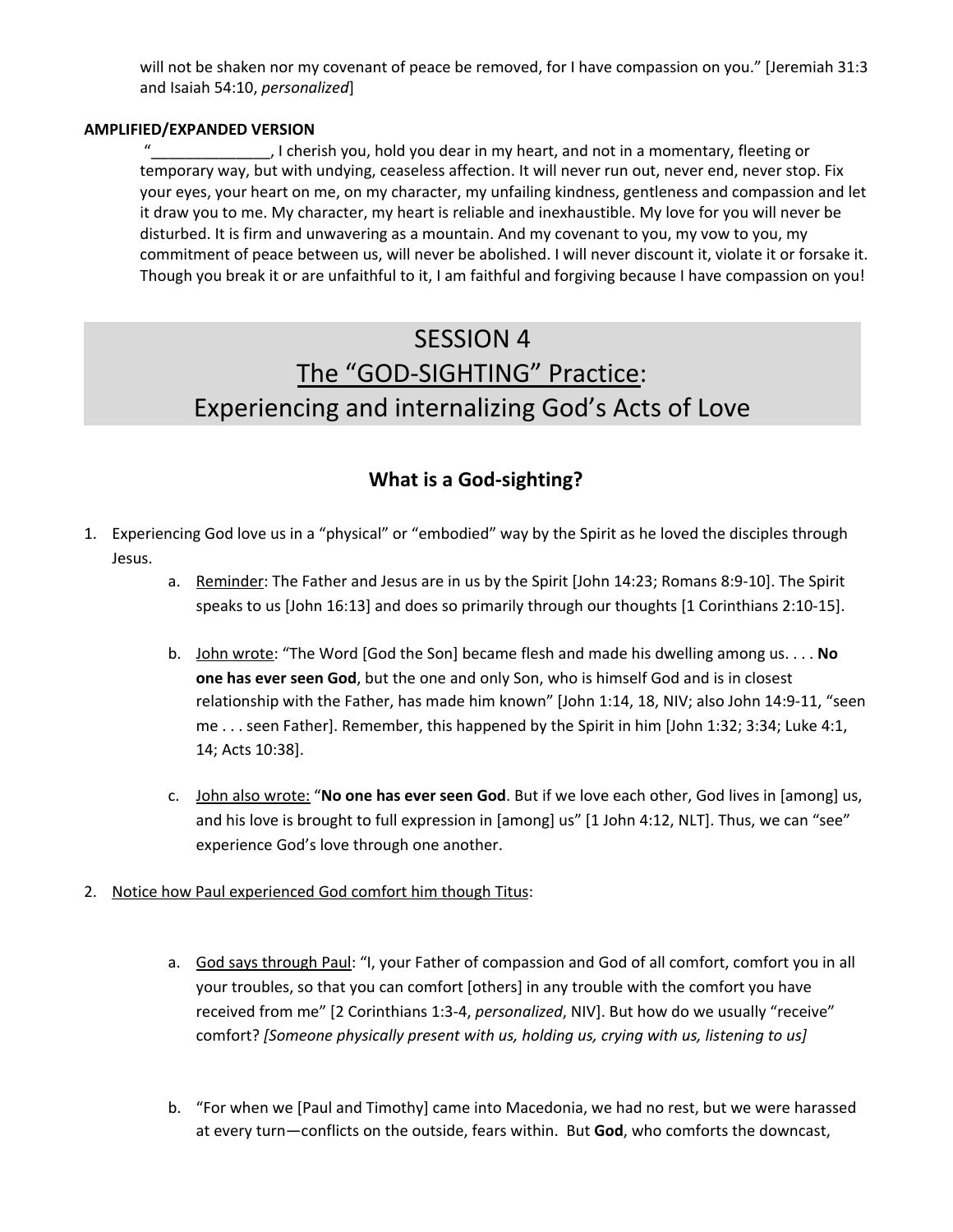will not be shaken nor my covenant of peace be removed, for I have compassion on you." [Jeremiah 31:3 and Isaiah 54:10, *personalized*]

#### **AMPLIFIED/EXPANDED VERSION**

, I cherish you, hold you dear in my heart, and not in a momentary, fleeting or temporary way, but with undying, ceaseless affection. It will never run out, never end, never stop. Fix your eyes, your heart on me, on my character, my unfailing kindness, gentleness and compassion and let it draw you to me. My character, my heart is reliable and inexhaustible. My love for you will never be disturbed. It is firm and unwavering as a mountain. And my covenant to you, my vow to you, my commitment of peace between us, will never be abolished. I will never discount it, violate it or forsake it. Though you break it or are unfaithful to it, I am faithful and forgiving because I have compassion on you!

# SESSION 4 The "GOD-SIGHTING" Practice: Experiencing and internalizing God's Acts of Love

### **What is a God-sighting?**

- 1. Experiencing God love us in a "physical" or "embodied" way by the Spirit as he loved the disciples through Jesus.
	- a. Reminder: The Father and Jesus are in us by the Spirit [John 14:23; Romans 8:9-10]. The Spirit speaks to us [John 16:13] and does so primarily through our thoughts [1 Corinthians 2:10-15].
	- b. John wrote: "The Word [God the Son] became flesh and made his dwelling among us. . . . **No one has ever seen God**, but the one and only Son, who is himself God and is in closest relationship with the Father, has made him known" [John 1:14, 18, NIV; also John 14:9-11, "seen me . . . seen Father]. Remember, this happened by the Spirit in him [John 1:32; 3:34; Luke 4:1, 14; Acts 10:38].
	- c. John also wrote: "**No one has ever seen God**. But if we love each other, God lives in [among] us, and his love is brought to full expression in [among] us" [1 John 4:12, NLT]. Thus, we can "see" experience God's love through one another.
- 2. Notice how Paul experienced God comfort him though Titus:
	- a. God says through Paul: "I, your Father of compassion and God of all comfort, comfort you in all your troubles, so that you can comfort [others] in any trouble with the comfort you have received from me" [2 Corinthians 1:3-4, *personalized*, NIV]. But how do we usually "receive" comfort? *[Someone physically present with us, holding us, crying with us, listening to us]*
	- b. "For when we [Paul and Timothy] came into Macedonia, we had no rest, but we were harassed at every turn—conflicts on the outside, fears within. But **God**, who comforts the downcast,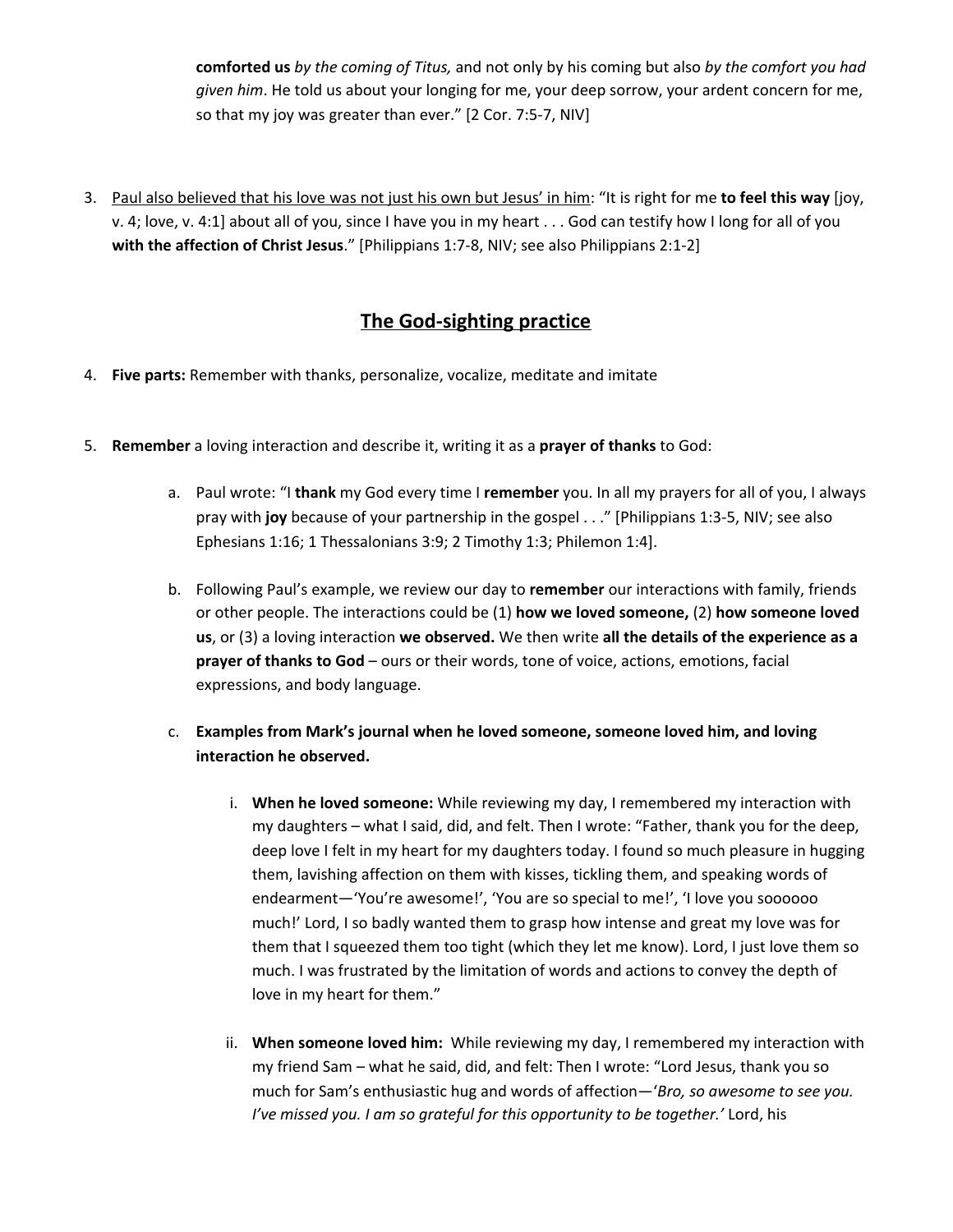**comforted us** *by the coming of Titus,* and not only by his coming but also *by the comfort you had given him*. He told us about your longing for me, your deep sorrow, your ardent concern for me, so that my joy was greater than ever." [2 Cor. 7:5-7, NIV]

3. Paul also believed that his love was not just his own but Jesus' in him: "It is right for me **to feel this way** [joy, v. 4; love, v. 4:1] about all of you, since I have you in my heart . . . God can testify how I long for all of you **with the affection of Christ Jesus**." [Philippians 1:7-8, NIV; see also Philippians 2:1-2]

### **The God-sighting practice**

- 4. **Five parts:** Remember with thanks, personalize, vocalize, meditate and imitate
- 5. **Remember** a loving interaction and describe it, writing it as a **prayer of thanks** to God:
	- a. Paul wrote: "I **thank** my God every time I **remember** you. In all my prayers for all of you, I always pray with **joy** because of your partnership in the gospel . . ." [Philippians 1:3-5, NIV; see also Ephesians 1:16; 1 Thessalonians 3:9; 2 Timothy 1:3; Philemon 1:4].
	- b. Following Paul's example, we review our day to **remember** our interactions with family, friends or other people. The interactions could be (1) **how we loved someone,** (2) **how someone loved us**, or (3) a loving interaction **we observed.** We then write **all the details of the experience as a prayer of thanks to God** – ours or their words, tone of voice, actions, emotions, facial expressions, and body language.
	- c. **Examples from Mark's journal when he loved someone, someone loved him, and loving interaction he observed.**
		- i. **When he loved someone:** While reviewing my day, I remembered my interaction with my daughters – what I said, did, and felt. Then I wrote: "Father, thank you for the deep, deep love I felt in my heart for my daughters today. I found so much pleasure in hugging them, lavishing affection on them with kisses, tickling them, and speaking words of endearment—'You're awesome!', 'You are so special to me!', 'I love you soooooo much!' Lord, I so badly wanted them to grasp how intense and great my love was for them that I squeezed them too tight (which they let me know). Lord, I just love them so much. I was frustrated by the limitation of words and actions to convey the depth of love in my heart for them."
		- ii. **When someone loved him:** While reviewing my day, I remembered my interaction with my friend Sam – what he said, did, and felt: Then I wrote: "Lord Jesus, thank you so much for Sam's enthusiastic hug and words of affection—'*Bro, so awesome to see you. I've missed you. I am so grateful for this opportunity to be together.'* Lord, his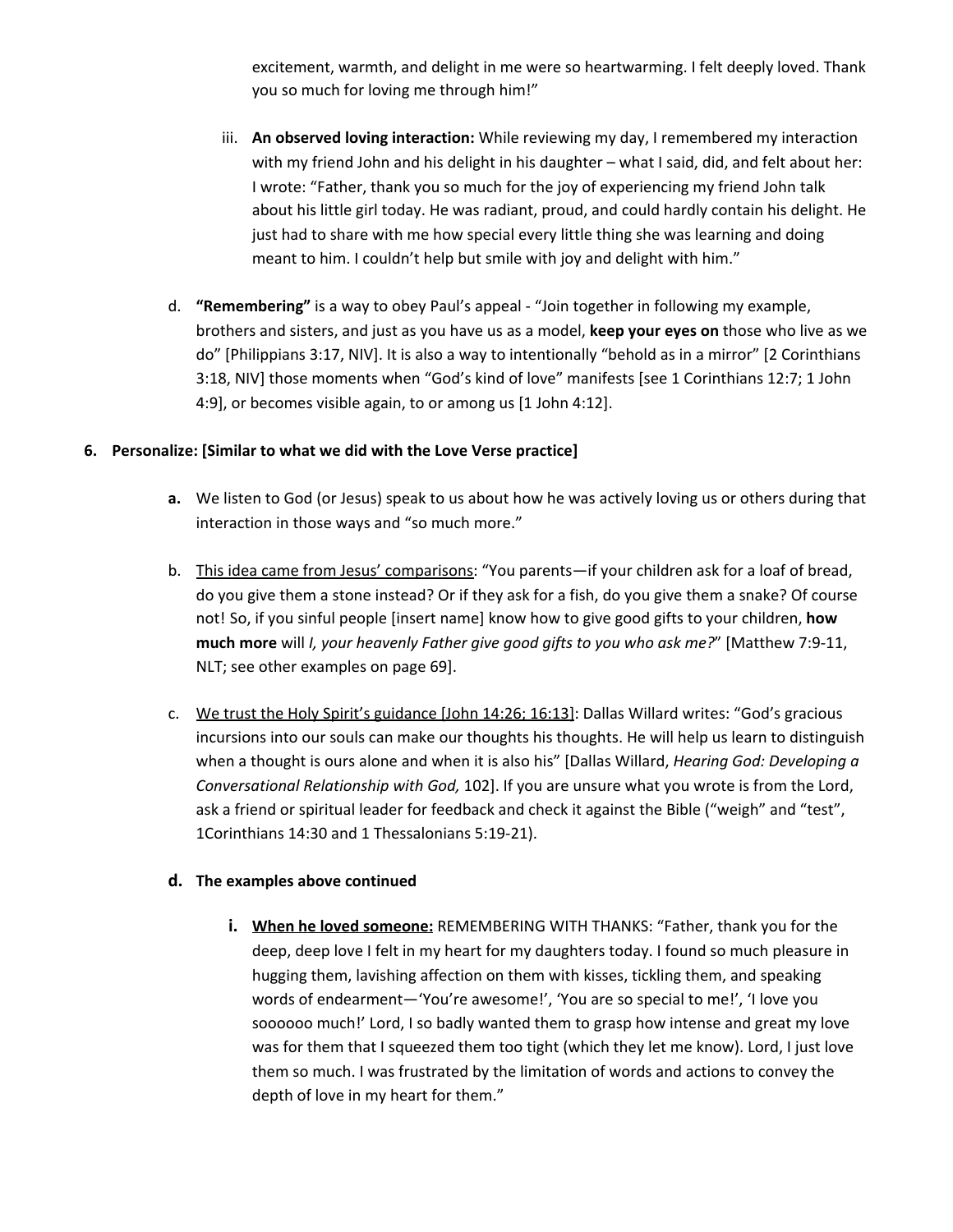excitement, warmth, and delight in me were so heartwarming. I felt deeply loved. Thank you so much for loving me through him!"

- iii. **An observed loving interaction:** While reviewing my day, I remembered my interaction with my friend John and his delight in his daughter – what I said, did, and felt about her: I wrote: "Father, thank you so much for the joy of experiencing my friend John talk about his little girl today. He was radiant, proud, and could hardly contain his delight. He just had to share with me how special every little thing she was learning and doing meant to him. I couldn't help but smile with joy and delight with him."
- d. **"Remembering"** is a way to obey Paul's appeal "Join together in following my example, brothers and sisters, and just as you have us as a model, **keep your eyes on** those who live as we do" [Philippians 3:17, NIV]. It is also a way to intentionally "behold as in a mirror" [2 Corinthians 3:18, NIV] those moments when "God's kind of love" manifests [see 1 Corinthians 12:7; 1 John 4:9], or becomes visible again, to or among us [1 John 4:12].

### **6. Personalize: [Similar to what we did with the Love Verse practice]**

- **a.** We listen to God (or Jesus) speak to us about how he was actively loving us or others during that interaction in those ways and "so much more."
- b. This idea came from Jesus' comparisons: "You parents—if your children ask for a loaf of bread, do you give them a stone instead? Or if they ask for a fish, do you give them a snake? Of course not! So, if you sinful people [insert name] know how to give good gifts to your children, **how much more** will *I, your heavenly Father give good gifts to you who ask me?*" [Matthew 7:9-11, NLT; see other examples on page 69].
- c. We trust the Holy Spirit's guidance [John 14:26; 16:13]: Dallas Willard writes: "God's gracious incursions into our souls can make our thoughts his thoughts. He will help us learn to distinguish when a thought is ours alone and when it is also his" [Dallas Willard, *Hearing God: Developing a Conversational Relationship with God,* 102]. If you are unsure what you wrote is from the Lord, ask a friend or spiritual leader for feedback and check it against the Bible ("weigh" and "test", 1Corinthians 14:30 and 1 Thessalonians 5:19-21).

### **d. The examples above continued**

**i. When he loved someone:** REMEMBERING WITH THANKS: "Father, thank you for the deep, deep love I felt in my heart for my daughters today. I found so much pleasure in hugging them, lavishing affection on them with kisses, tickling them, and speaking words of endearment—'You're awesome!', 'You are so special to me!', 'I love you soooooo much!' Lord, I so badly wanted them to grasp how intense and great my love was for them that I squeezed them too tight (which they let me know). Lord, I just love them so much. I was frustrated by the limitation of words and actions to convey the depth of love in my heart for them."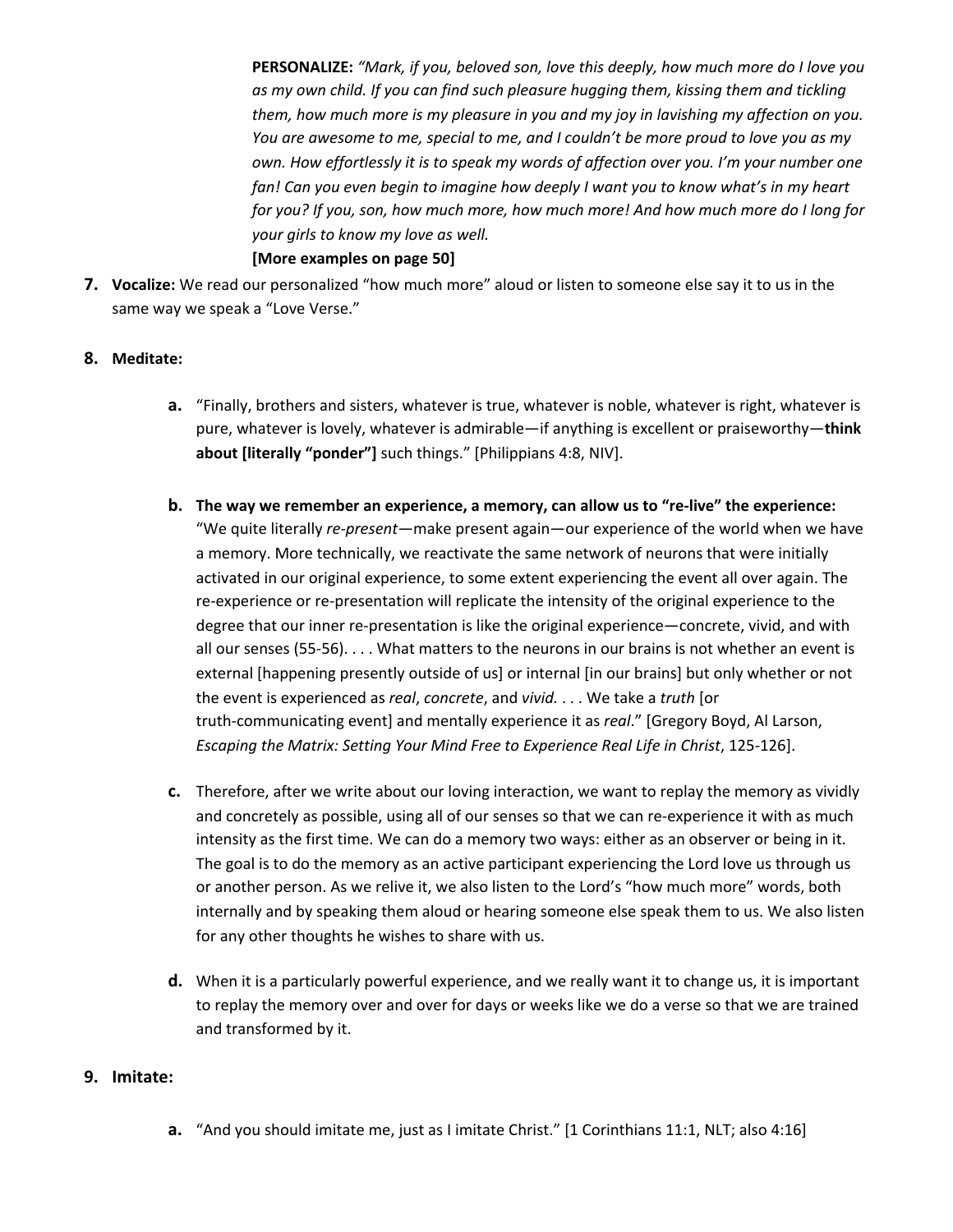**PERSONALIZE:** *"Mark, if you, beloved son, love this deeply, how much more do I love you as my own child. If you can find such pleasure hugging them, kissing them and tickling them, how much more is my pleasure in you and my joy in lavishing my affection on you. You are awesome to me, special to me, and I couldn't be more proud to love you as my own. How effortlessly it is to speak my words of affection over you. I'm your number one fan! Can you even begin to imagine how deeply I want you to know what's in my heart for you? If you, son, how much more, how much more! And how much more do I long for your girls to know my love as well.* **[More examples on page 50]**

**7. Vocalize:** We read our personalized "how much more" aloud or listen to someone else say it to us in the same way we speak a "Love Verse."

### **8. Meditate:**

- **a.** "Finally, brothers and sisters, whatever is true, whatever is noble, whatever is right, whatever is pure, whatever is lovely, whatever is admirable—if anything is excellent or praiseworthy—**think about [literally "ponder"]** such things." [Philippians 4:8, NIV].
- **b. The way we remember an experience, a memory, can allow us to "re-live" the experience:** "We quite literally *re-present*—make present again—our experience of the world when we have a memory. More technically, we reactivate the same network of neurons that were initially activated in our original experience, to some extent experiencing the event all over again. The re-experience or re-presentation will replicate the intensity of the original experience to the degree that our inner re-presentation is like the original experience—concrete, vivid, and with all our senses (55-56). . . . What matters to the neurons in our brains is not whether an event is external [happening presently outside of us] or internal [in our brains] but only whether or not the event is experienced as *real*, *concrete*, and *vivid.* . . . We take a *truth* [or truth-communicating event] and mentally experience it as *real*." [Gregory Boyd, Al Larson, *Escaping the Matrix: Setting Your Mind Free to Experience Real Life in Christ*, 125-126].
- **c.** Therefore, after we write about our loving interaction, we want to replay the memory as vividly and concretely as possible, using all of our senses so that we can re-experience it with as much intensity as the first time. We can do a memory two ways: either as an observer or being in it. The goal is to do the memory as an active participant experiencing the Lord love us through us or another person. As we relive it, we also listen to the Lord's "how much more" words, both internally and by speaking them aloud or hearing someone else speak them to us. We also listen for any other thoughts he wishes to share with us.
- **d.** When it is a particularly powerful experience, and we really want it to change us, it is important to replay the memory over and over for days or weeks like we do a verse so that we are trained and transformed by it.

#### **9. Imitate:**

**a.** "And you should imitate me, just as I imitate Christ." [1 Corinthians 11:1, NLT; also 4:16]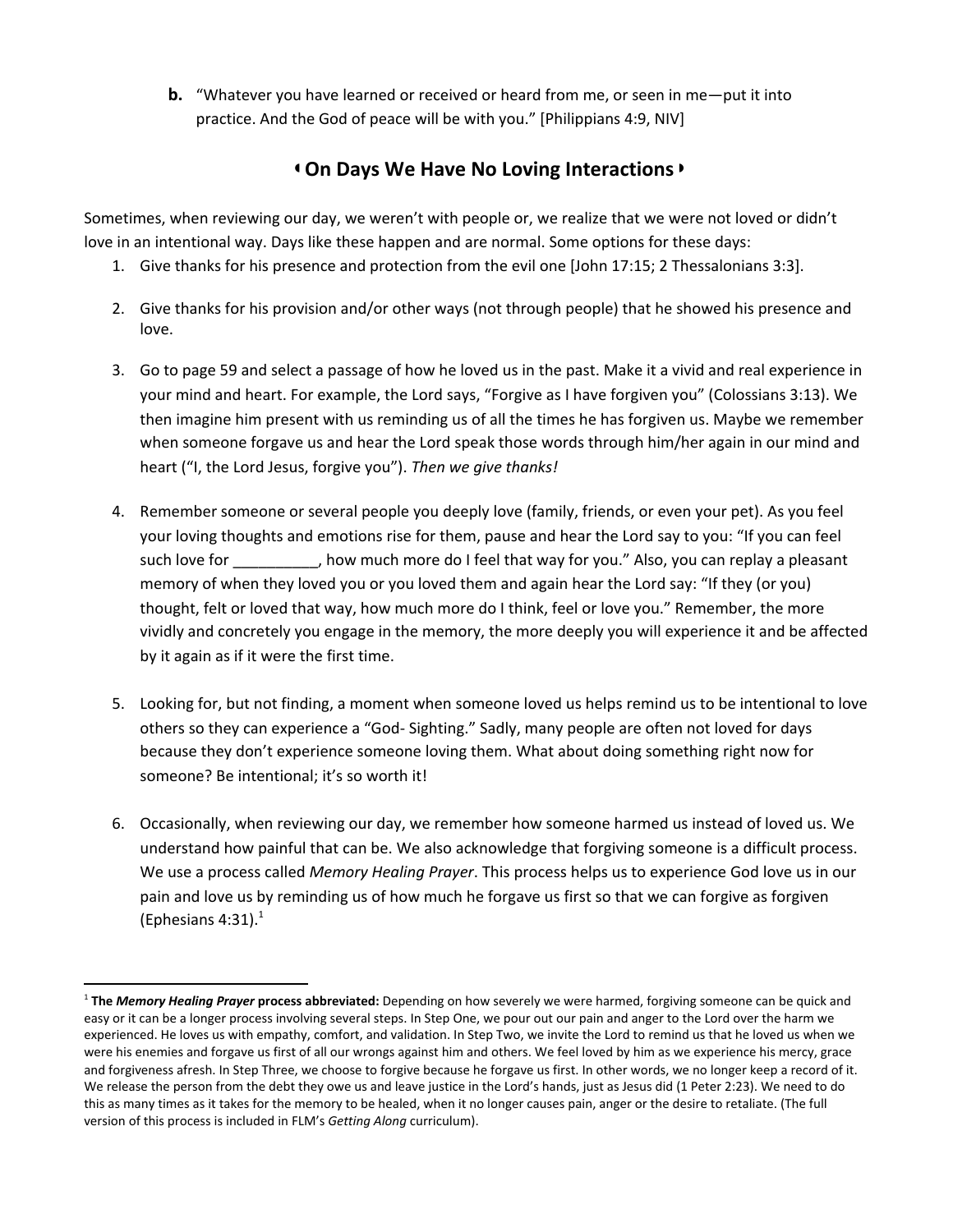**b.** "Whatever you have learned or received or heard from me, or seen in me—put it into practice. And the God of peace will be with you." [Philippians 4:9, NIV]

### ◖**On Days We Have No Loving Interactions**◗

Sometimes, when reviewing our day, we weren't with people or, we realize that we were not loved or didn't love in an intentional way. Days like these happen and are normal. Some options for these days:

- 1. Give thanks for his presence and protection from the evil one [John 17:15; 2 Thessalonians 3:3].
- 2. Give thanks for his provision and/or other ways (not through people) that he showed his presence and love.
- 3. Go to page 59 and select a passage of how he loved us in the past. Make it a vivid and real experience in your mind and heart. For example, the Lord says, "Forgive as I have forgiven you" (Colossians 3:13). We then imagine him present with us reminding us of all the times he has forgiven us. Maybe we remember when someone forgave us and hear the Lord speak those words through him/her again in our mind and heart ("I, the Lord Jesus, forgive you"). *Then we give thanks!*
- 4. Remember someone or several people you deeply love (family, friends, or even your pet). As you feel your loving thoughts and emotions rise for them, pause and hear the Lord say to you: "If you can feel such love for \_\_\_\_\_\_\_\_\_, how much more do I feel that way for you." Also, you can replay a pleasant memory of when they loved you or you loved them and again hear the Lord say: "If they (or you) thought, felt or loved that way, how much more do I think, feel or love you." Remember, the more vividly and concretely you engage in the memory, the more deeply you will experience it and be affected by it again as if it were the first time.
- 5. Looking for, but not finding, a moment when someone loved us helps remind us to be intentional to love others so they can experience a "God- Sighting." Sadly, many people are often not loved for days because they don't experience someone loving them. What about doing something right now for someone? Be intentional; it's so worth it!
- 6. Occasionally, when reviewing our day, we remember how someone harmed us instead of loved us. We understand how painful that can be. We also acknowledge that forgiving someone is a difficult process. We use a process called *Memory Healing Prayer*. This process helps us to experience God love us in our pain and love us by reminding us of how much he forgave us first so that we can forgive as forgiven (Ephesians 4:31). $<sup>1</sup>$ </sup>

<sup>1</sup> **The** *Memory Healing Prayer* **process abbreviated:** Depending on how severely we were harmed, forgiving someone can be quick and easy or it can be a longer process involving several steps. In Step One, we pour out our pain and anger to the Lord over the harm we experienced. He loves us with empathy, comfort, and validation. In Step Two, we invite the Lord to remind us that he loved us when we were his enemies and forgave us first of all our wrongs against him and others. We feel loved by him as we experience his mercy, grace and forgiveness afresh. In Step Three, we choose to forgive because he forgave us first. In other words, we no longer keep a record of it. We release the person from the debt they owe us and leave justice in the Lord's hands, just as Jesus did (1 Peter 2:23). We need to do this as many times as it takes for the memory to be healed, when it no longer causes pain, anger or the desire to retaliate. (The full version of this process is included in FLM's *Getting Along* curriculum).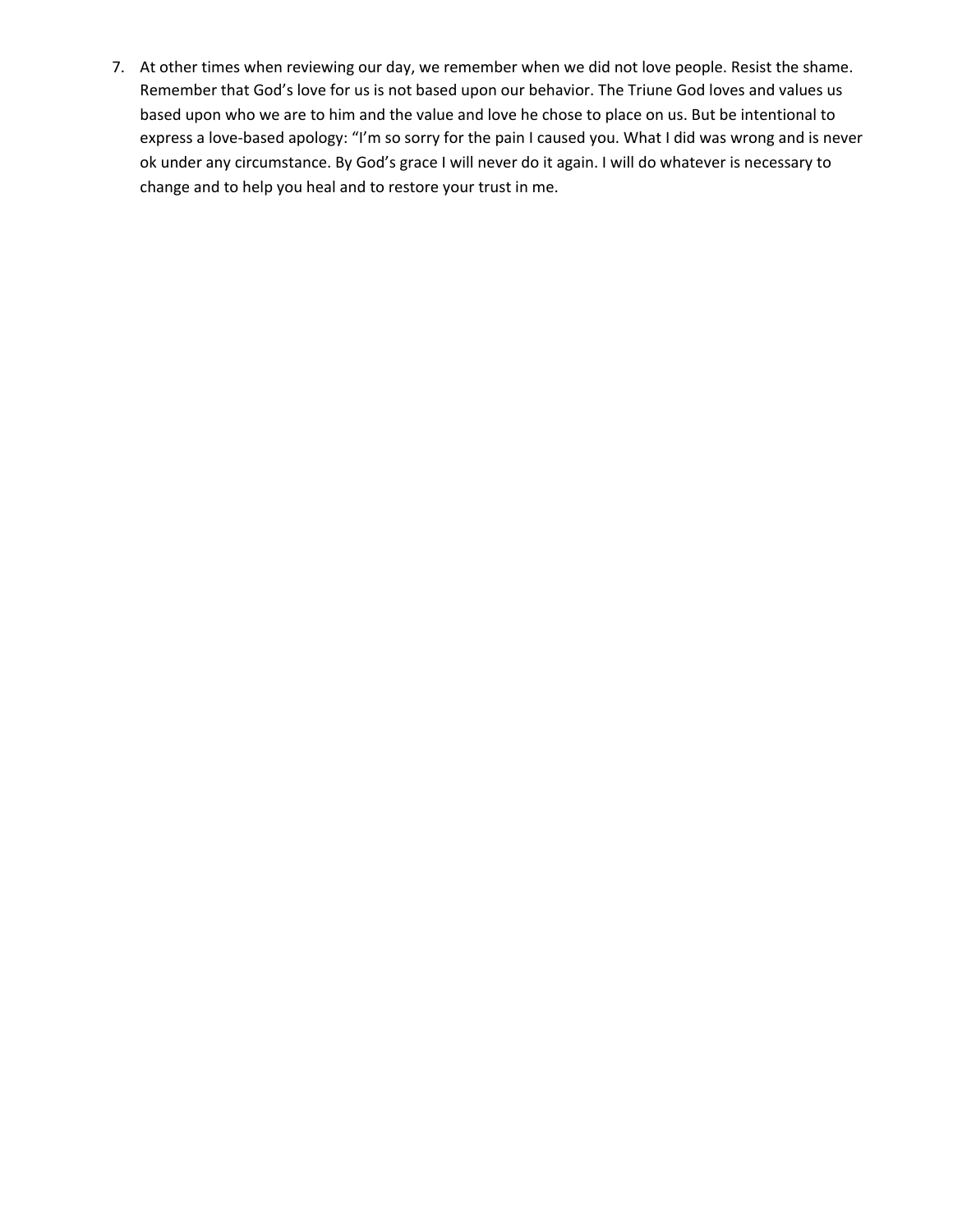7. At other times when reviewing our day, we remember when we did not love people. Resist the shame. Remember that God's love for us is not based upon our behavior. The Triune God loves and values us based upon who we are to him and the value and love he chose to place on us. But be intentional to express a love-based apology: "I'm so sorry for the pain I caused you. What I did was wrong and is never ok under any circumstance. By God's grace I will never do it again. I will do whatever is necessary to change and to help you heal and to restore your trust in me.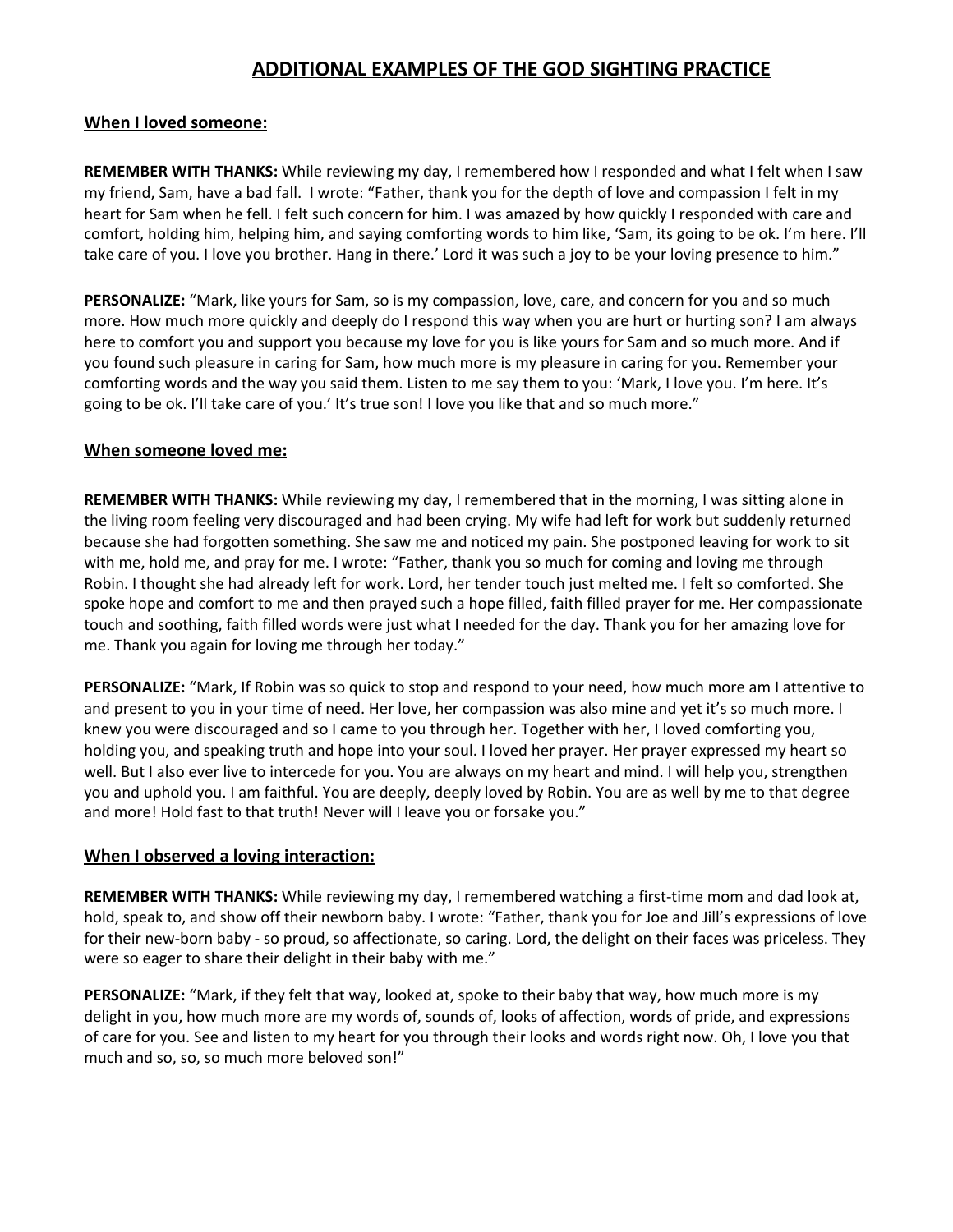### **ADDITIONAL EXAMPLES OF THE GOD SIGHTING PRACTICE**

### **When I loved someone:**

**REMEMBER WITH THANKS:** While reviewing my day, I remembered how I responded and what I felt when I saw my friend, Sam, have a bad fall. I wrote: "Father, thank you for the depth of love and compassion I felt in my heart for Sam when he fell. I felt such concern for him. I was amazed by how quickly I responded with care and comfort, holding him, helping him, and saying comforting words to him like, 'Sam, its going to be ok. I'm here. I'll take care of you. I love you brother. Hang in there.' Lord it was such a joy to be your loving presence to him."

**PERSONALIZE:** "Mark, like yours for Sam, so is my compassion, love, care, and concern for you and so much more. How much more quickly and deeply do I respond this way when you are hurt or hurting son? I am always here to comfort you and support you because my love for you is like yours for Sam and so much more. And if you found such pleasure in caring for Sam, how much more is my pleasure in caring for you. Remember your comforting words and the way you said them. Listen to me say them to you: 'Mark, I love you. I'm here. It's going to be ok. I'll take care of you.' It's true son! I love you like that and so much more."

#### **When someone loved me:**

**REMEMBER WITH THANKS:** While reviewing my day, I remembered that in the morning, I was sitting alone in the living room feeling very discouraged and had been crying. My wife had left for work but suddenly returned because she had forgotten something. She saw me and noticed my pain. She postponed leaving for work to sit with me, hold me, and pray for me. I wrote: "Father, thank you so much for coming and loving me through Robin. I thought she had already left for work. Lord, her tender touch just melted me. I felt so comforted. She spoke hope and comfort to me and then prayed such a hope filled, faith filled prayer for me. Her compassionate touch and soothing, faith filled words were just what I needed for the day. Thank you for her amazing love for me. Thank you again for loving me through her today."

**PERSONALIZE:** "Mark, If Robin was so quick to stop and respond to your need, how much more am I attentive to and present to you in your time of need. Her love, her compassion was also mine and yet it's so much more. I knew you were discouraged and so I came to you through her. Together with her, I loved comforting you, holding you, and speaking truth and hope into your soul. I loved her prayer. Her prayer expressed my heart so well. But I also ever live to intercede for you. You are always on my heart and mind. I will help you, strengthen you and uphold you. I am faithful. You are deeply, deeply loved by Robin. You are as well by me to that degree and more! Hold fast to that truth! Never will I leave you or forsake you."

### **When I observed a loving interaction:**

**REMEMBER WITH THANKS:** While reviewing my day, I remembered watching a first-time mom and dad look at, hold, speak to, and show off their newborn baby. I wrote: "Father, thank you for Joe and Jill's expressions of love for their new-born baby - so proud, so affectionate, so caring. Lord, the delight on their faces was priceless. They were so eager to share their delight in their baby with me."

**PERSONALIZE:** "Mark, if they felt that way, looked at, spoke to their baby that way, how much more is my delight in you, how much more are my words of, sounds of, looks of affection, words of pride, and expressions of care for you. See and listen to my heart for you through their looks and words right now. Oh, I love you that much and so, so, so much more beloved son!"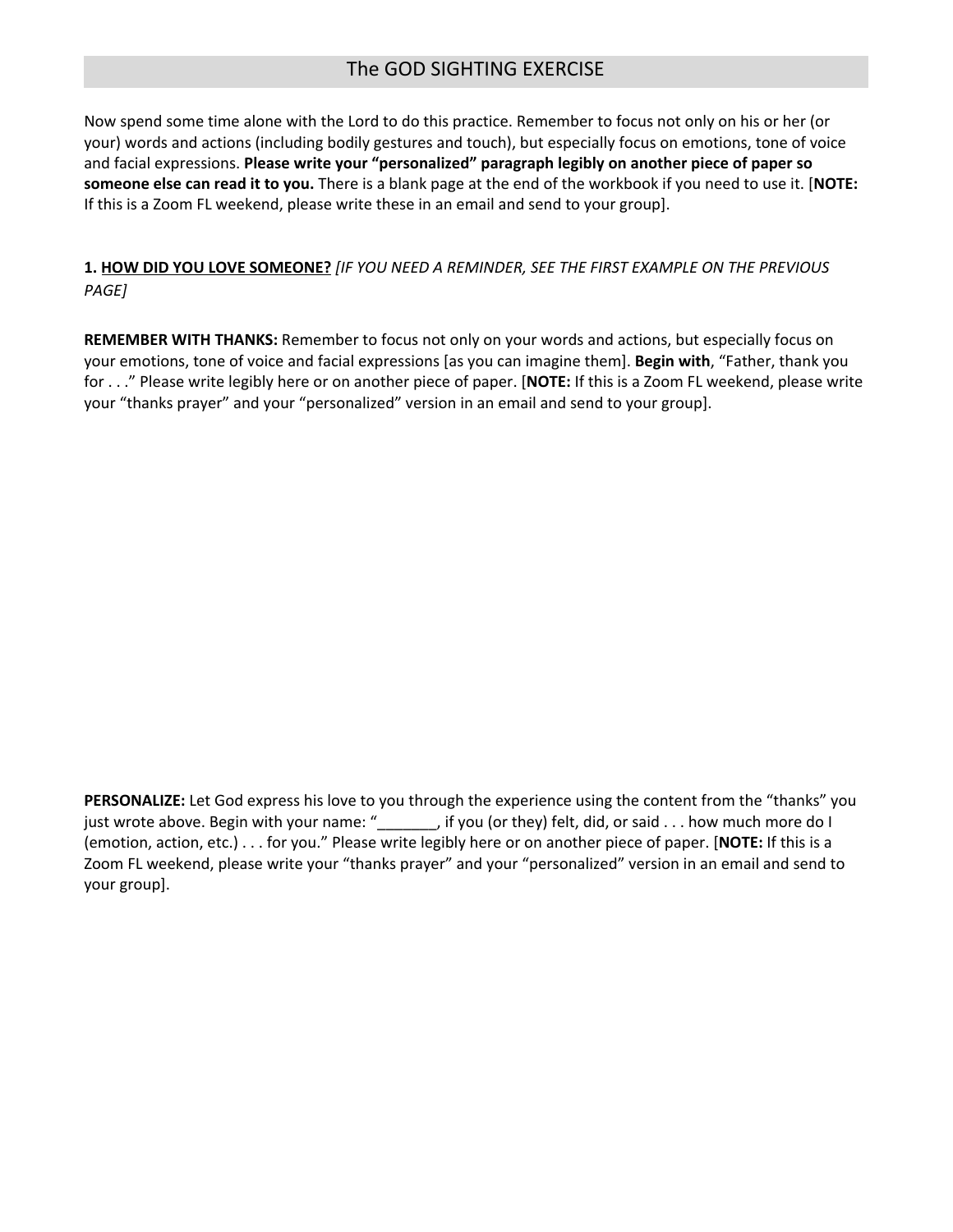### The GOD SIGHTING EXERCISE

Now spend some time alone with the Lord to do this practice. Remember to focus not only on his or her (or your) words and actions (including bodily gestures and touch), but especially focus on emotions, tone of voice and facial expressions. **Please write your "personalized" paragraph legibly on another piece of paper so someone else can read it to you.** There is a blank page at the end of the workbook if you need to use it. [**NOTE:** If this is a Zoom FL weekend, please write these in an email and send to your group].

**1. HOW DID YOU LOVE SOMEONE?** *[IF YOU NEED A REMINDER, SEE THE FIRST EXAMPLE ON THE PREVIOUS PAGE]*

**REMEMBER WITH THANKS:** Remember to focus not only on your words and actions, but especially focus on your emotions, tone of voice and facial expressions [as you can imagine them]. **Begin with**, "Father, thank you for . . ." Please write legibly here or on another piece of paper. [**NOTE:** If this is a Zoom FL weekend, please write your "thanks prayer" and your "personalized" version in an email and send to your group].

**PERSONALIZE:** Let God express his love to you through the experience using the content from the "thanks" you just wrote above. Begin with your name: "\_\_\_\_\_\_\_, if you (or they) felt, did, or said . . . how much more do I (emotion, action, etc.) . . . for you." Please write legibly here or on another piece of paper. [**NOTE:** If this is a Zoom FL weekend, please write your "thanks prayer" and your "personalized" version in an email and send to your group].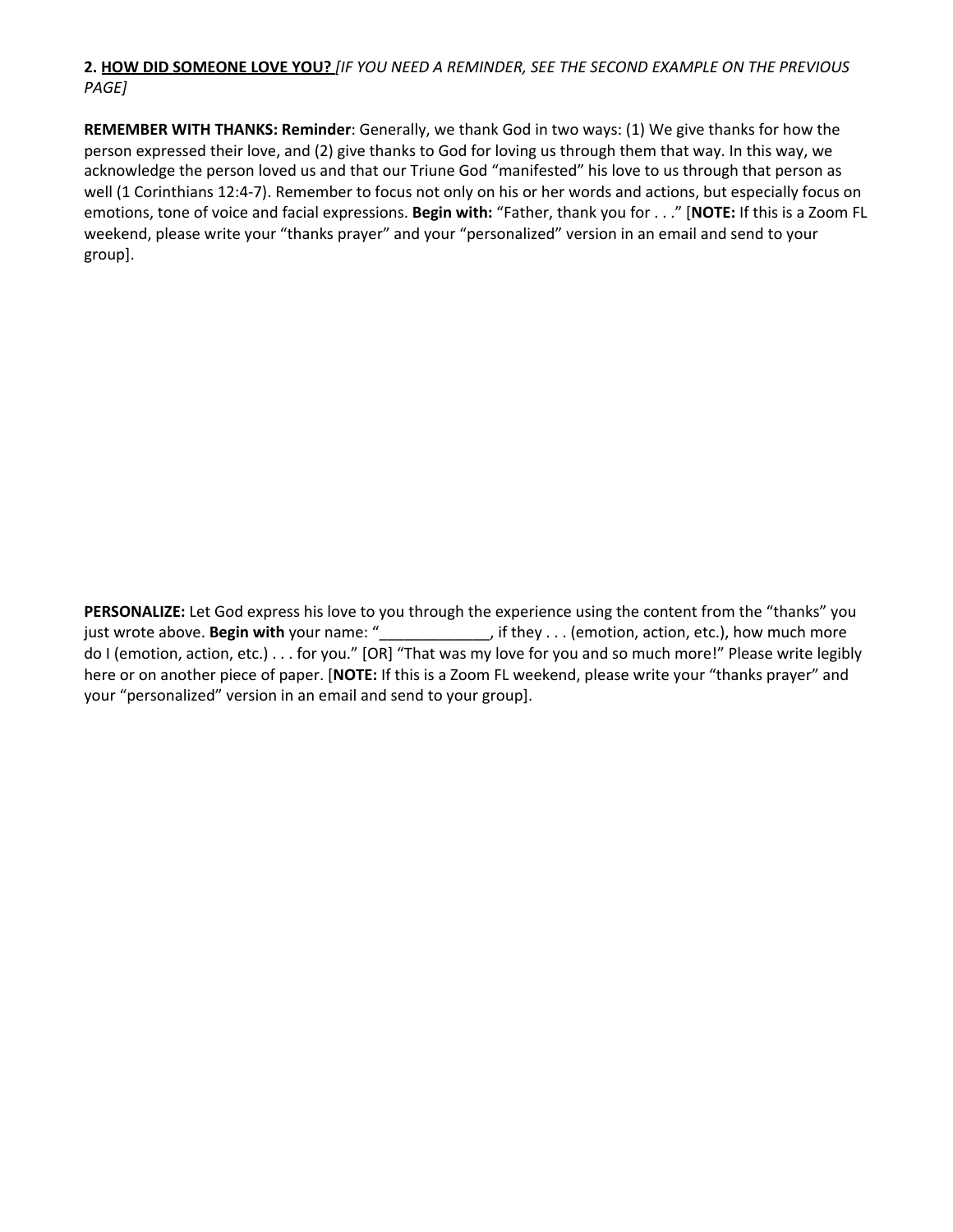### **2. HOW DID SOMEONE LOVE YOU?** *[IF YOU NEED A REMINDER, SEE THE SECOND EXAMPLE ON THE PREVIOUS PAGE]*

**REMEMBER WITH THANKS: Reminder**: Generally, we thank God in two ways: (1) We give thanks for how the person expressed their love, and (2) give thanks to God for loving us through them that way. In this way, we acknowledge the person loved us and that our Triune God "manifested" his love to us through that person as well (1 Corinthians 12:4-7). Remember to focus not only on his or her words and actions, but especially focus on emotions, tone of voice and facial expressions. **Begin with:** "Father, thank you for . . ." [**NOTE:** If this is a Zoom FL weekend, please write your "thanks prayer" and your "personalized" version in an email and send to your group].

**PERSONALIZE:** Let God express his love to you through the experience using the content from the "thanks" you just wrote above. **Begin with** your name: "\_\_\_\_\_\_\_\_\_\_\_\_\_, if they . . . (emotion, action, etc.), how much more do I (emotion, action, etc.) . . . for you." [OR] "That was my love for you and so much more!" Please write legibly here or on another piece of paper. [**NOTE:** If this is a Zoom FL weekend, please write your "thanks prayer" and your "personalized" version in an email and send to your group].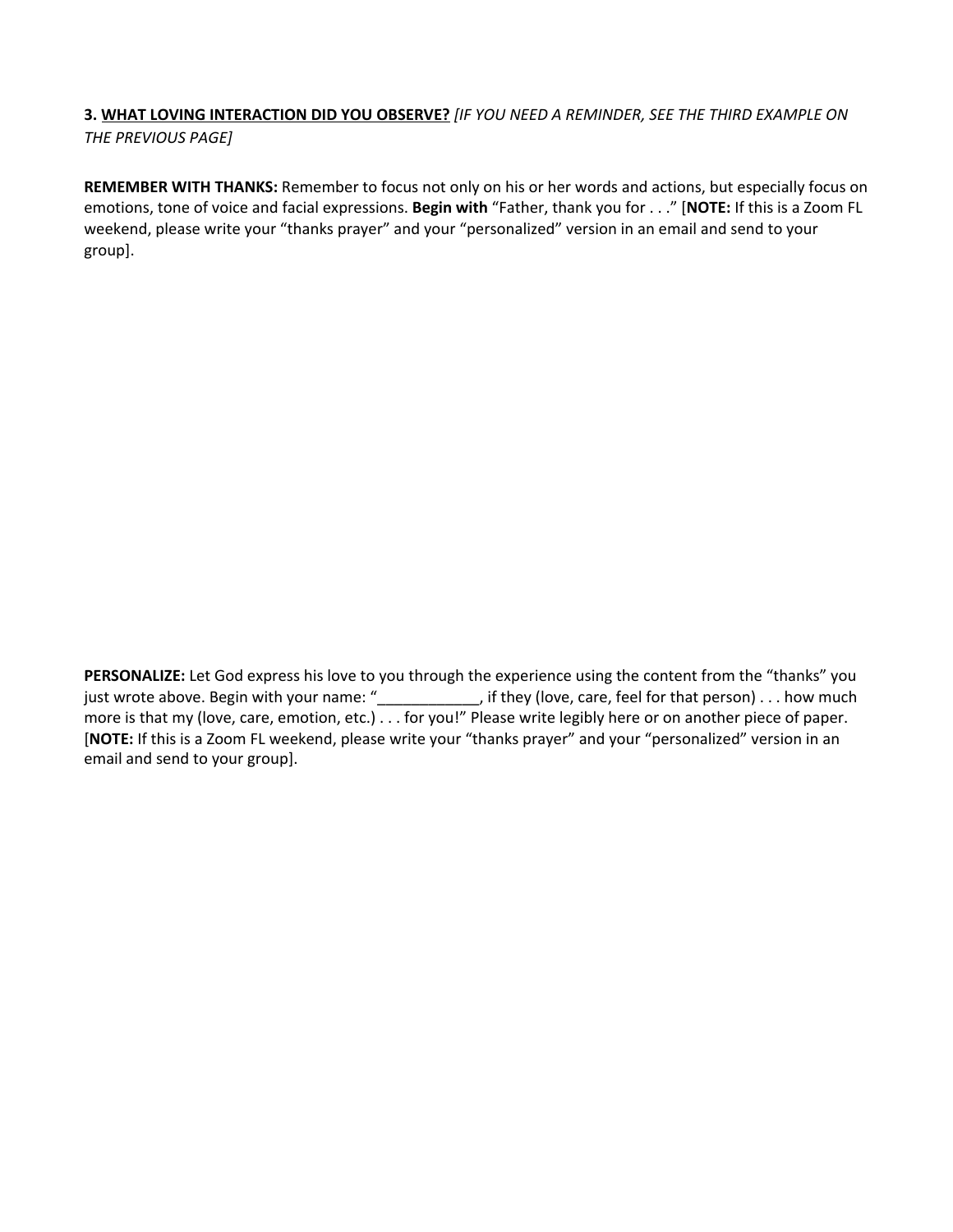### **3. WHAT LOVING INTERACTION DID YOU OBSERVE?** *[IF YOU NEED A REMINDER, SEE THE THIRD EXAMPLE ON THE PREVIOUS PAGE]*

**REMEMBER WITH THANKS:** Remember to focus not only on his or her words and actions, but especially focus on emotions, tone of voice and facial expressions. **Begin with** "Father, thank you for . . ." [**NOTE:** If this is a Zoom FL weekend, please write your "thanks prayer" and your "personalized" version in an email and send to your group].

**PERSONALIZE:** Let God express his love to you through the experience using the content from the "thanks" you just wrote above. Begin with your name: "\_\_\_\_\_\_\_\_\_\_\_, if they (love, care, feel for that person) . . . how much more is that my (love, care, emotion, etc.) . . . for you!" Please write legibly here or on another piece of paper. [**NOTE:** If this is a Zoom FL weekend, please write your "thanks prayer" and your "personalized" version in an email and send to your group].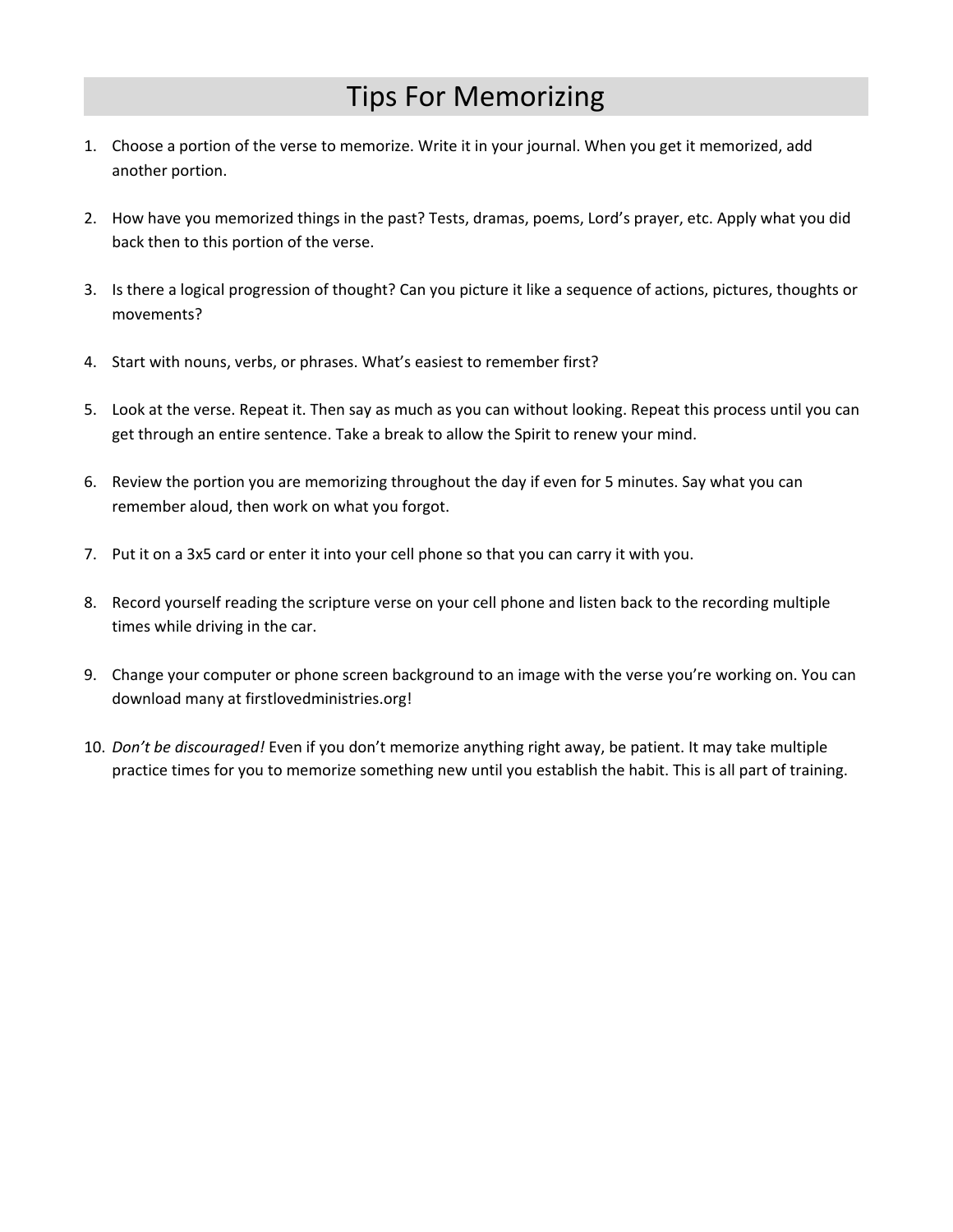# Tips For Memorizing

- 1. Choose a portion of the verse to memorize. Write it in your journal. When you get it memorized, add another portion.
- 2. How have you memorized things in the past? Tests, dramas, poems, Lord's prayer, etc. Apply what you did back then to this portion of the verse.
- 3. Is there a logical progression of thought? Can you picture it like a sequence of actions, pictures, thoughts or movements?
- 4. Start with nouns, verbs, or phrases. What's easiest to remember first?
- 5. Look at the verse. Repeat it. Then say as much as you can without looking. Repeat this process until you can get through an entire sentence. Take a break to allow the Spirit to renew your mind.
- 6. Review the portion you are memorizing throughout the day if even for 5 minutes. Say what you can remember aloud, then work on what you forgot.
- 7. Put it on a 3x5 card or enter it into your cell phone so that you can carry it with you.
- 8. Record yourself reading the scripture verse on your cell phone and listen back to the recording multiple times while driving in the car.
- 9. Change your computer or phone screen background to an image with the verse you're working on. You can download many at firstlovedministries.org!
- 10. *Don't be discouraged!* Even if you don't memorize anything right away, be patient. It may take multiple practice times for you to memorize something new until you establish the habit. This is all part of training.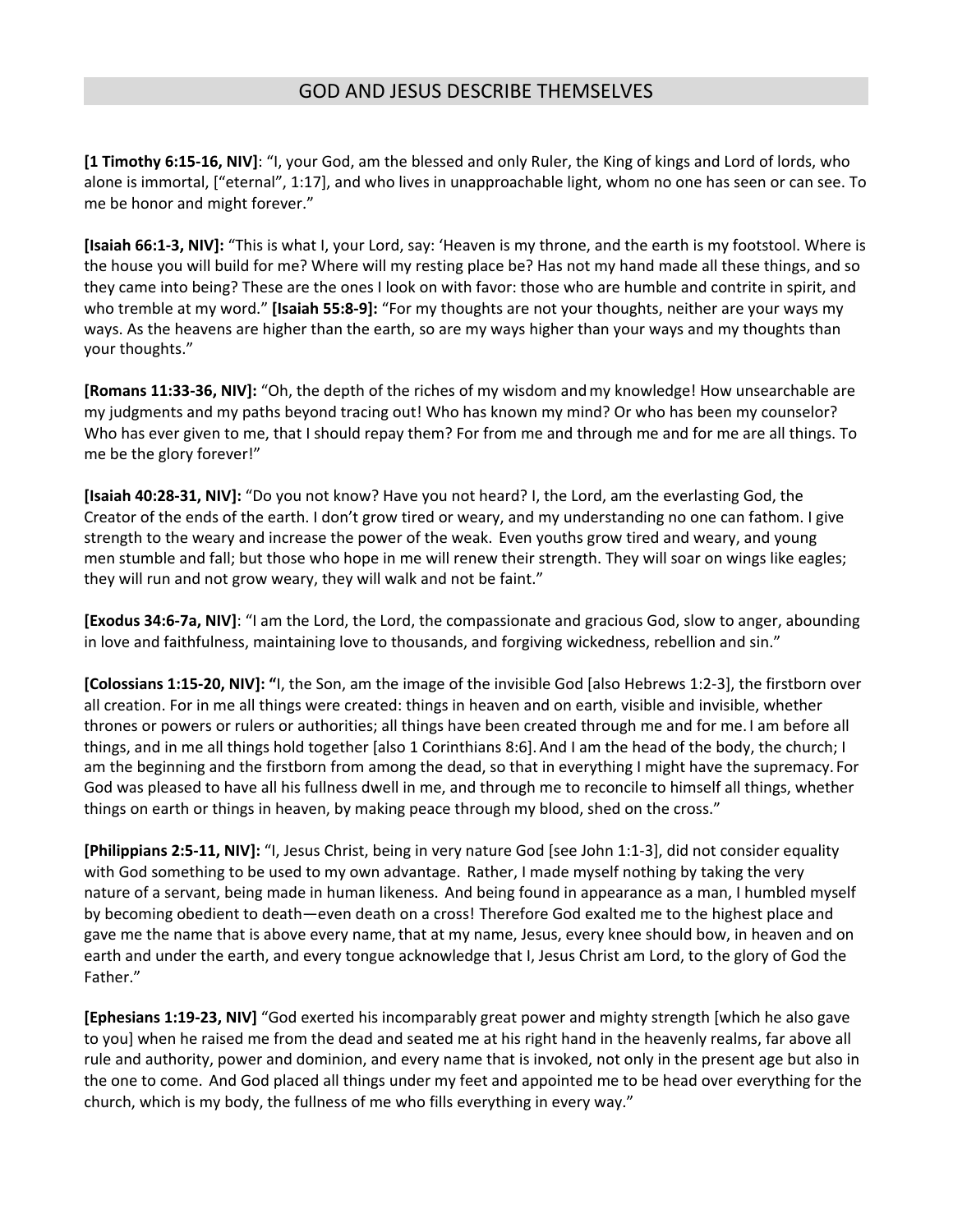**[1 Timothy 6:15-16, NIV]**: "I, your God, am the blessed and only Ruler, the King of kings and Lord of lords, who alone is immortal, ["eternal", 1:17], and who lives in unapproachable light, whom no one has seen or can see. To me be honor and might forever."

**[Isaiah 66:1-3, NIV]:** "This is what I, your Lord, say: 'Heaven is my throne, and the earth is my footstool. Where is the house you will build for me? Where will my resting place be? Has not my hand made all these things, and so they came into being? These are the ones I look on with favor: those who are humble and contrite in spirit, and who tremble at my word." **[Isaiah 55:8-9]:** "For my thoughts are not your thoughts, neither are your ways my ways. As the heavens are higher than the earth, so are my ways higher than your ways and my thoughts than your thoughts."

**[Romans 11:33-36, NIV]:** "Oh, the depth of the riches of my wisdom andmy knowledge! How unsearchable are my judgments and my paths beyond tracing out! Who has known my mind? Or who has been my counselor? Who has ever given to me, that I should repay them? For from me and through me and for me are all things. To me be the glory forever!"

**[Isaiah 40:28-31, NIV]:** "Do you not know? Have you not heard? I, the Lord, am the everlasting God, the Creator of the ends of the earth. I don't grow tired or weary, and my understanding no one can fathom. I give strength to the weary and increase the power of the weak. Even youths grow tired and weary, and young men stumble and fall; but those who hope in me will renew their strength. They will soar on wings like eagles; they will run and not grow weary, they will walk and not be faint."

**[Exodus 34:6-7a, NIV]**: "I am the Lord, the Lord, the compassionate and gracious God, slow to anger, abounding in love and faithfulness, maintaining love to thousands, and forgiving wickedness, rebellion and sin."

**[Colossians 1:15-20, NIV]: "**I, the Son, am the image of the invisible God [also Hebrews 1:2-3], the firstborn over all creation. For in me all things were created: things in heaven and on earth, visible and invisible, whether thrones or powers or rulers or authorities; all things have been created through me and for me. I am before all things, and in me all things hold together [also 1 Corinthians 8:6].And I am the head of the body, the church; I am the beginning and the firstborn from among the dead, so that in everything I might have the supremacy. For God was pleased to have all his fullness dwell in me, and through me to reconcile to himself all things, whether things on earth or things in heaven, by making peace through my blood, shed on the cross."

**[Philippians 2:5-11, NIV]:** "I, Jesus Christ, being in very nature God [see John 1:1-3], did not consider equality with God something to be used to my own advantage. Rather, I made myself nothing by taking the very nature of a servant, being made in human likeness. And being found in appearance as a man, I humbled myself by becoming obedient to death—even death on a cross! Therefore God exalted me to the highest place and gave me the name that is above every name, that at my name, Jesus, every knee should bow, in heaven and on earth and under the earth, and every tongue acknowledge that I, Jesus Christ am Lord, to the glory of God the Father."

**[Ephesians 1:19-23, NIV]** "God exerted his incomparably great power and mighty strength [which he also gave to you] when he raised me from the dead and seated me at his right hand in the heavenly realms, far above all rule and authority, power and dominion, and every name that is invoked, not only in the present age but also in the one to come. And God placed all things under my feet and appointed me to be head over everything for the church, which is my body, the fullness of me who fills everything in every way."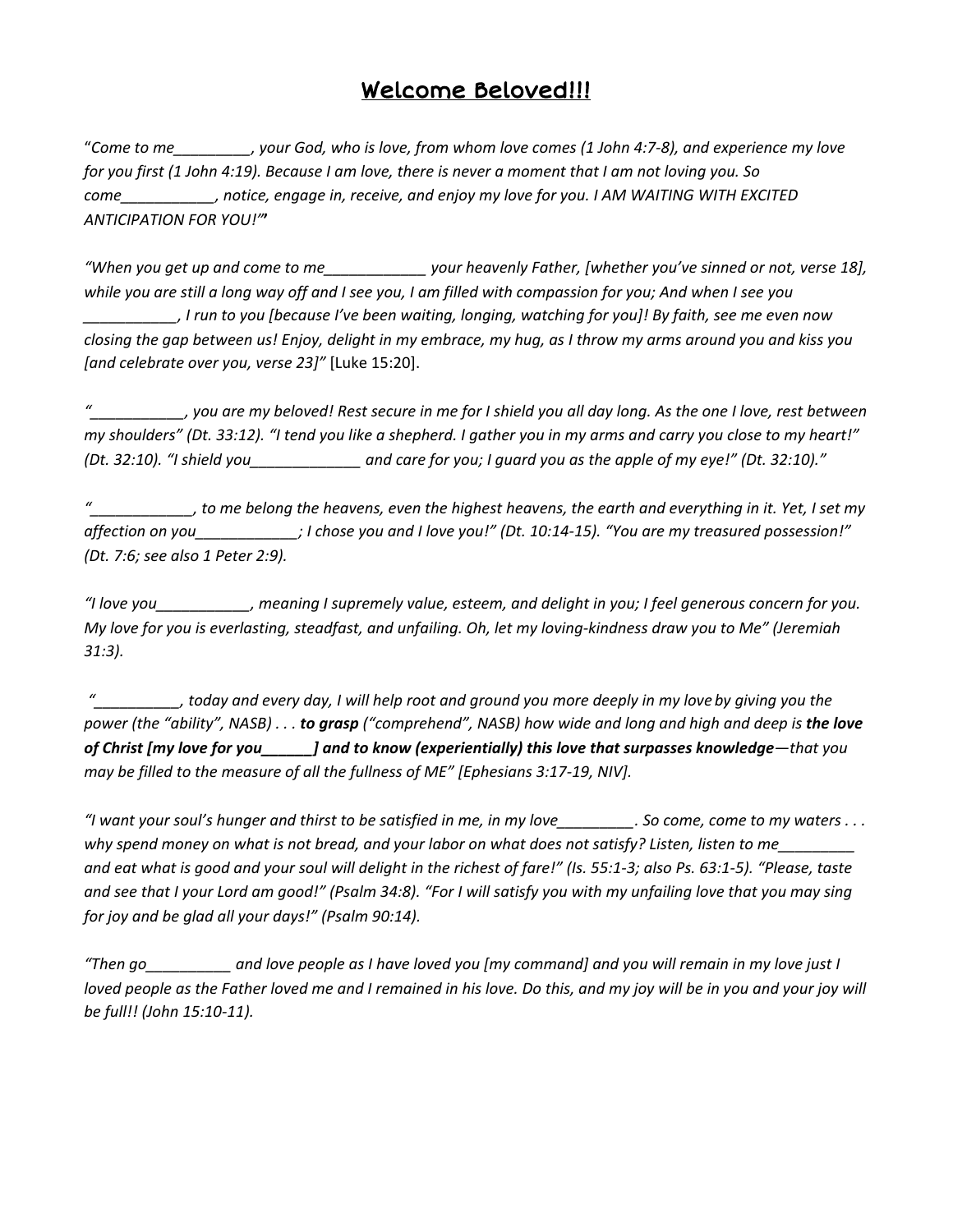# Welcome Beloved!!!

"Come to me example of your God, who is love, from whom love comes (1 John 4:7-8), and experience my love for you first (1 John 4:19). Because I am love, there is never a moment that I am not loving you. So *come\_\_\_\_\_\_\_\_\_\_\_, notice, engage in, receive, and enjoy my love for you. I AM WAITING WITH EXCITED ANTICIPATION FOR YOU!"***'**

"When you get up and come to me your heavenly Father, [whether you've sinned or not, verse 18], while you are still a long way off and I see you, I am filled with compassion for you; And when I see you , I run to you [because I've been waiting, longing, watching for you]! By faith, see me even now closing the gap between us! Enjoy, delight in my embrace, my hug, as I throw my arms around you and kiss you *[and celebrate over you, verse 23]"* [Luke 15:20].

you are my beloved! Rest secure in me for I shield you all day long. As the one I love, rest between ر my shoulders" (Dt. 33:12). "I tend you like a shepherd. I gather you in my arms and carry you close to my heart!" (Dt. 32:10). "I shield you and care for you; I guard you as the apple of my eye!" (Dt. 32:10)."

to me belong the heavens, even the highest heavens, the earth and everything in it. Yet, I set my," affection on you \_\_\_\_\_\_\_\_\_\_\_\_; I chose you and I love you!" (Dt. 10:14-15). "You are my treasured possession!" *(Dt. 7:6; see also 1 Peter 2:9).*

"I love you\_\_\_\_\_\_\_\_\_\_, meaning I supremely value, esteem, and delight in you; I feel generous concern for you. My love for you is everlasting, steadfast, and unfailing. Oh, let my loving-kindness draw you to Me" (Jeremiah *31:3).*

today and every day, I will help root and ground you more deeply in my love by giving you the power (the "ability", NASB)... to grasp ("comprehend", NASB) how wide and long and high and deep is the love of Christ [my love for you\_\_\_\_\_\_] and to know (experientially) this love that surpasses knowledge-that you *may be filled to the measure of all the fullness of ME" [Ephesians 3:17-19, NIV].*

"I want your soul's hunger and thirst to be satisfied in me, in my love\_\_\_\_\_\_\_\_\_. So come, come to my waters ... why spend money on what is not bread, and your labor on what does not satisfy? Listen, listen to me and eat what is good and your soul will delight in the richest of fare!" (Is. 55:1-3; also Ps. 63:1-5). "Please, taste and see that I your Lord am good!" (Psalm 34:8). "For I will satisfy you with my unfailing love that you may sing *for joy and be glad all your days!" (Psalm 90:14).*

*"Then go\_\_\_\_\_\_\_\_\_\_ and love people as I have loved you [my command] and you will remain in my love just I* loved people as the Father loved me and I remained in his love. Do this, and my joy will be in you and your joy will *be full!! (John 15:10-11).*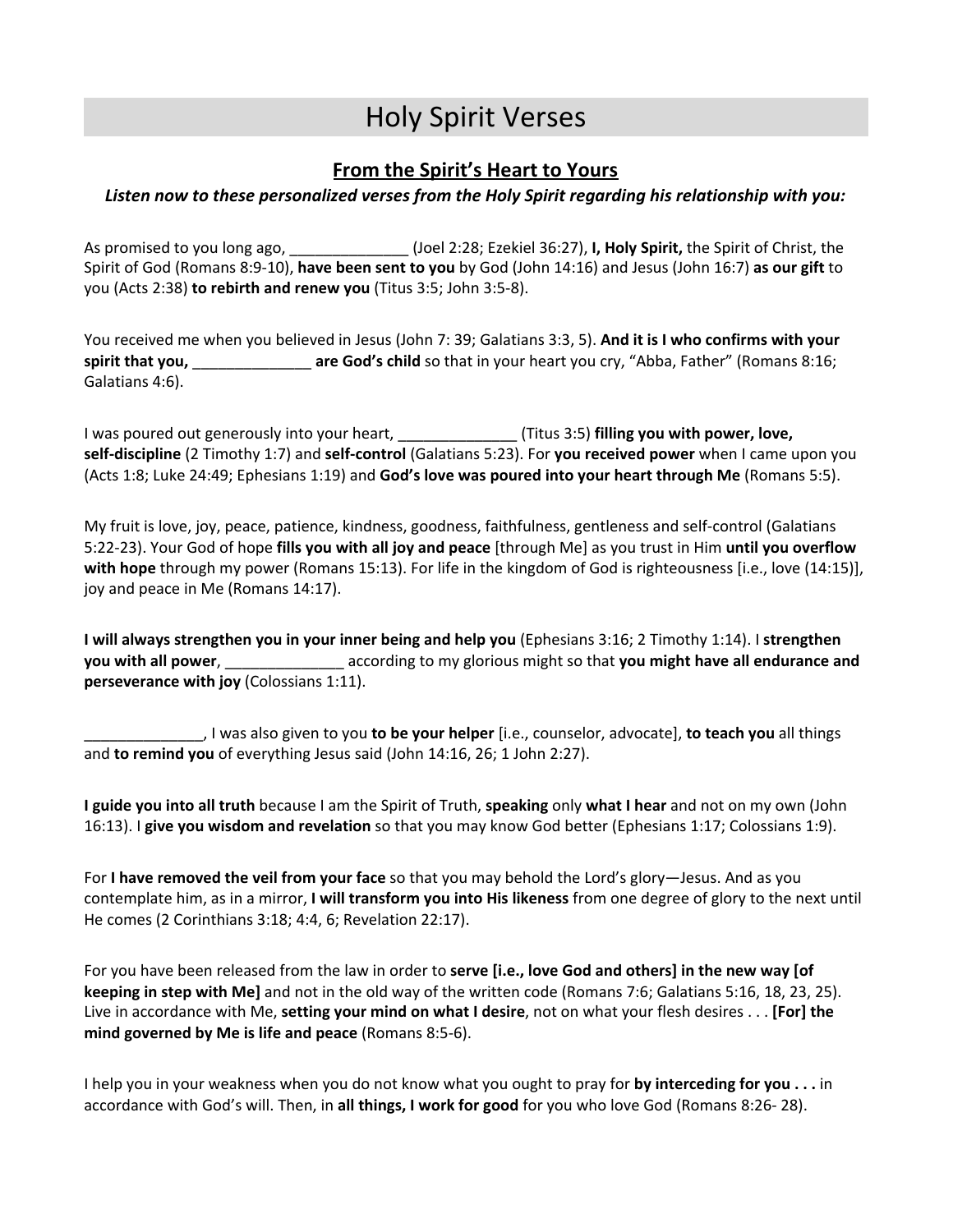# Holy Spirit Verses

### **From the Spirit's Heart to Yours**

### *Listen now to these personalized verses from the Holy Spirit regarding his relationship with you:*

As promised to you long ago, \_\_\_\_\_\_\_\_\_\_\_\_\_\_ (Joel 2:28; Ezekiel 36:27), **I, Holy Spirit,** the Spirit of Christ, the Spirit of God (Romans 8:9-10), **have been sent to you** by God (John 14:16) and Jesus (John 16:7) **as our gift** to you (Acts 2:38) **to rebirth and renew you** (Titus 3:5; John 3:5-8).

You received me when you believed in Jesus (John 7: 39; Galatians 3:3, 5). **And it is I who confirms with your spirit that you,** \_\_\_\_\_\_\_\_\_\_\_\_\_\_ **are God's child** so that in your heart you cry, "Abba, Father" (Romans 8:16; Galatians 4:6).

I was poured out generously into your heart, \_\_\_\_\_\_\_\_\_\_\_\_\_\_ (Titus 3:5) **filling you with power, love, self-discipline** (2 Timothy 1:7) and **self-control** (Galatians 5:23). For **you received power** when I came upon you (Acts 1:8; Luke 24:49; Ephesians 1:19) and **God's love was poured into your heart through Me** (Romans 5:5).

My fruit is love, joy, peace, patience, kindness, goodness, faithfulness, gentleness and self-control (Galatians 5:22-23). Your God of hope **fills you with all joy and peace** [through Me] as you trust in Him **until you overflow with hope** through my power (Romans 15:13). For life in the kingdom of God is righteousness [i.e., love (14:15)], joy and peace in Me (Romans 14:17).

**I will always strengthen you in your inner being and help you** (Ephesians 3:16; 2 Timothy 1:14). I **strengthen you with all power**, \_\_\_\_\_\_\_\_\_\_\_\_\_\_ according to my glorious might so that **you might have all endurance and perseverance with joy** (Colossians 1:11).

\_\_\_\_\_\_\_\_\_\_\_\_\_\_, I was also given to you **to be your helper** [i.e., counselor, advocate], **to teach you** all things and **to remind you** of everything Jesus said (John 14:16, 26; 1 John 2:27).

**I guide you into all truth** because I am the Spirit of Truth, **speaking** only **what I hear** and not on my own (John 16:13). I **give you wisdom and revelation** so that you may know God better (Ephesians 1:17; Colossians 1:9).

For **I have removed the veil from your face** so that you may behold the Lord's glory—Jesus. And as you contemplate him, as in a mirror, **I will transform you into His likeness** from one degree of glory to the next until He comes (2 Corinthians 3:18; 4:4, 6; Revelation 22:17).

For you have been released from the law in order to **serve [i.e., love God and others] in the new way [of keeping in step with Me]** and not in the old way of the written code (Romans 7:6; Galatians 5:16, 18, 23, 25). Live in accordance with Me, **setting your mind on what I desire**, not on what your flesh desires . . . **[For] the mind governed by Me is life and peace** (Romans 8:5-6).

I help you in your weakness when you do not know what you ought to pray for **by interceding for you . . .** in accordance with God's will. Then, in **all things, I work for good** for you who love God (Romans 8:26- 28).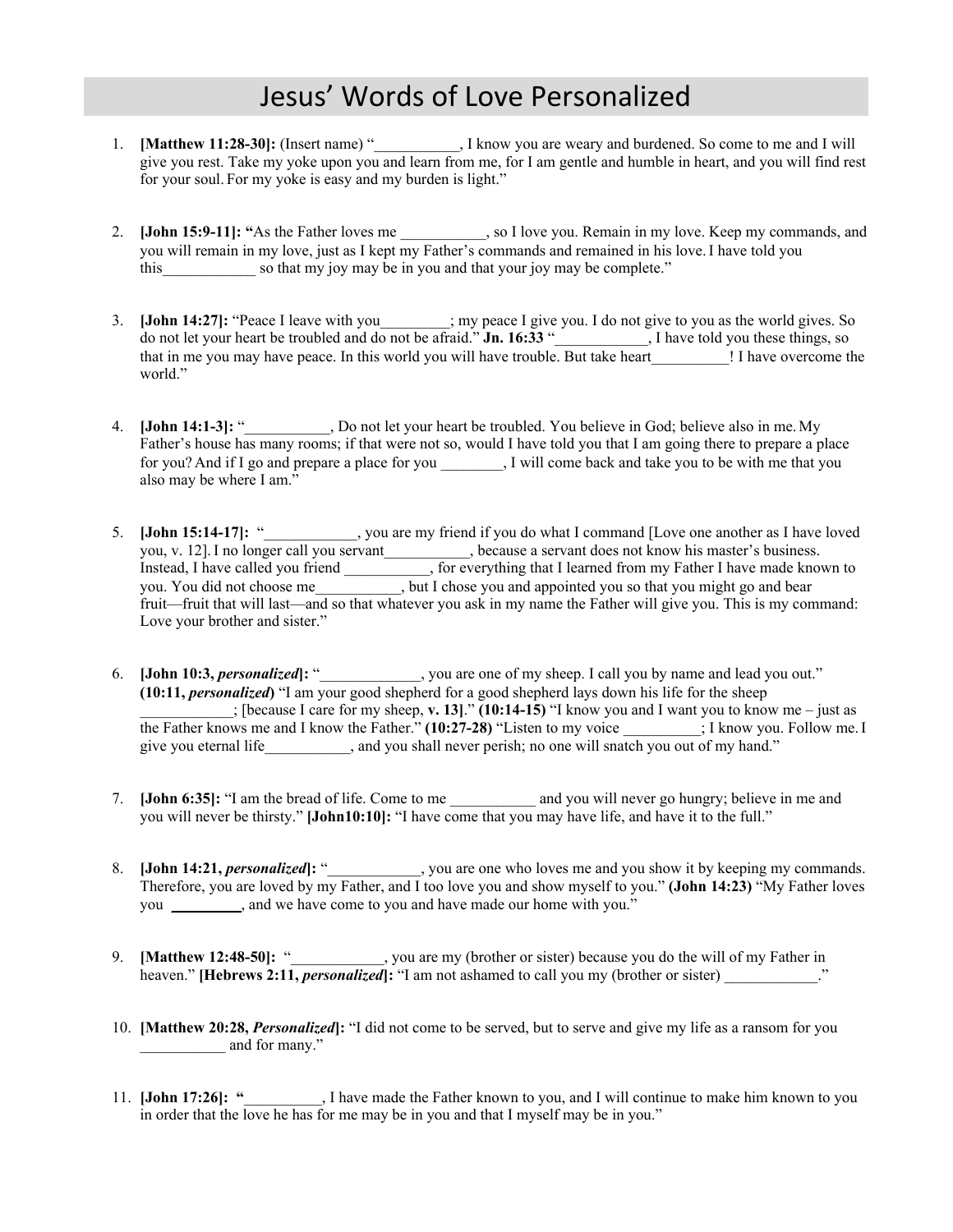# Jesus' Words of Love Personalized

- 1. **[Matthew 11:28-30]:** (Insert name) "\_\_\_\_\_\_\_\_\_\_\_, I know you are weary and burdened. So come to me and I will give you rest. Take my yoke upon you and learn from me, for I am gentle and humble in heart, and you will find rest for your soul. For my yoke is easy and my burden is light."
- 2. **[John 15:9-11]: "**As the Father loves me \_\_\_\_\_\_\_\_\_\_\_, so I love you. Remain in my love. Keep my commands, and you will remain in my love, just as I kept my Father's commands and remained in his love. I have told you this so that my joy may be in you and that your joy may be complete."
- 3. **[John 14:27]:** "Peace I leave with you\_\_\_\_\_\_\_\_\_; my peace I give you. I do not give to you as the world gives. So do not let your heart be troubled and do not be afraid." **Jn. 16:33** "\_\_\_\_\_\_\_\_\_\_\_\_, I have told you these things, so that in me you may have peace. In this world you will have trouble. But take heart [1] I have overcome the world."
- 4. **[John 14:1-3]:** "\_\_\_\_\_\_\_\_\_\_\_, Do not let your heart be troubled. You believe in God; believe also in me. My Father's house has many rooms; if that were not so, would I have told you that I am going there to prepare a place for you? And if I go and prepare a place for you \_\_\_\_\_\_\_\_, I will come back and take you to be with me that you also may be where I am."
- 5. **[John 15:14-17]:** "\_\_\_\_\_\_\_\_\_\_\_\_, you are my friend if you do what I command [Love one another as I have loved you, v. 12].I no longer call you servant*\_\_\_\_\_\_\_\_\_\_\_*, because a servant does not know his master's business. Instead, I have called you friend \_\_\_\_\_\_\_\_\_\_\_, for everything that I learned from my Father I have made known to you. You did not choose me\_\_\_\_\_\_\_\_\_\_\_, but I chose you and appointed you so that you might go and bear fruit—fruit that will last—and so that whatever you ask in my name the Father will give you. This is my command: Love your brother and sister."
- 6. **[John 10:3,** *personalized***]:** "\_\_\_\_\_\_\_\_\_\_\_\_\_, you are one of my sheep. I call you by name and lead you out." **(10:11,** *personalized***)** "I am your good shepherd for a good shepherd lays down his life for the sheep \_\_\_\_\_\_\_\_\_\_\_\_; [because I care for my sheep, **v. 13]**." **(10:14-15)** "I know you and I want you to know me – just as the Father knows me and I know the Father." **(10:27-28)** "Listen to my voice  $\cdot$ ; I know you. Follow me. I give you eternal life\_\_\_\_\_\_\_\_\_, and you shall never perish; no one will snatch you out of my hand."
- 7. **[John 6:35]:** "I am the bread of life. Come to me and you will never go hungry; believe in me and you will never be thirsty." **[John10:10]:** "I have come that you may have life, and have it to the full."
- 8. **[John 14:21,** *personalized***]:** "\_\_\_\_\_\_\_\_\_\_, you are one who loves me and you show it by keeping my commands. Therefore, you are loved by my Father, and I too love you and show myself to you." **(John 14:23)** "My Father loves you *\_\_\_\_\_\_\_\_\_*, and we have come to you and have made our home with you."
- 9. **[Matthew 12:48-50]:** "\_\_\_\_\_\_\_\_\_\_\_\_, you are my (brother or sister) because you do the will of my Father in heaven." **[Hebrews 2:11,** *personalized***]:** "I am not ashamed to call you my (brother or sister) \_\_\_\_\_\_\_\_\_\_\_\_."
- 10. **[Matthew 20:28,** *Personalized***]:** "I did not come to be served, but to serve and give my life as a ransom for you \_\_\_\_\_\_\_\_\_\_\_ and for many."
- 11. **[John 17:26]: "**\_\_\_\_\_\_\_\_\_\_, I have made the Father known to you, and I will continue to make him known to you in order that the love he has for me may be in you and that I myself may be in you."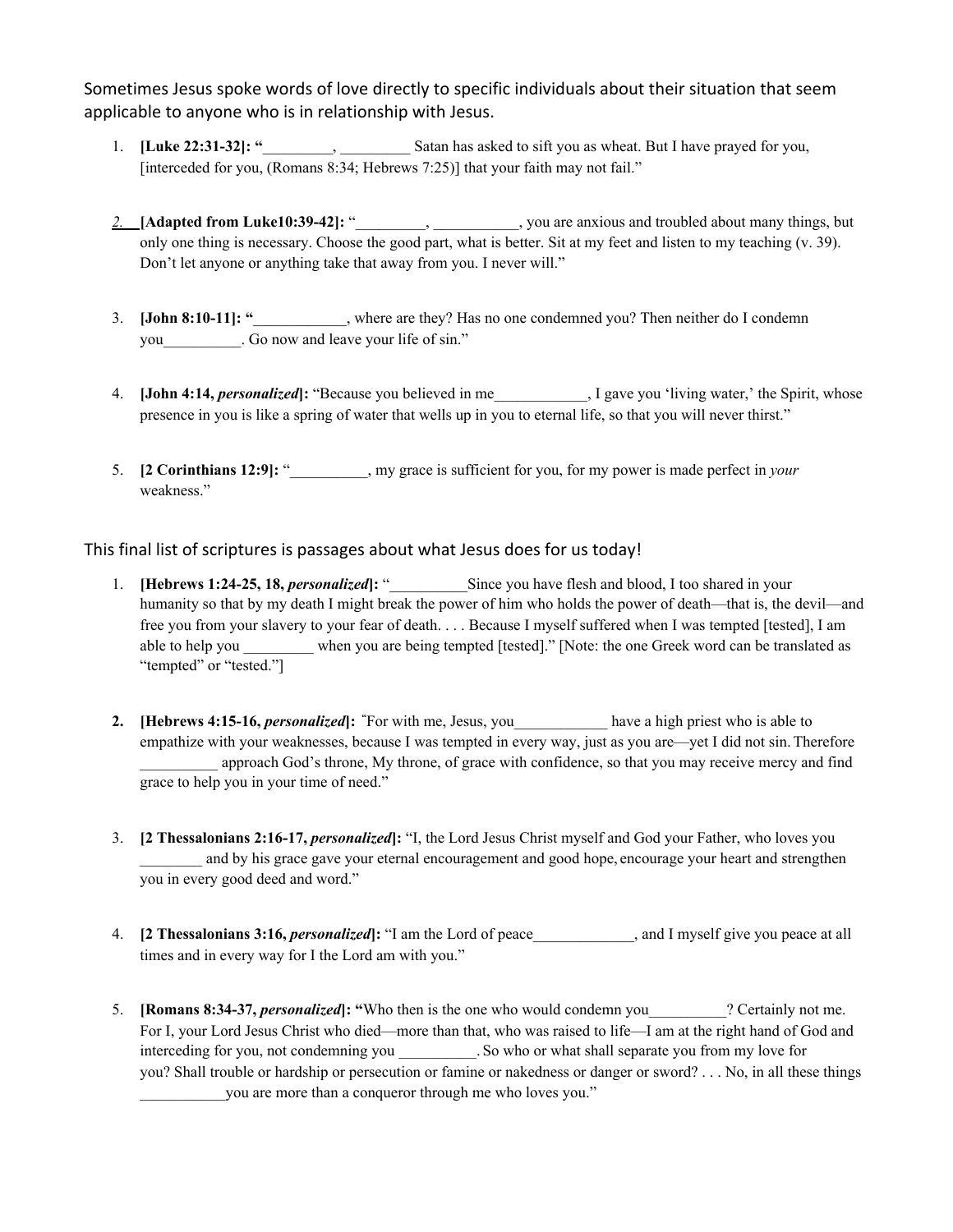Sometimes Jesus spoke words of love directly to specific individuals about their situation that seem applicable to anyone who is in relationship with Jesus.

- 1. **[Luke 22:31-32]: "**\_\_\_\_\_\_\_\_\_, \_\_\_\_\_\_\_\_\_ Satan has asked to sift you as wheat. But I have prayed for you, [interceded for you, (Romans 8:34; Hebrews 7:25)] that your faith may not fail."
- *2.* **[Adapted from Luke10:39-42]:** "\_\_\_\_\_\_\_\_\_, \_\_\_\_\_\_\_\_\_\_\_, you are anxious and troubled about many things, but only one thing is necessary. Choose the good part, what is better. Sit at my feet and listen to my teaching (v. 39). Don't let anyone or anything take that away from you. I never will."
- 3. **[John 8:10-11]: "**\_\_\_\_\_\_\_\_\_\_\_\_, where are they? Has no one condemned you? Then neither do I condemn you Go now and leave your life of sin."
- 4. **[John 4:14,** *personalized***]:** "Because you believed in me \_\_\_\_\_\_\_\_\_, I gave you 'living water,' the Spirit, whose presence in you is like a spring of water that wells up in you to eternal life, so that you will never thirst."
- 5. **[2 Corinthians 12:9]:** "\_\_\_\_\_\_\_\_\_\_, my grace is sufficient for you, for my power is made perfect in *your* weakness."

This final list of scriptures is passages about what Jesus does for us today!

- 1. **[Hebrews 1:24-25, 18,** *personalized***]:** " Since you have flesh and blood, I too shared in your humanity so that by my death I might break the power of him who holds the power of death—that is, the devil—and free you from your slavery to your fear of death. . . . Because I myself suffered when I was tempted [tested], I am able to help you \_\_\_\_\_\_\_\_\_ when you are being tempted [tested]." [Note: the one Greek word can be translated as "tempted" or "tested."]
- **2. [Hebrews 4:15-16,** *personalized***]: "**For with me, Jesus, you\_\_\_\_\_\_\_\_\_\_\_\_ have a high priest who is able to empathize with your weaknesses, because I was tempted in every way, just as you are—yet I did not sin. Therefore approach God's throne, My throne, of grace with confidence, so that you may receive mercy and find grace to help you in your time of need."
- 3. **[2 Thessalonians 2:16-17,** *personalized***]:** "I, the Lord Jesus Christ myself and God your Father, who loves you and by his grace gave your eternal encouragement and good hope, encourage your heart and strengthen you in every good deed and word."
- 4. **[2 Thessalonians 3:16,** *personalized***]:** "I am the Lord of peace\_\_\_\_\_\_\_\_\_\_\_\_\_, and I myself give you peace at all times and in every way for I the Lord am with you."
- 5. **[Romans 8:34-37,** *personalized***]: "**Who then is the one who would condemn you\_\_\_\_\_\_\_\_\_\_? Certainly not me. For I, your Lord Jesus Christ who died—more than that, who was raised to life—I am at the right hand of God and interceding for you, not condemning you \_\_\_\_\_\_\_\_. So who or what shall separate you from my love for you? Shall trouble or hardship or persecution or famine or nakedness or danger or sword? . . . No, in all these things you are more than a conqueror through me who loves you."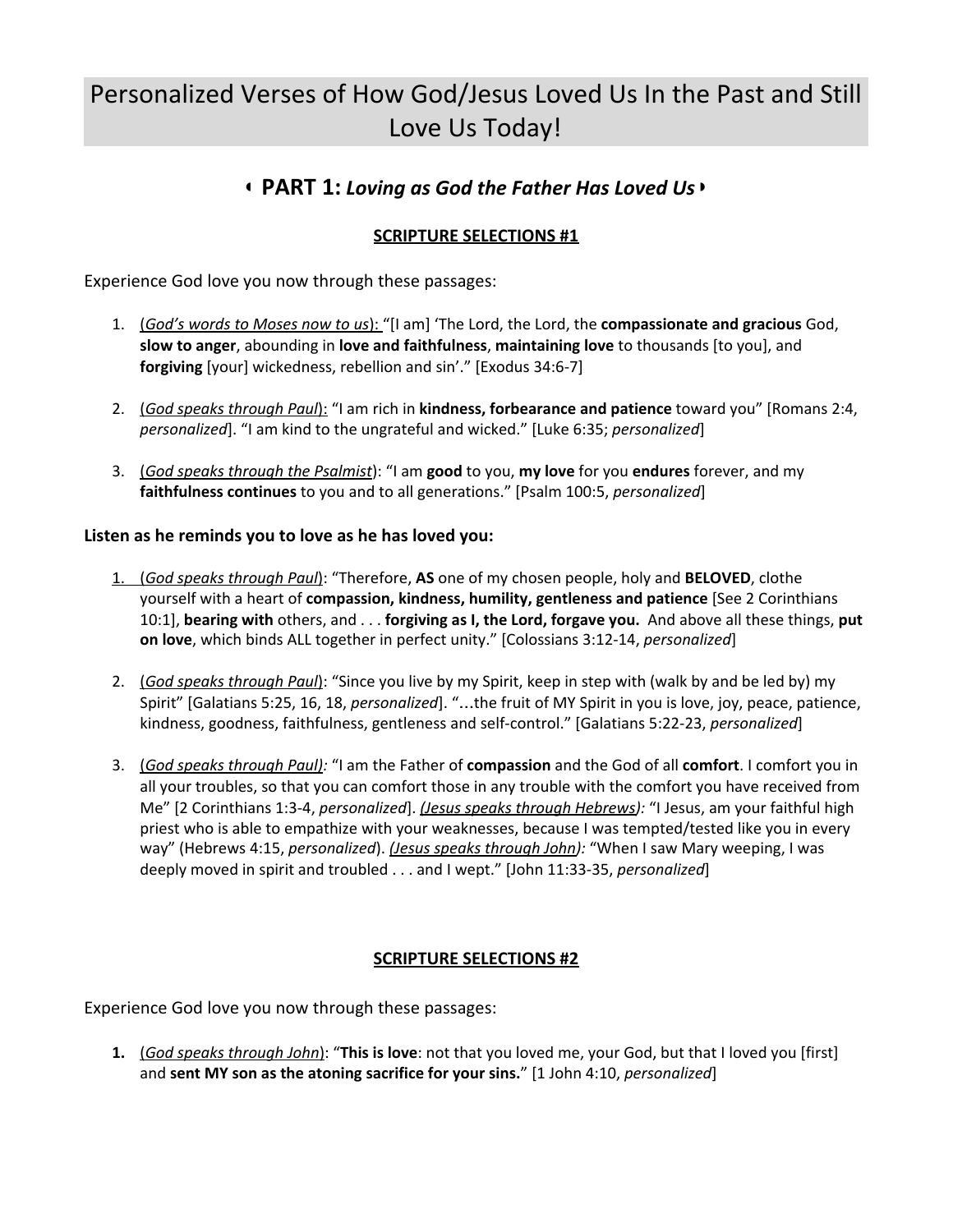# Personalized Verses of How God/Jesus Loved Us In the Past and Still Love Us Today!

## ◖ **PART 1:** *Loving as God the Father Has Loved Us*◗

### **SCRIPTURE SELECTIONS #1**

Experience God love you now through these passages:

- 1. (*God's words to Moses now to us*): "[I am] 'The Lord, the Lord, the **compassionate and gracious** God, **slow to anger**, abounding in **love and faithfulness**, **maintaining love** to thousands [to you], and **forgiving** [your] wickedness, rebellion and sin'." [Exodus 34:6-7]
- 2. (*God speaks through Paul*): "I am rich in **kindness, forbearance and patience** toward you" [Romans 2:4, *personalized*]. "I am kind to the ungrateful and wicked." [Luke 6:35; *personalized*]
- 3. (*God speaks through the Psalmist*): "I am **good** to you, **my love** for you **endures** forever, and my **faithfulness continues** to you and to all generations." [Psalm 100:5, *personalized*]

### **Listen as he reminds you to love as he has loved you:**

- 1. (*God speaks through Paul*): "Therefore, **AS** one of my chosen people, holy and **BELOVED**, clothe yourself with a heart of **compassion, kindness, humility, gentleness and patience** [See 2 Corinthians 10:1], **bearing with** others, and . . . **forgiving as I, the Lord, forgave you.** And above all these things, **put on love**, which binds ALL together in perfect unity." [Colossians 3:12-14, *personalized*]
- 2. (*God speaks through Paul*): "Since you live by my Spirit, keep in step with (walk by and be led by) my Spirit" [Galatians 5:25, 16, 18, *personalized*]. "…the fruit of MY Spirit in you is love, joy, peace, patience, kindness, goodness, faithfulness, gentleness and self-control." [Galatians 5:22-23, *personalized*]
- 3. (*God speaks through Paul):* "I am the Father of **compassion** and the God of all **comfort**. I comfort you in all your troubles, so that you can comfort those in any trouble with the comfort you have received from Me" [2 Corinthians 1:3-4, *personalized*]. *(Jesus speaks through Hebrews):* "I Jesus, am your faithful high priest who is able to empathize with your weaknesses, because I was tempted/tested like you in every way" (Hebrews 4:15, *personalized*). *(Jesus speaks through John):* "When I saw Mary weeping, I was deeply moved in spirit and troubled . . . and I wept." [John 11:33-35, *personalized*]

### **SCRIPTURE SELECTIONS #2**

Experience God love you now through these passages:

**1.** (*God speaks through John*): "**This is love**: not that you loved me, your God, but that I loved you [first] and **sent MY son as the atoning sacrifice for your sins.**" [1 John 4:10, *personalized*]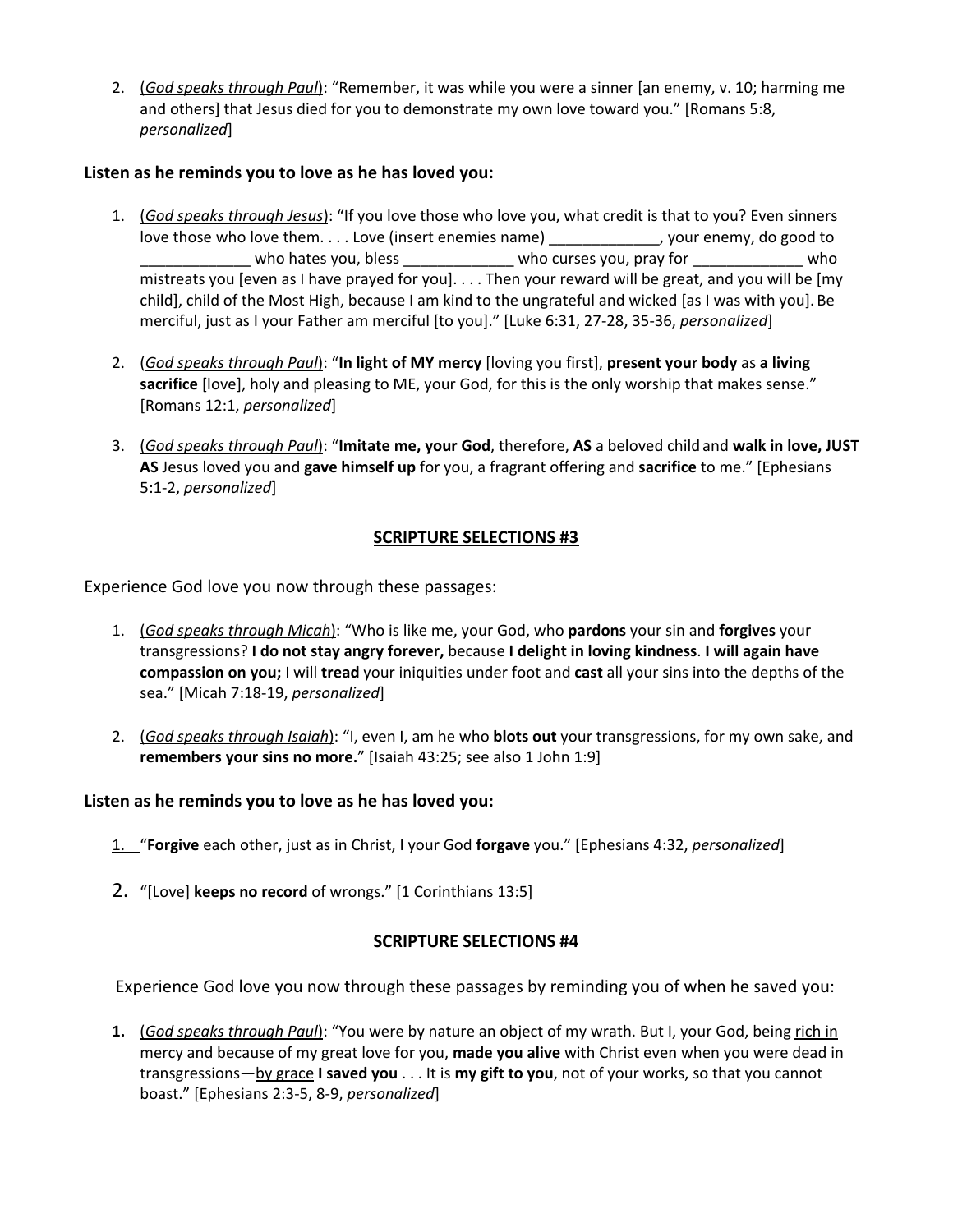2. (*God speaks through Paul*): "Remember, it was while you were a sinner [an enemy, v. 10; harming me and others] that Jesus died for you to demonstrate my own love toward you." [Romans 5:8, *personalized*]

### **Listen as he reminds you to love as he has loved you:**

- 1. (*God speaks through Jesus*): "If you love those who love you, what credit is that to you? Even sinners love those who love them. . . . Love (insert enemies name) \_\_\_\_\_\_\_\_\_\_\_\_\_\_, your enemy, do good to \_\_\_\_\_\_\_\_\_\_\_\_\_ who hates you, bless \_\_\_\_\_\_\_\_\_\_\_\_\_ who curses you, pray for \_\_\_\_\_\_\_\_\_\_\_\_\_ who mistreats you [even as I have prayed for you]. . . . Then your reward will be great, and you will be [my child], child of the Most High, because I am kind to the ungrateful and wicked [as I was with you]. Be merciful, just as I your Father am merciful [to you]." [Luke 6:31, 27-28, 35-36, *personalized*]
- 2. (*God speaks through Paul*): "**In light of MY mercy** [loving you first], **present your body** as **a living sacrifice** [love], holy and pleasing to ME, your God, for this is the only worship that makes sense." [Romans 12:1, *personalized*]
- 3. (*God speaks through Paul*): "**Imitate me, your God**, therefore, **AS** a beloved child and **walk in love, JUST AS** Jesus loved you and **gave himself up** for you, a fragrant offering and **sacrifice** to me." [Ephesians 5:1-2, *personalized*]

### **SCRIPTURE SELECTIONS #3**

Experience God love you now through these passages:

- 1. (*God speaks through Micah*): "Who is like me, your God, who **pardons** your sin and **forgives** your transgressions? **I do not stay angry forever,** because **I delight in loving kindness**. **I will again have compassion on you;** I will **tread** your iniquities under foot and **cast** all your sins into the depths of the sea." [Micah 7:18-19, *personalized*]
- 2. (*God speaks through Isaiah*): "I, even I, am he who **blots out** your transgressions, for my own sake, and **remembers your sins no more.**" [Isaiah 43:25; see also 1 John 1:9]

### **Listen as he reminds you to love as he has loved you:**

- 1. "**Forgive** each other, just as in Christ, I your God **forgave** you." [Ephesians 4:32, *personalized*]
- 2. "[Love] **keeps no record** of wrongs." [1 Corinthians 13:5]

### **SCRIPTURE SELECTIONS #4**

Experience God love you now through these passages by reminding you of when he saved you:

**1.** (*God speaks through Paul*): "You were by nature an object of my wrath. But I, your God, being rich in mercy and because of my great love for you, **made you alive** with Christ even when you were dead in transgressions—by grace **I saved you** . . . It is **my gift to you**, not of your works, so that you cannot boast." [Ephesians 2:3-5, 8-9, *personalized*]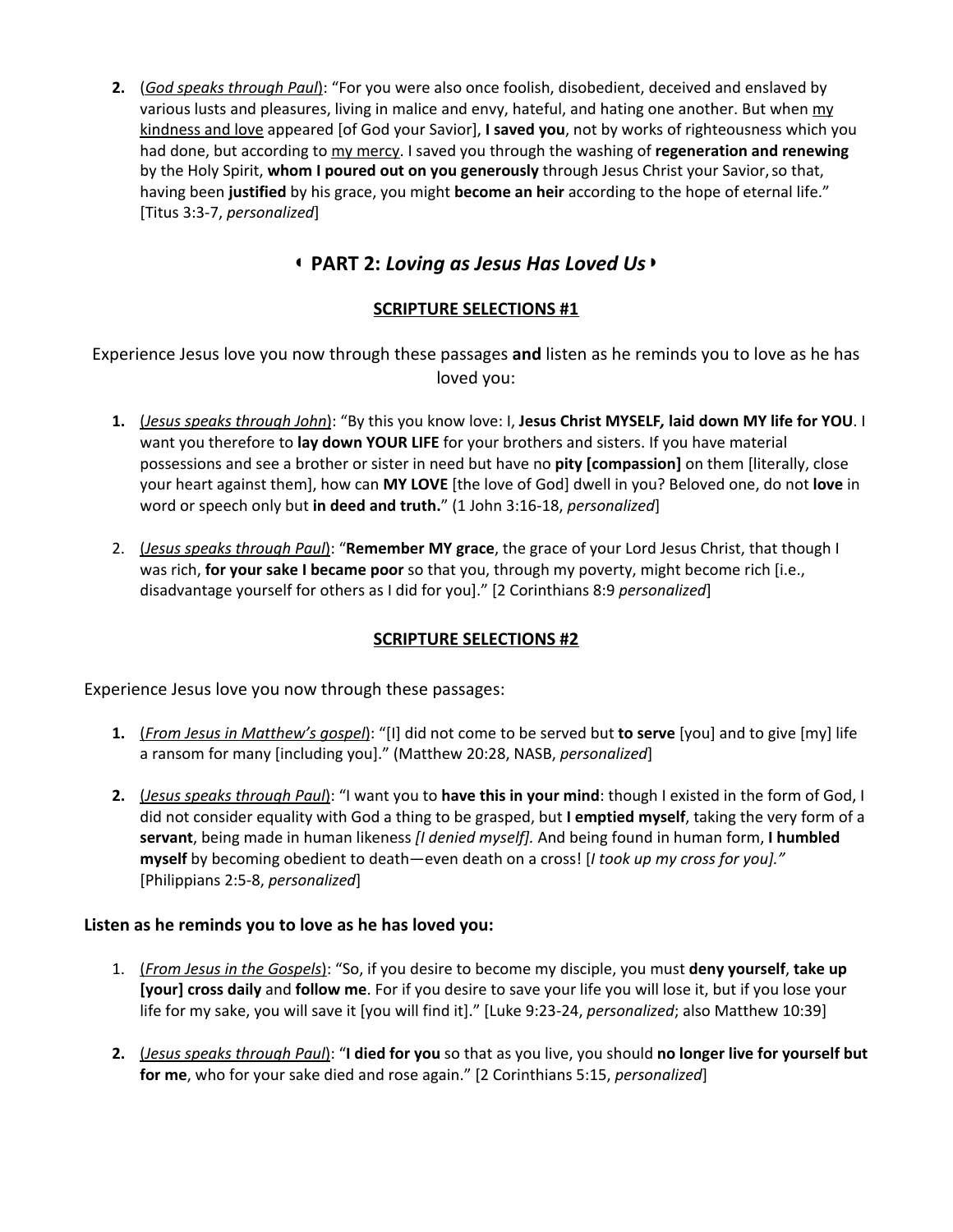**2.** (*God speaks through Paul*): "For you were also once foolish, disobedient, deceived and enslaved by various lusts and pleasures, living in malice and envy, hateful, and hating one another. But when my kindness and love appeared [of God your Savior], **I saved you**, not by works of righteousness which you had done, but according to my mercy. I saved you through the washing of **regeneration and renewing** by the Holy Spirit, **whom I poured out on you generously** through Jesus Christ your Savior,so that, having been **justified** by his grace, you might **become an heir** according to the hope of eternal life." [Titus 3:3-7, *personalized*]

### ◖ **PART 2:** *Loving as Jesus Has Loved Us*◗

### **SCRIPTURE SELECTIONS #1**

Experience Jesus love you now through these passages **and** listen as he reminds you to love as he has loved you:

- **1.** (*Jesus speaks through John*): "By this you know love: I, **Jesus Christ MYSELF***,* **laid down MY life for YOU**. I want you therefore to **lay down YOUR LIFE** for your brothers and sisters. If you have material possessions and see a brother or sister in need but have no **pity [compassion]** on them [literally, close your heart against them], how can **MY LOVE** [the love of God] dwell in you? Beloved one, do not **love** in word or speech only but **in deed and truth.**" (1 John 3:16-18, *personalized*]
- 2. (*Jesus speaks through Paul*): "**Remember MY grace**, the grace of your Lord Jesus Christ, that though I was rich, **for your sake I became poor** so that you, through my poverty, might become rich [i.e., disadvantage yourself for others as I did for you]." [2 Corinthians 8:9 *personalized*]

### **SCRIPTURE SELECTIONS #2**

Experience Jesus love you now through these passages:

- **1.** (*From Jesus in Matthew's gospel*): "[I] did not come to be served but **to serve** [you] and to give [my] life a ransom for many [including you]." (Matthew 20:28, NASB, *personalized*]
- **2.** (*Jesus speaks through Paul*): "I want you to **have this in your mind**: though I existed in the form of God, I did not consider equality with God a thing to be grasped, but **I emptied myself**, taking the very form of a **servant**, being made in human likeness *[I denied myself].* And being found in human form, **I humbled myself** by becoming obedient to death—even death on a cross! [*I took up my cross for you]."* [Philippians 2:5-8, *personalized*]

### **Listen as he reminds you to love as he has loved you:**

- 1. (*From Jesus in the Gospels*): "So, if you desire to become my disciple, you must **deny yourself**, **take up [your] cross daily** and **follow me**. For if you desire to save your life you will lose it, but if you lose your life for my sake, you will save it [you will find it]." [Luke 9:23-24, *personalized*; also Matthew 10:39]
- **2.** (*Jesus speaks through Paul*): "**I died for you** so that as you live, you should **no longer live for yourself but for me**, who for your sake died and rose again." [2 Corinthians 5:15, *personalized*]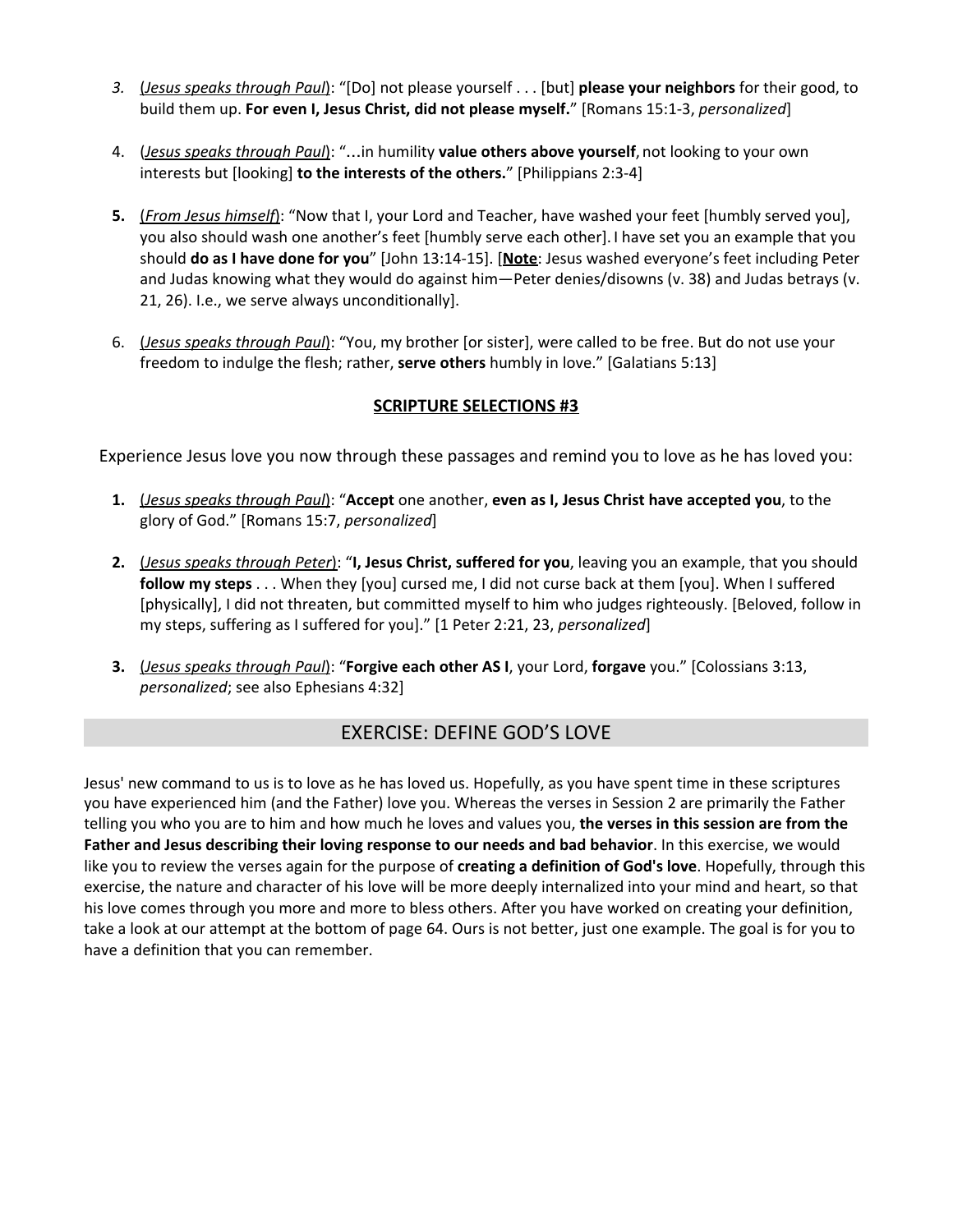- *3.* (*Jesus speaks through Paul*): "[Do] not please yourself . . . [but] **please your neighbors** for their good, to build them up. **For even I, Jesus Christ, did not please myself.**" [Romans 15:1-3, *personalized*]
- 4. (*Jesus speaks through Paul*): "…in humility **value others above yourself**, not looking to your own interests but [looking] **to the interests of the others.**" [Philippians 2:3-4]
- **5.** (*From Jesus himself*): "Now that I, your Lord and Teacher, have washed your feet [humbly served you], you also should wash one another's feet [humbly serve each other]. I have set you an example that you should **do as I have done for you**" [John 13:14-15]. [**Note**: Jesus washed everyone's feet including Peter and Judas knowing what they would do against him—Peter denies/disowns (v. 38) and Judas betrays (v. 21, 26). I.e., we serve always unconditionally].
- 6. (*Jesus speaks through Paul*): "You, my brother [or sister], were called to be free. But do not use your freedom to indulge the flesh; rather, **serve others** humbly in love." [Galatians 5:13]

### **SCRIPTURE SELECTIONS #3**

Experience Jesus love you now through these passages and remind you to love as he has loved you:

- **1.** (*Jesus speaks through Paul*): "**Accept** one another, **even as I, Jesus Christ have accepted you**, to the glory of God." [Romans 15:7, *personalized*]
- **2.** (*Jesus speaks through Peter*): "**I, Jesus Christ, suffered for you**, leaving you an example, that you should **follow my steps** . . . When they [you] cursed me, I did not curse back at them [you]. When I suffered [physically], I did not threaten, but committed myself to him who judges righteously. [Beloved, follow in my steps, suffering as I suffered for you]." [1 Peter 2:21, 23, *personalized*]
- **3.** (*Jesus speaks through Paul*): "**Forgive each other AS I**, your Lord, **forgave** you." [Colossians 3:13, *personalized*; see also Ephesians 4:32]

### EXERCISE: DEFINE GOD'S LOVE

Jesus' new command to us is to love as he has loved us. Hopefully, as you have spent time in these scriptures you have experienced him (and the Father) love you. Whereas the verses in Session 2 are primarily the Father telling you who you are to him and how much he loves and values you, **the verses in this session are from the Father and Jesus describing their loving response to our needs and bad behavior**. In this exercise, we would like you to review the verses again for the purpose of **creating a definition of God's love**. Hopefully, through this exercise, the nature and character of his love will be more deeply internalized into your mind and heart, so that his love comes through you more and more to bless others. After you have worked on creating your definition, take a look at our attempt at the bottom of page 64. Ours is not better, just one example. The goal is for you to have a definition that you can remember.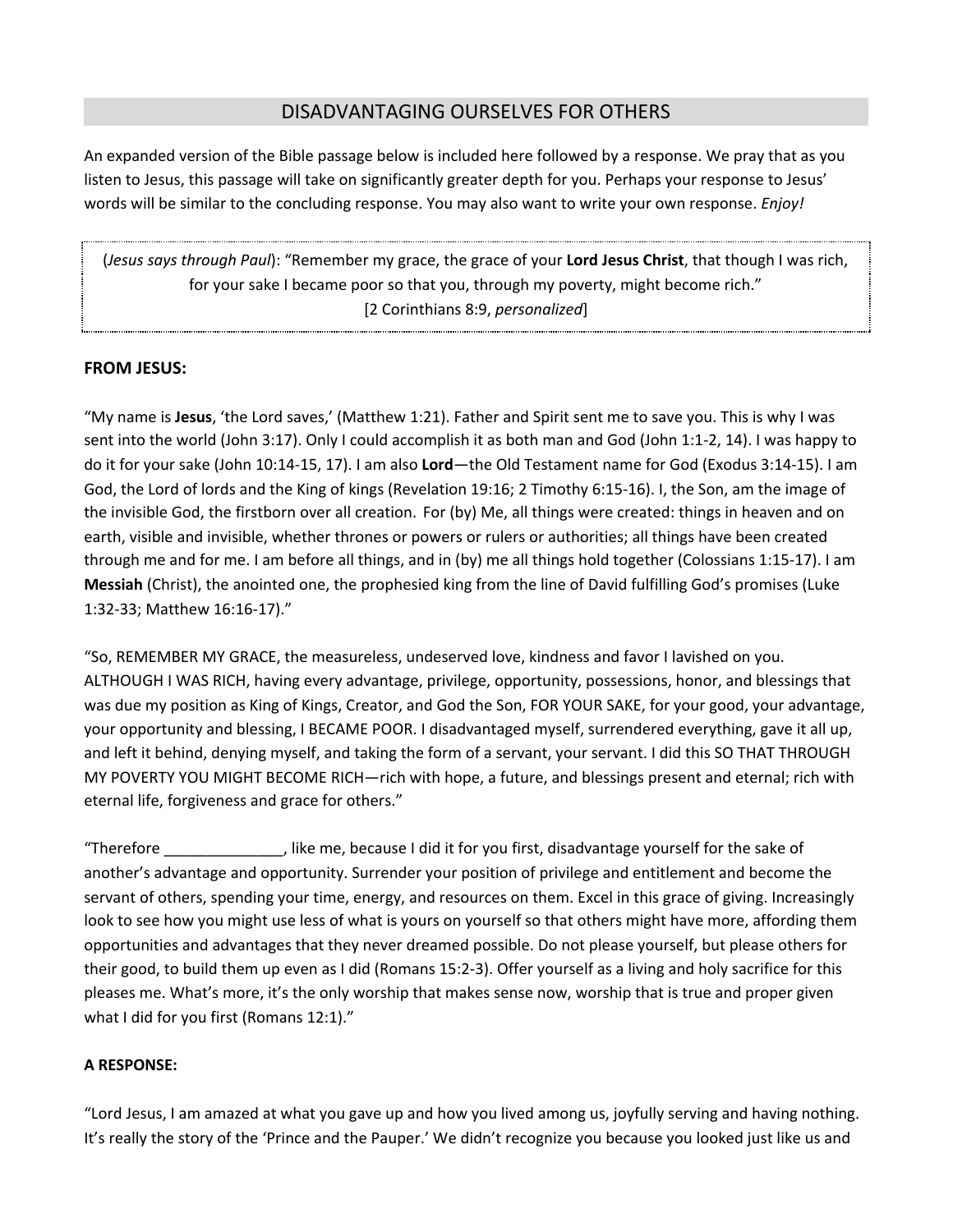### DISADVANTAGING OURSELVES FOR OTHERS

An expanded version of the Bible passage below is included here followed by a response. We pray that as you listen to Jesus, this passage will take on significantly greater depth for you. Perhaps your response to Jesus' words will be similar to the concluding response. You may also want to write your own response. *Enjoy!*

(*Jesus says through Paul*): "Remember my grace, the grace of your **Lord Jesus Christ**, that though I was rich, for your sake I became poor so that you, through my poverty, might become rich." [2 Corinthians 8:9, *personalized*]

### **FROM JESUS:**

"My name is **Jesus**, 'the Lord saves,' (Matthew 1:21). Father and Spirit sent me to save you. This is why I was sent into the world (John 3:17). Only I could accomplish it as both man and God (John 1:1-2, 14). I was happy to do it for your sake (John 10:14-15, 17). I am also **Lord**—the Old Testament name for God (Exodus 3:14-15). I am God, the Lord of lords and the King of kings (Revelation 19:16; 2 Timothy 6:15-16). I, the Son, am the image of the invisible God, the firstborn over all creation. For (by) Me, all things were created: things in heaven and on earth, visible and invisible, whether thrones or powers or rulers or authorities; all things have been created through me and for me. I am before all things, and in (by) me all things hold together (Colossians 1:15-17). I am **Messiah** (Christ), the anointed one, the prophesied king from the line of David fulfilling God's promises (Luke 1:32-33; Matthew 16:16-17)."

"So, REMEMBER MY GRACE, the measureless, undeserved love, kindness and favor I lavished on you. ALTHOUGH I WAS RICH, having every advantage, privilege, opportunity, possessions, honor, and blessings that was due my position as King of Kings, Creator, and God the Son, FOR YOUR SAKE, for your good, your advantage, your opportunity and blessing, I BECAME POOR. I disadvantaged myself, surrendered everything, gave it all up, and left it behind, denying myself, and taking the form of a servant, your servant. I did this SO THAT THROUGH MY POVERTY YOU MIGHT BECOME RICH—rich with hope, a future, and blessings present and eternal; rich with eternal life, forgiveness and grace for others."

"Therefore \_\_\_\_\_\_\_\_\_\_\_\_\_\_, like me, because I did it for you first, disadvantage yourself for the sake of another's advantage and opportunity. Surrender your position of privilege and entitlement and become the servant of others, spending your time, energy, and resources on them. Excel in this grace of giving. Increasingly look to see how you might use less of what is yours on yourself so that others might have more, affording them opportunities and advantages that they never dreamed possible. Do not please yourself, but please others for their good, to build them up even as I did (Romans 15:2-3). Offer yourself as a living and holy sacrifice for this pleases me. What's more, it's the only worship that makes sense now, worship that is true and proper given what I did for you first (Romans 12:1)."

#### **A RESPONSE:**

"Lord Jesus, I am amazed at what you gave up and how you lived among us, joyfully serving and having nothing. It's really the story of the 'Prince and the Pauper.' We didn't recognize you because you looked just like us and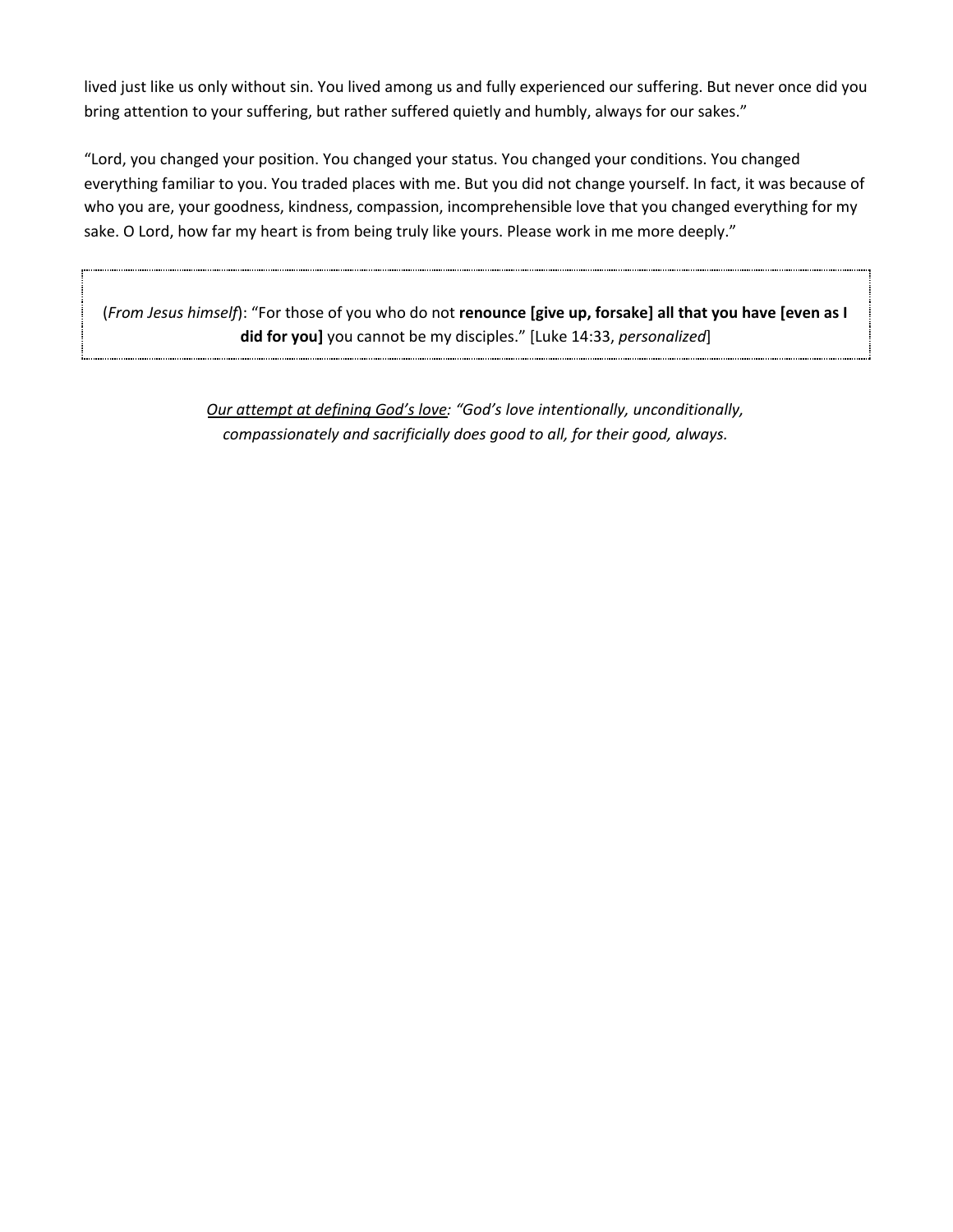lived just like us only without sin. You lived among us and fully experienced our suffering. But never once did you bring attention to your suffering, but rather suffered quietly and humbly, always for our sakes."

"Lord, you changed your position. You changed your status. You changed your conditions. You changed everything familiar to you. You traded places with me. But you did not change yourself. In fact, it was because of who you are, your goodness, kindness, compassion, incomprehensible love that you changed everything for my sake. O Lord, how far my heart is from being truly like yours. Please work in me more deeply."

(*From Jesus himself*): "For those of you who do not **renounce [give up, forsake] all that you have [even as I did for you]** you cannot be my disciples." [Luke 14:33, *personalized*]

> *Our attempt at defining God's love: "God's love intentionally, unconditionally, compassionately and sacrificially does good to all, for their good, always.*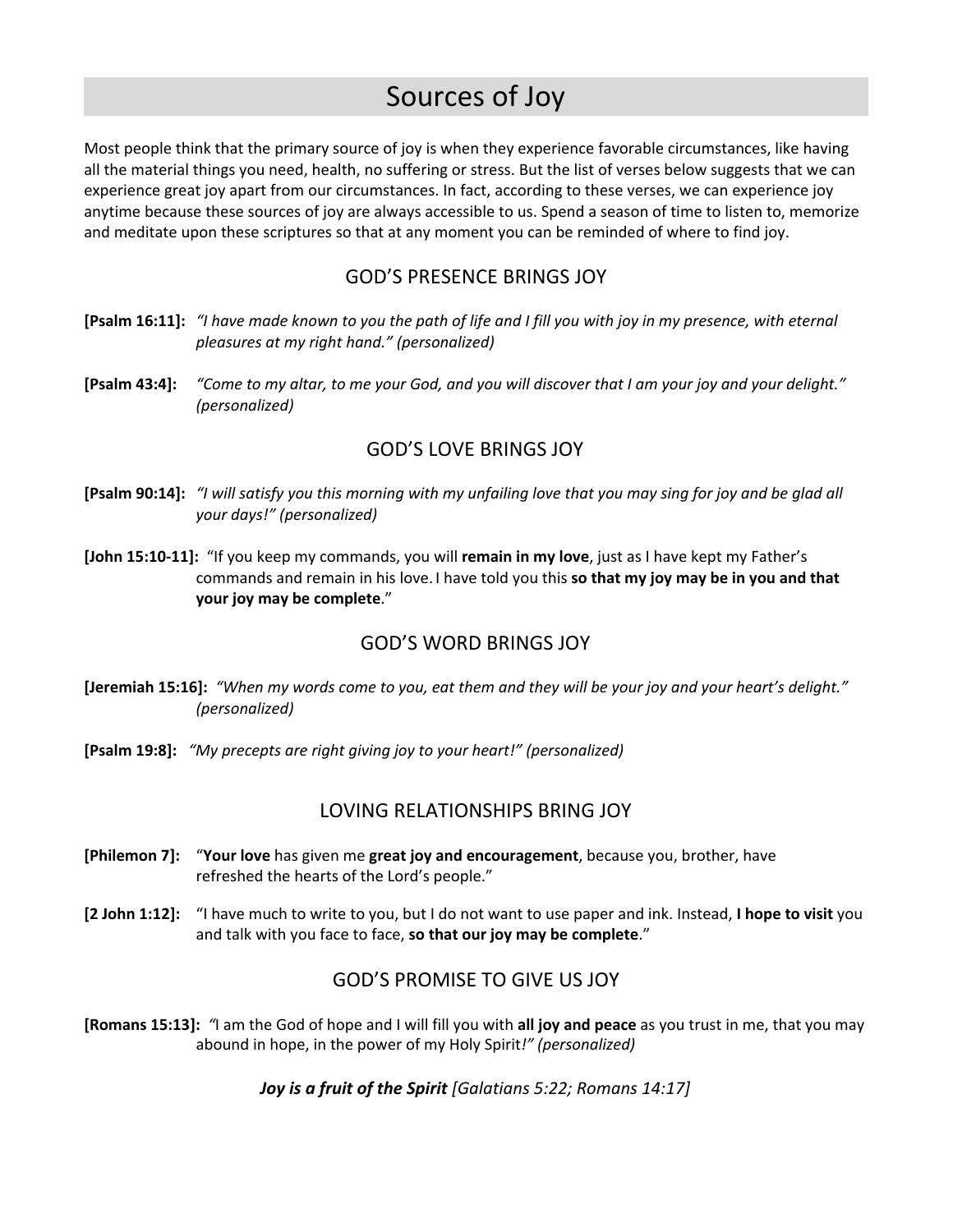# Sources of Joy

Most people think that the primary source of joy is when they experience favorable circumstances, like having all the material things you need, health, no suffering or stress. But the list of verses below suggests that we can experience great joy apart from our circumstances. In fact, according to these verses, we can experience joy anytime because these sources of joy are always accessible to us. Spend a season of time to listen to, memorize and meditate upon these scriptures so that at any moment you can be reminded of where to find joy.

### GOD'S PRESENCE BRINGS JOY

- [Psalm 16:11]: "I have made known to you the path of life and I fill you with joy in my presence, with eternal *pleasures at my right hand." (personalized)*
- [Psalm 43:4]: "Come to my altar, to me your God, and you will discover that I am your joy and your delight." *(personalized)*

### GOD'S LOVE BRINGS JOY

- [Psalm 90:14]: "I will satisfy you this morning with my unfailing love that you may sing for joy and be glad all *your days!" (personalized)*
- **[John 15:10-11]:** "If you keep my commands, you will **remain in my love**, just as I have kept my Father's commands and remain in his love. I have told you this **so that my joy may be in you and that your joy may be complete**."

### GOD'S WORD BRINGS JOY

- [Jeremiah 15:16]: "When my words come to you, eat them and they will be your joy and your heart's delight." *(personalized)*
- **[Psalm 19:8]:** *"My precepts are right giving joy to your heart!" (personalized)*

### LOVING RELATIONSHIPS BRING JOY

- **[Philemon 7]:** "**Your love** has given me **great joy and encouragement**, because you, brother, have refreshed the hearts of the Lord's people."
- **[2 John 1:12]:** "I have much to write to you, but I do not want to use paper and ink. Instead, **I hope to visit** you and talk with you face to face, **so that our joy may be complete**."

### GOD'S PROMISE TO GIVE US JOY

**[Romans 15:13]:** *"*I am the God of hope and I will fill you with **all joy and peace** as you trust in me, that you may abound in hope, in the power of my Holy Spirit*!" (personalized)*

*Joy is a fruit of the Spirit [Galatians 5:22; Romans 14:17]*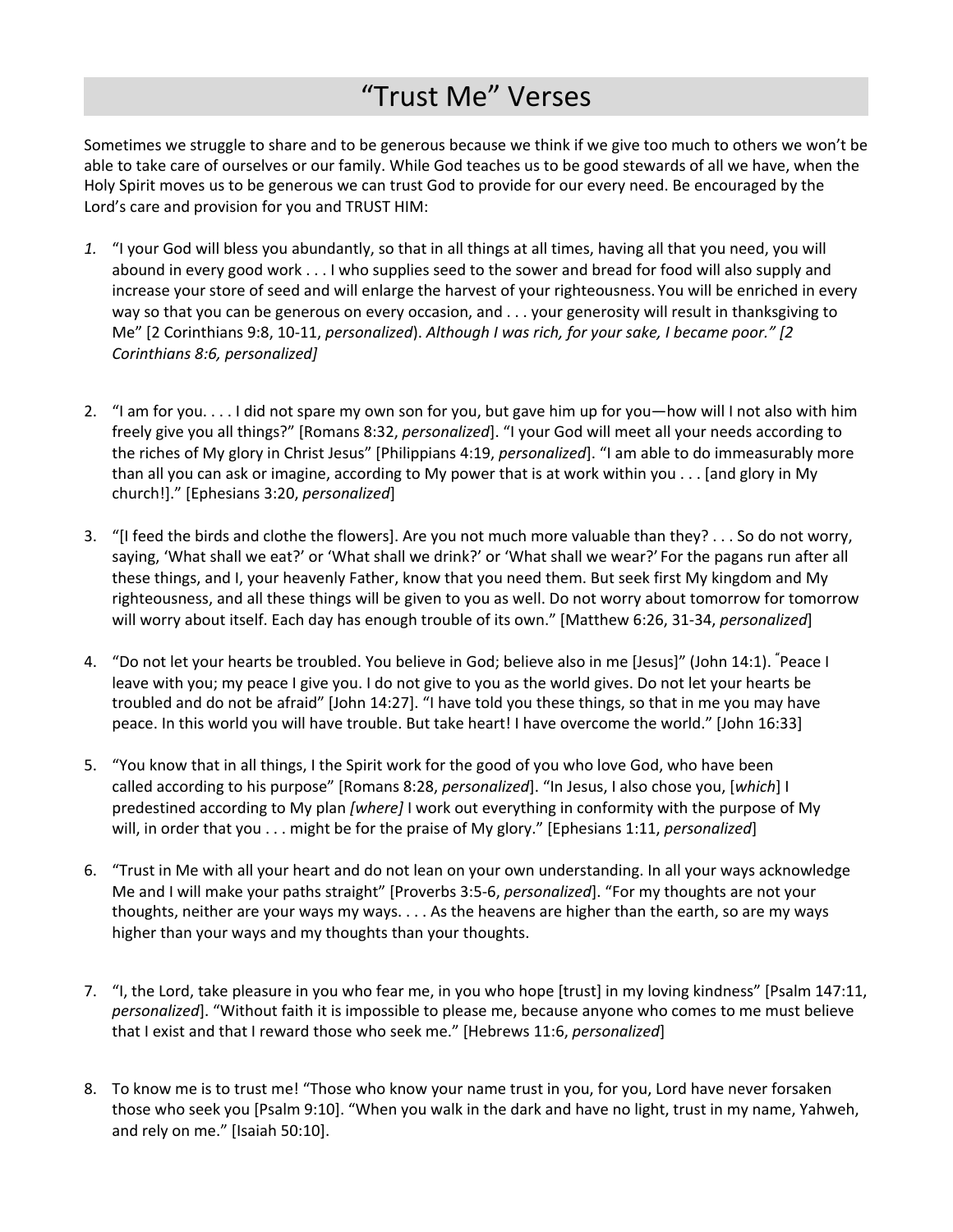# "Trust Me" Verses

Sometimes we struggle to share and to be generous because we think if we give too much to others we won't be able to take care of ourselves or our family. While God teaches us to be good stewards of all we have, when the Holy Spirit moves us to be generous we can trust God to provide for our every need. Be encouraged by the Lord's care and provision for you and TRUST HIM:

- *1.* "I your God will bless you abundantly, so that in all things at all times, having all that you need, you will abound in every good work . . . I who supplies seed to the sower and bread for food will also supply and increase your store of seed and will enlarge the harvest of your righteousness. You will be enriched in every way so that you can be generous on every occasion, and . . . your generosity will result in thanksgiving to Me" [2 Corinthians 9:8, 10-11, *personalized*). *Although I was rich, for your sake, I became poor." [2 Corinthians 8:6, personalized]*
- 2. "I am for you. . . . I did not spare my own son for you, but gave him up for you—how will I not also with him freely give you all things?" [Romans 8:32, *personalized*]. "I your God will meet all your needs according to the riches of My glory in Christ Jesus" [Philippians 4:19, *personalized*]. "I am able to do immeasurably more than all you can ask or imagine, according to My power that is at work within you . . . [and glory in My church!]." [Ephesians 3:20, *personalized*]
- 3. "[I feed the birds and clothe the flowers]. Are you not much more valuable than they? . . . So do not worry, saying, 'What shall we eat?' or 'What shall we drink?' or 'What shall we wear?' For the pagans run after all these things, and I, your heavenly Father, know that you need them. But seek first My kingdom and My righteousness, and all these things will be given to you as well. Do not worry about tomorrow for tomorrow will worry about itself. Each day has enough trouble of its own." [Matthew 6:26, 31-34, *personalized*]
- 4. "Do not let your hearts be troubled. You believe in God; believe also in me [Jesus]" (John 14:1). **"**Peace I leave with you; my peace I give you. I do not give to you as the world gives. Do not let your hearts be troubled and do not be afraid" [John 14:27]. "I have told you these things, so that in me you may have peace. In this world you will have trouble. But take heart! I have overcome the world." [John 16:33]
- 5. "You know that in all things, I the Spirit work for the good of you who love God, who have been called according to his purpose" [Romans 8:28, *personalized*]. "In Jesus, I also chose you, [*which*] I predestined according to My plan *[where]* I work out everything in conformity with the purpose of My will, in order that you . . . might be for the praise of My glory." [Ephesians 1:11, *personalized*]
- 6. "Trust in Me with all your heart and do not lean on your own understanding. In all your ways acknowledge Me and I will make your paths straight" [Proverbs 3:5-6, *personalized*]. "For my thoughts are not your thoughts, neither are your ways my ways. . . . As the heavens are higher than the earth, so are my ways higher than your ways and my thoughts than your thoughts.
- 7. "I, the Lord, take pleasure in you who fear me, in you who hope [trust] in my loving kindness" [Psalm 147:11, *personalized*]. "Without faith it is impossible to please me, because anyone who comes to me must believe that I exist and that I reward those who seek me." [Hebrews 11:6, *personalized*]
- 8. To know me is to trust me! "Those who know your name trust in you, for you, Lord have never forsaken those who seek you [Psalm 9:10]. "When you walk in the dark and have no light, trust in my name, Yahweh, and rely on me." [Isaiah 50:10].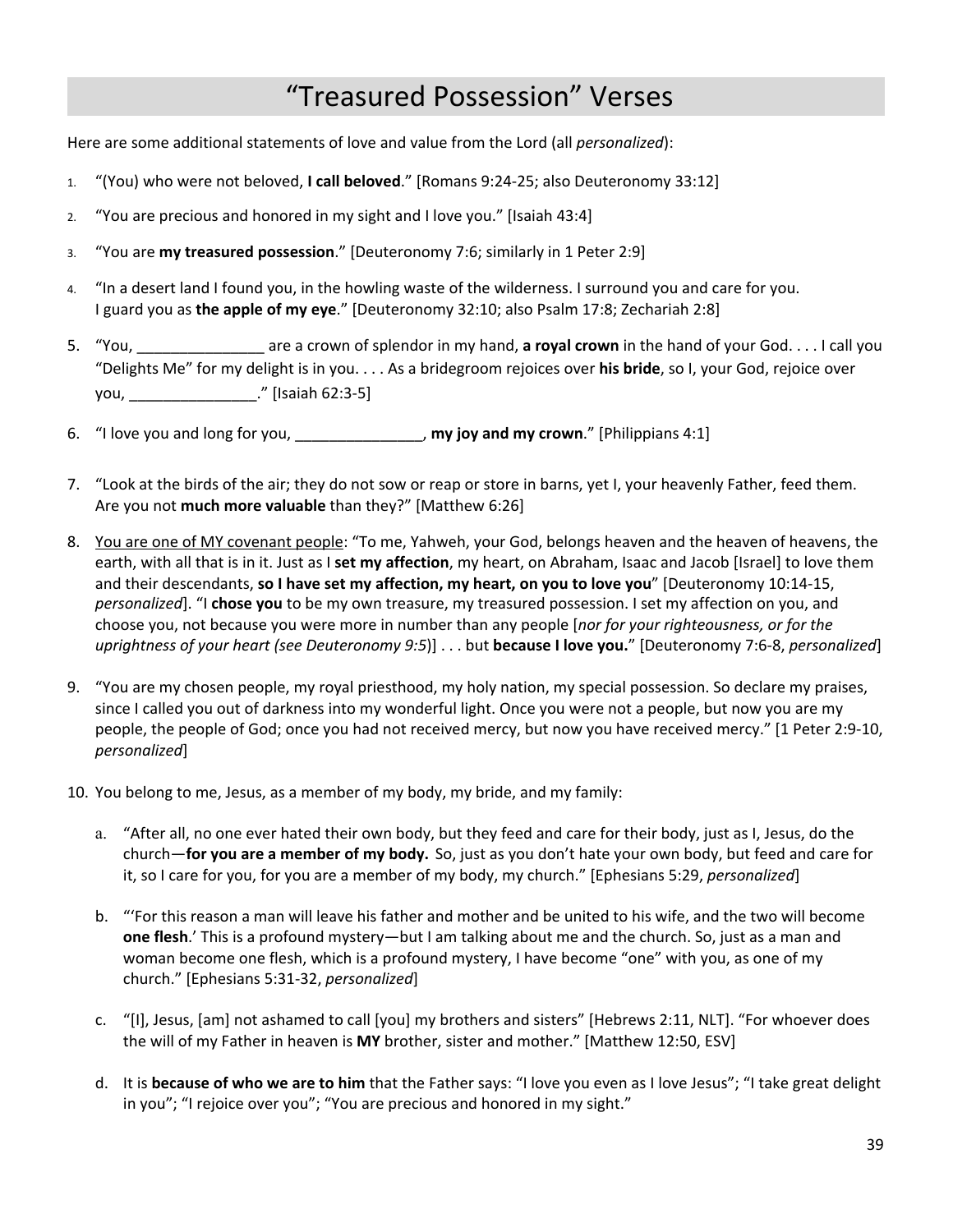# "Treasured Possession" Verses

Here are some additional statements of love and value from the Lord (all *personalized*):

- 1. "(You) who were not beloved, **I call beloved**." [Romans 9:24-25; also Deuteronomy 33:12]
- 2. "You are precious and honored in my sight and I love you." [Isaiah 43:4]
- 3. "You are **my treasured possession**." [Deuteronomy 7:6; similarly in 1 Peter 2:9]
- 4. "In a desert land I found you, in the howling waste of the wilderness. I surround you and care for you. I guard you as **the apple of my eye**." [Deuteronomy 32:10; also Psalm 17:8; Zechariah 2:8]
- 5. "You, \_\_\_\_\_\_\_\_\_\_\_\_\_\_\_ are a crown of splendor in my hand, **a royal crown** in the hand of your God. . . . I call you "Delights Me" for my delight is in you. . . . As a bridegroom rejoices over **his bride**, so I, your God, rejoice over you, \_\_\_\_\_\_\_\_\_\_\_\_\_\_\_." [Isaiah 62:3-5]
- 6. "I love you and long for you, \_\_\_\_\_\_\_\_\_\_\_\_\_\_\_, **my joy and my crown**." [Philippians 4:1]
- 7. "Look at the birds of the air; they do not sow or reap or store in barns, yet I, your heavenly Father, feed them. Are you not **much more valuable** than they?" [Matthew 6:26]
- 8. You are one of MY covenant people: "To me, Yahweh, your God, belongs heaven and the heaven of heavens, the earth, with all that is in it. Just as I **set my affection**, my heart, on Abraham, Isaac and Jacob [Israel] to love them and their descendants, **so I have set my affection, my heart, on you to love you**" [Deuteronomy 10:14-15, *personalized*]. "I **chose you** to be my own treasure, my treasured possession. I set my affection on you, and choose you, not because you were more in number than any people [*nor for your righteousness, or for the uprightness of your heart (see Deuteronomy 9:5*)] . . . but **because I love you.**" [Deuteronomy 7:6-8, *personalized*]
- 9. "You are my chosen people, my royal priesthood, my holy nation, my special possession. So declare my praises, since I called you out of darkness into my wonderful light. Once you were not a people, but now you are my people, the people of God; once you had not received mercy, but now you have received mercy." [1 Peter 2:9-10, *personalized*]
- 10. You belong to me, Jesus, as a member of my body, my bride, and my family:
	- a. "After all, no one ever hated their own body, but they feed and care for their body, just as I, Jesus, do the church—**for you are a member of my body.** So, just as you don't hate your own body, but feed and care for it, so I care for you, for you are a member of my body, my church." [Ephesians 5:29, *personalized*]
	- b. "'For this reason a man will leave his father and mother and be united to his wife, and the two will become **one flesh**.' This is a profound mystery—but I am talking about me and the church. So, just as a man and woman become one flesh, which is a profound mystery, I have become "one" with you, as one of my church." [Ephesians 5:31-32, *personalized*]
	- c. "[I], Jesus, [am] not ashamed to call [you] my brothers and sisters" [Hebrews 2:11, NLT]. "For whoever does the will of my Father in heaven is **MY** brother, sister and mother." [Matthew 12:50, ESV]
	- d. It is **because of who we are to him** that the Father says: "I love you even as I love Jesus"; "I take great delight in you"; "I rejoice over you"; "You are precious and honored in my sight."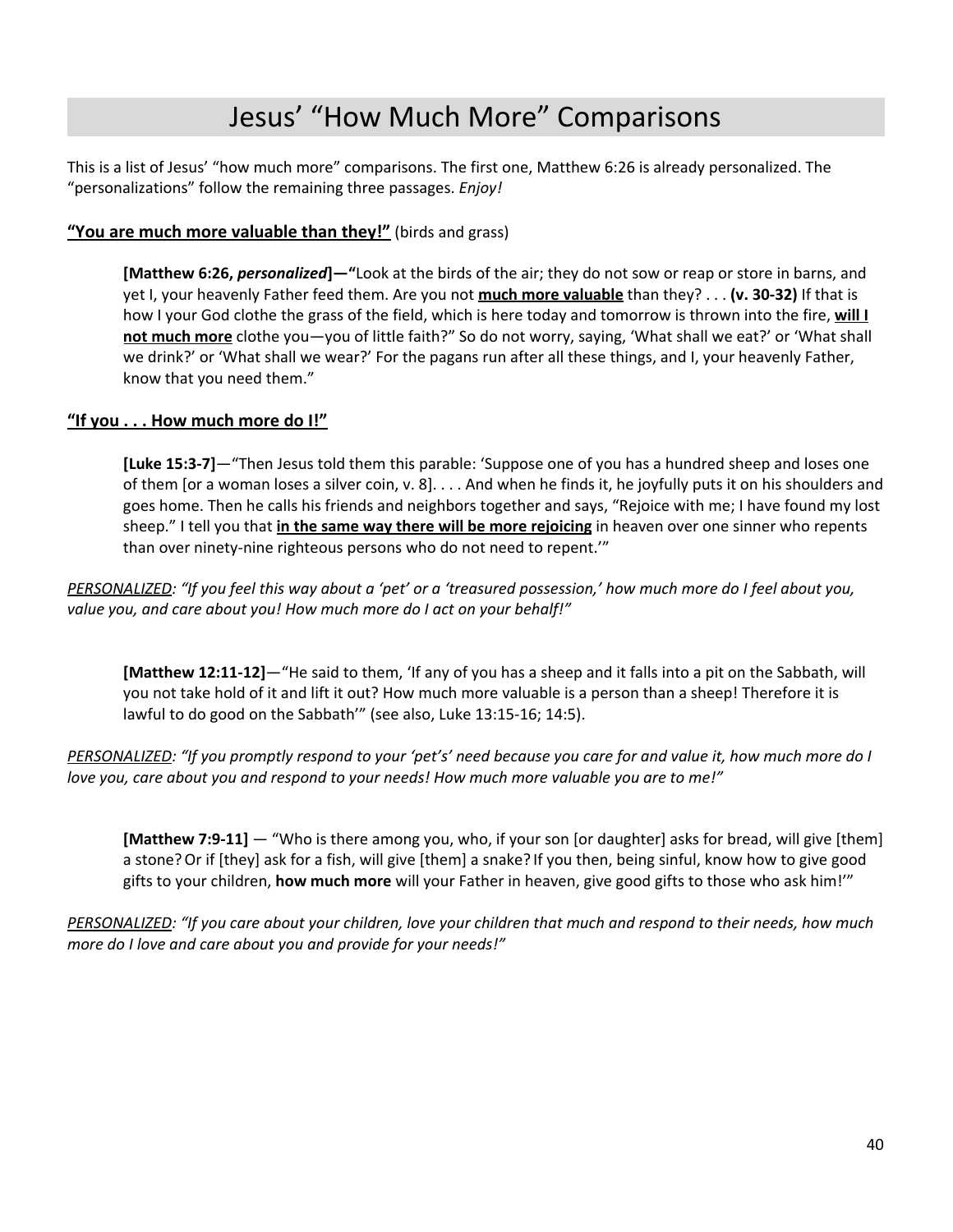# Jesus' "How Much More" Comparisons

This is a list of Jesus' "how much more" comparisons. The first one, Matthew 6:26 is already personalized. The "personalizations" follow the remaining three passages. *Enjoy!*

### **"You are much more valuable than they!"** (birds and grass)

**[Matthew 6:26,** *personalized***]—"**Look at the birds of the air; they do not sow or reap or store in barns, and yet I, your heavenly Father feed them. Are you not **much more valuable** than they? . . . **(v. 30-32)** If that is how I your God clothe the grass of the field, which is here today and tomorrow is thrown into the fire, **will I not much more** clothe you—you of little faith?" So do not worry, saying, 'What shall we eat?' or 'What shall we drink?' or 'What shall we wear?' For the pagans run after all these things, and I, your heavenly Father, know that you need them."

### **"If you . . . How much more do I!"**

**[Luke 15:3-7]**—"Then Jesus told them this parable: 'Suppose one of you has a hundred sheep and loses one of them [or a woman loses a silver coin, v. 8]. . . . And when he finds it, he joyfully puts it on his shoulders and goes home. Then he calls his friends and neighbors together and says, "Rejoice with me; I have found my lost sheep." I tell you that **in the same way there will be more rejoicing** in heaven over one sinner who repents than over ninety-nine righteous persons who do not need to repent.'"

PERSONALIZED: "If you feel this way about a 'pet' or a 'treasured possession,' how much more do I feel about you, *value you, and care about you! How much more do I act on your behalf!"*

**[Matthew 12:11-12]**—"He said to them, 'If any of you has a sheep and it falls into a pit on the Sabbath, will you not take hold of it and lift it out? How much more valuable is a person than a sheep! Therefore it is lawful to do good on the Sabbath'" (see also, Luke 13:15-16; 14:5).

PERSONALIZED: "If you promptly respond to your 'pet's' need because you care for and value it, how much more do I *love you, care about you and respond to your needs! How much more valuable you are to me!"*

**[Matthew 7:9-11]** — "Who is there among you, who, if your son [or daughter] asks for bread, will give [them] a stone?Or if [they] ask for a fish, will give [them] a snake? If you then, being sinful, know how to give good gifts to your children, **how much more** will your Father in heaven, give good gifts to those who ask him!'"

PERSONALIZED: "If you care about your children, love your children that much and respond to their needs, how much *more do I love and care about you and provide for your needs!"*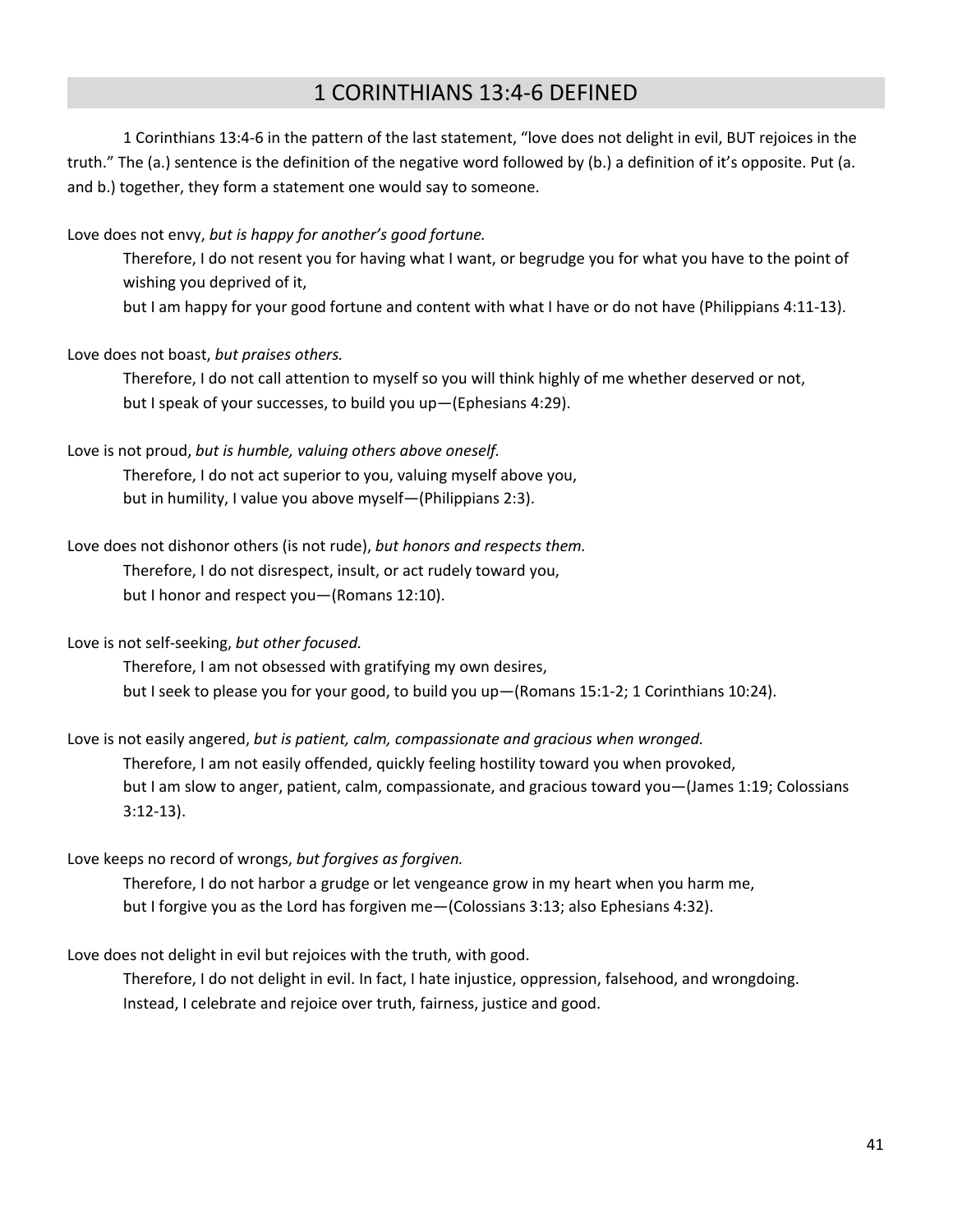### 1 CORINTHIANS 13:4-6 DEFINED

1 Corinthians 13:4-6 in the pattern of the last statement, "love does not delight in evil, BUT rejoices in the truth." The (a.) sentence is the definition of the negative word followed by (b.) a definition of it's opposite. Put (a. and b.) together, they form a statement one would say to someone.

Love does not envy, *but is happy for another's good fortune.*

Therefore, I do not resent you for having what I want, or begrudge you for what you have to the point of wishing you deprived of it,

but I am happy for your good fortune and content with what I have or do not have (Philippians 4:11-13).

### Love does not boast, *but praises others.*

Therefore, I do not call attention to myself so you will think highly of me whether deserved or not, but I speak of your successes, to build you up—(Ephesians 4:29).

#### Love is not proud, *but is humble, valuing others above oneself.*

Therefore, I do not act superior to you, valuing myself above you, but in humility, I value you above myself—(Philippians 2:3).

### Love does not dishonor others (is not rude), *but honors and respects them.*

Therefore, I do not disrespect, insult, or act rudely toward you, but I honor and respect you—(Romans 12:10).

Love is not self-seeking, *but other focused.*

Therefore, I am not obsessed with gratifying my own desires, but I seek to please you for your good, to build you up—(Romans 15:1-2; 1 Corinthians 10:24).

#### Love is not easily angered, *but is patient, calm, compassionate and gracious when wronged.*

Therefore, I am not easily offended, quickly feeling hostility toward you when provoked, but I am slow to anger, patient, calm, compassionate, and gracious toward you—(James 1:19; Colossians 3:12-13).

#### Love keeps no record of wrongs, *but forgives as forgiven.*

Therefore, I do not harbor a grudge or let vengeance grow in my heart when you harm me, but I forgive you as the Lord has forgiven me—(Colossians 3:13; also Ephesians 4:32).

### Love does not delight in evil but rejoices with the truth, with good.

Therefore, I do not delight in evil. In fact, I hate injustice, oppression, falsehood, and wrongdoing. Instead, I celebrate and rejoice over truth, fairness, justice and good.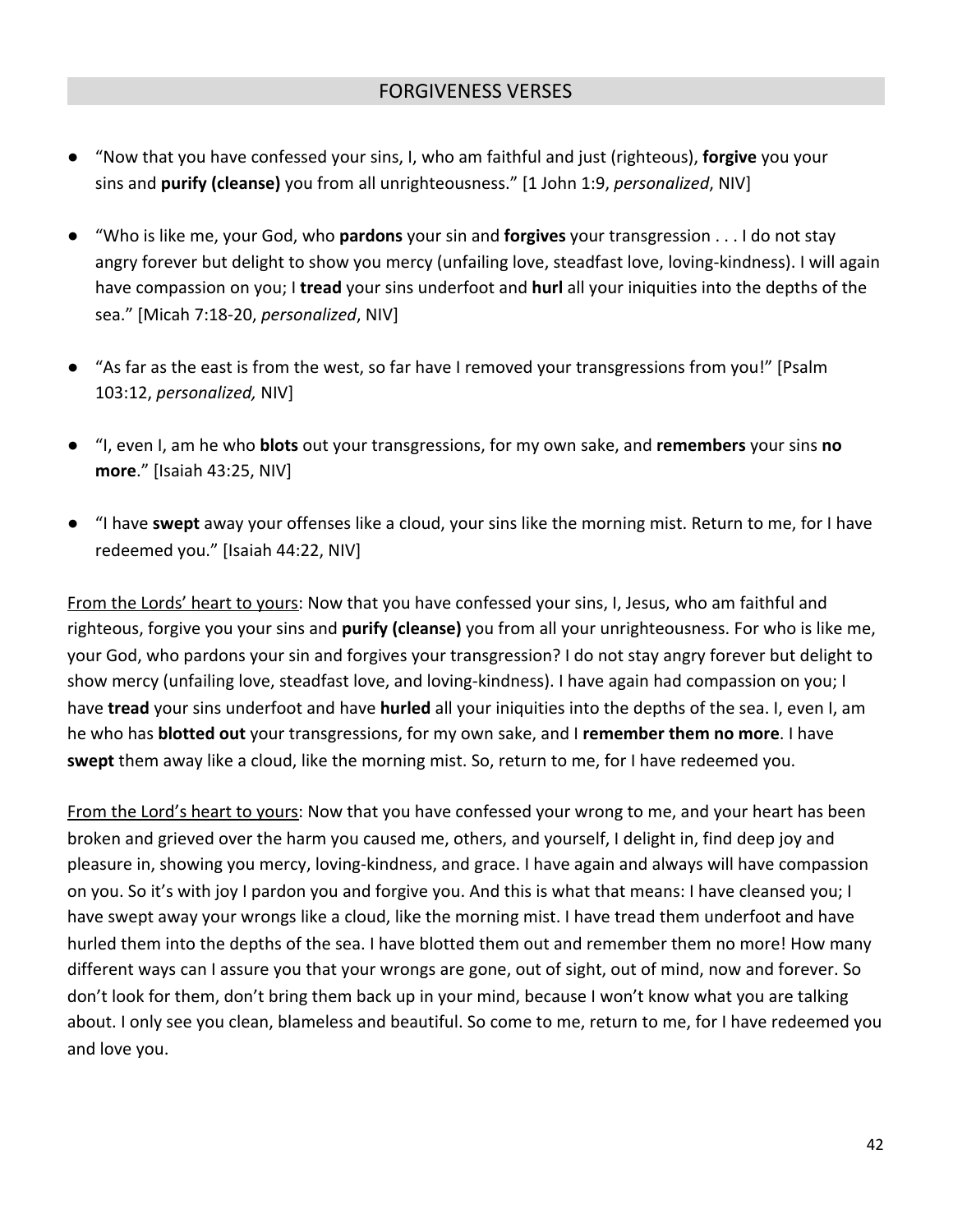- "Now that you have confessed your sins, I, who am faithful and just (righteous), **forgive** you your sins and **purify (cleanse)** you from all unrighteousness." [1 John 1:9, *personalized*, NIV]
- "Who is like me, your God, who **pardons** your sin and **forgives** your transgression . . . I do not stay angry forever but delight to show you mercy (unfailing love, steadfast love, loving-kindness). I will again have compassion on you; I **tread** your sins underfoot and **hurl** all your iniquities into the depths of the sea." [Micah 7:18-20, *personalized*, NIV]
- "As far as the east is from the west, so far have I removed your transgressions from you!" [Psalm 103:12, *personalized,* NIV]
- "I, even I, am he who **blots** out your transgressions, for my own sake, and **remembers** your sins **no more**." [Isaiah 43:25, NIV]
- "I have **swept** away your offenses like a cloud, your sins like the morning mist. Return to me, for I have redeemed you." [Isaiah 44:22, NIV]

From the Lords' heart to yours: Now that you have confessed your sins, I, Jesus, who am faithful and righteous, forgive you your sins and **purify (cleanse)** you from all your unrighteousness. For who is like me, your God, who pardons your sin and forgives your transgression? I do not stay angry forever but delight to show mercy (unfailing love, steadfast love, and loving-kindness). I have again had compassion on you; I have **tread** your sins underfoot and have **hurled** all your iniquities into the depths of the sea. I, even I, am he who has **blotted out** your transgressions, for my own sake, and I **remember them no more**. I have **swept** them away like a cloud, like the morning mist. So, return to me, for I have redeemed you.

From the Lord's heart to yours: Now that you have confessed your wrong to me, and your heart has been broken and grieved over the harm you caused me, others, and yourself, I delight in, find deep joy and pleasure in, showing you mercy, loving-kindness, and grace. I have again and always will have compassion on you. So it's with joy I pardon you and forgive you. And this is what that means: I have cleansed you; I have swept away your wrongs like a cloud, like the morning mist. I have tread them underfoot and have hurled them into the depths of the sea. I have blotted them out and remember them no more! How many different ways can I assure you that your wrongs are gone, out of sight, out of mind, now and forever. So don't look for them, don't bring them back up in your mind, because I won't know what you are talking about. I only see you clean, blameless and beautiful. So come to me, return to me, for I have redeemed you and love you.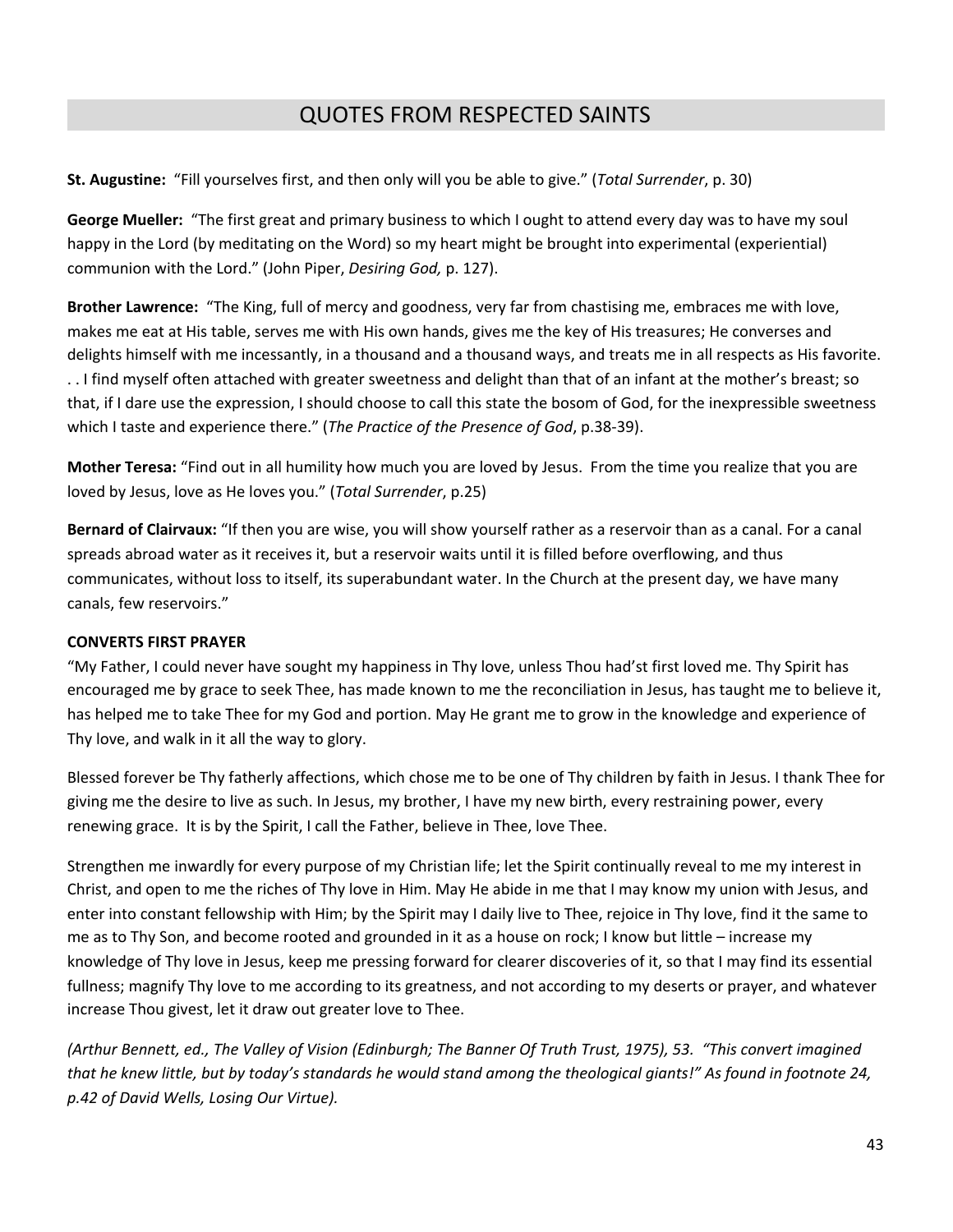# QUOTES FROM RESPECTED SAINTS

**St. Augustine:** "Fill yourselves first, and then only will you be able to give." (*Total Surrender*, p. 30)

**George Mueller:** "The first great and primary business to which I ought to attend every day was to have my soul happy in the Lord (by meditating on the Word) so my heart might be brought into experimental (experiential) communion with the Lord." (John Piper, *Desiring God,* p. 127).

**Brother Lawrence:** "The King, full of mercy and goodness, very far from chastising me, embraces me with love, makes me eat at His table, serves me with His own hands, gives me the key of His treasures; He converses and delights himself with me incessantly, in a thousand and a thousand ways, and treats me in all respects as His favorite. . . I find myself often attached with greater sweetness and delight than that of an infant at the mother's breast; so that, if I dare use the expression, I should choose to call this state the bosom of God, for the inexpressible sweetness which I taste and experience there." (*The Practice of the Presence of God*, p.38-39).

**Mother Teresa:** "Find out in all humility how much you are loved by Jesus. From the time you realize that you are loved by Jesus, love as He loves you." (*Total Surrender*, p.25)

**Bernard of Clairvaux:** "If then you are wise, you will show yourself rather as a reservoir than as a canal. For a canal spreads abroad water as it receives it, but a reservoir waits until it is filled before overflowing, and thus communicates, without loss to itself, its superabundant water. In the Church at the present day, we have many canals, few reservoirs."

### **CONVERTS FIRST PRAYER**

"My Father, I could never have sought my happiness in Thy love, unless Thou had'st first loved me. Thy Spirit has encouraged me by grace to seek Thee, has made known to me the reconciliation in Jesus, has taught me to believe it, has helped me to take Thee for my God and portion. May He grant me to grow in the knowledge and experience of Thy love, and walk in it all the way to glory.

Blessed forever be Thy fatherly affections, which chose me to be one of Thy children by faith in Jesus. I thank Thee for giving me the desire to live as such. In Jesus, my brother, I have my new birth, every restraining power, every renewing grace. It is by the Spirit, I call the Father, believe in Thee, love Thee.

Strengthen me inwardly for every purpose of my Christian life; let the Spirit continually reveal to me my interest in Christ, and open to me the riches of Thy love in Him. May He abide in me that I may know my union with Jesus, and enter into constant fellowship with Him; by the Spirit may I daily live to Thee, rejoice in Thy love, find it the same to me as to Thy Son, and become rooted and grounded in it as a house on rock; I know but little – increase my knowledge of Thy love in Jesus, keep me pressing forward for clearer discoveries of it, so that I may find its essential fullness; magnify Thy love to me according to its greatness, and not according to my deserts or prayer, and whatever increase Thou givest, let it draw out greater love to Thee.

(Arthur Bennett, ed., The Valley of Vision (Edinburgh; The Banner Of Truth Trust, 1975), 53. "This convert imagined that he knew little, but by today's standards he would stand among the theological giants!" As found in footnote 24, *p.42 of David Wells, Losing Our Virtue).*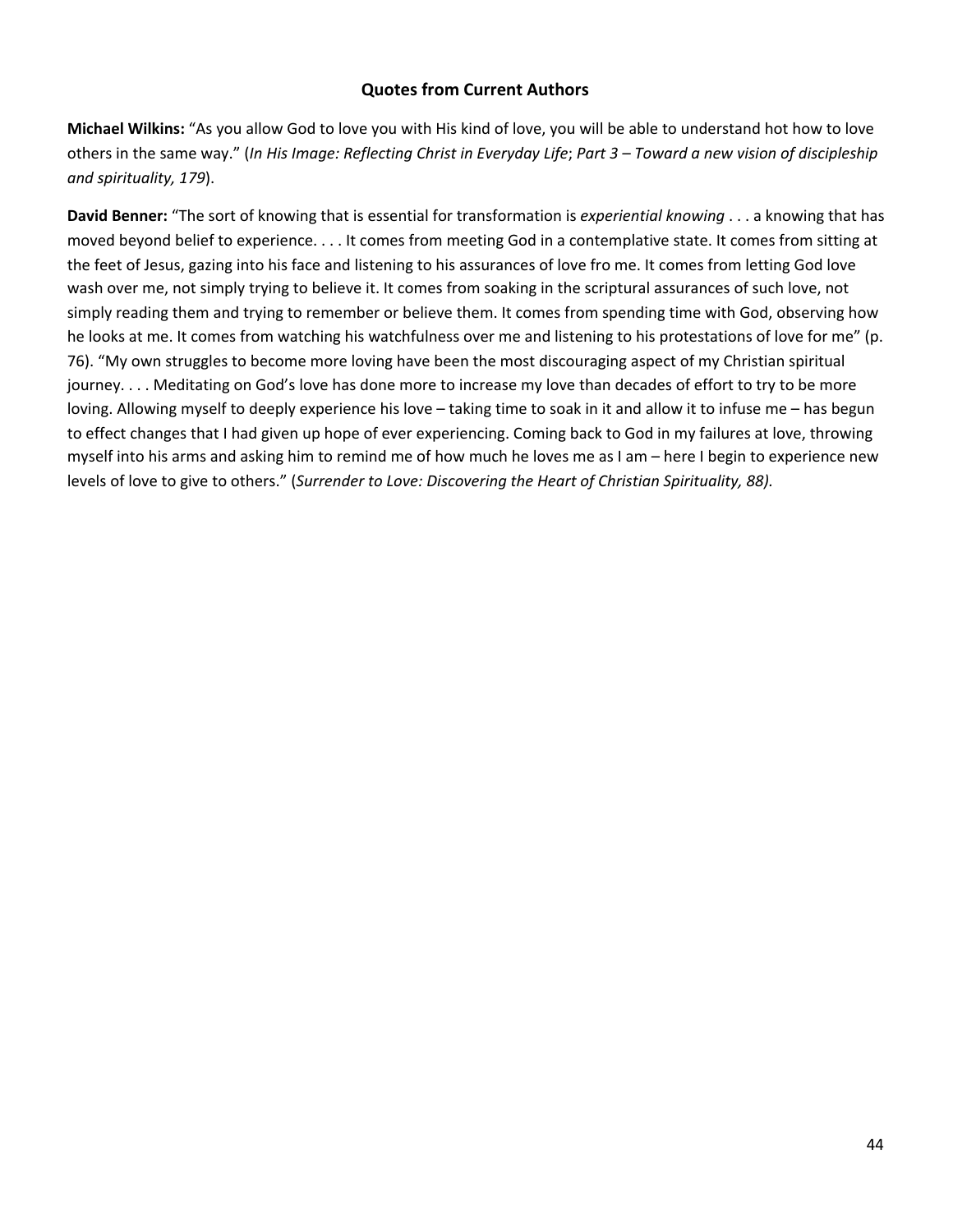### **Quotes from Current Authors**

**Michael Wilkins:** "As you allow God to love you with His kind of love, you will be able to understand hot how to love others in the same way." (In His Image: Reflecting Christ in Everyday Life; Part 3 - Toward a new vision of discipleship *and spirituality, 179*).

**David Benner:** "The sort of knowing that is essential for transformation is *experiential knowing* . . . a knowing that has moved beyond belief to experience. . . . It comes from meeting God in a contemplative state. It comes from sitting at the feet of Jesus, gazing into his face and listening to his assurances of love fro me. It comes from letting God love wash over me, not simply trying to believe it. It comes from soaking in the scriptural assurances of such love, not simply reading them and trying to remember or believe them. It comes from spending time with God, observing how he looks at me. It comes from watching his watchfulness over me and listening to his protestations of love for me" (p. 76). "My own struggles to become more loving have been the most discouraging aspect of my Christian spiritual journey. . . . Meditating on God's love has done more to increase my love than decades of effort to try to be more loving. Allowing myself to deeply experience his love – taking time to soak in it and allow it to infuse me – has begun to effect changes that I had given up hope of ever experiencing. Coming back to God in my failures at love, throwing myself into his arms and asking him to remind me of how much he loves me as I am – here I begin to experience new levels of love to give to others." (*Surrender to Love: Discovering the Heart of Christian Spirituality, 88).*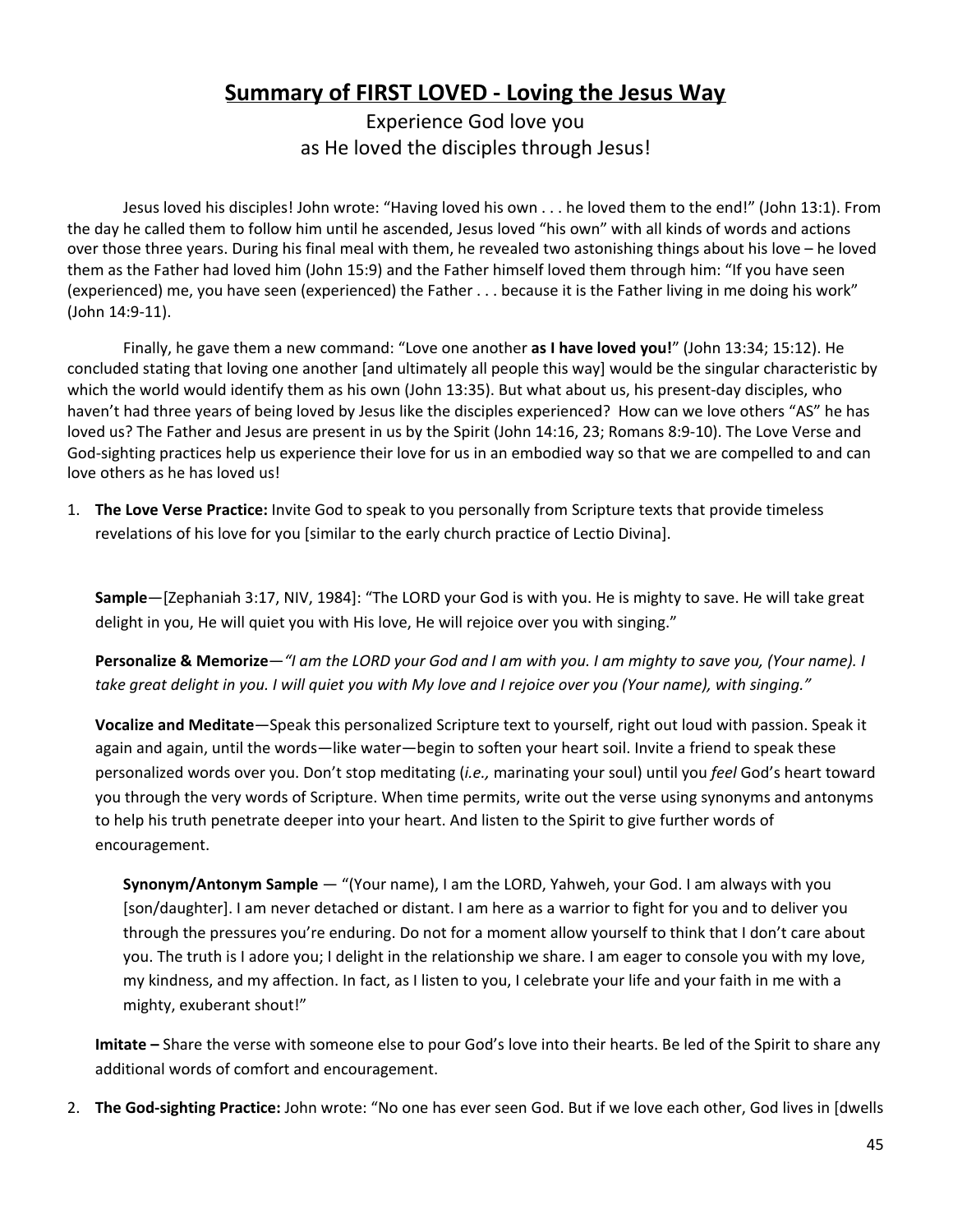# **Summary of FIRST LOVED - Loving the Jesus Way**

Experience God love you as He loved the disciples through Jesus!

Jesus loved his disciples! John wrote: "Having loved his own . . . he loved them to the end!" (John 13:1). From the day he called them to follow him until he ascended, Jesus loved "his own" with all kinds of words and actions over those three years. During his final meal with them, he revealed two astonishing things about his love – he loved them as the Father had loved him (John 15:9) and the Father himself loved them through him: "If you have seen (experienced) me, you have seen (experienced) the Father . . . because it is the Father living in me doing his work" (John 14:9-11).

Finally, he gave them a new command: "Love one another **as I have loved you!**" (John 13:34; 15:12). He concluded stating that loving one another [and ultimately all people this way] would be the singular characteristic by which the world would identify them as his own (John 13:35). But what about us, his present-day disciples, who haven't had three years of being loved by Jesus like the disciples experienced? How can we love others "AS" he has loved us? The Father and Jesus are present in us by the Spirit (John 14:16, 23; Romans 8:9-10). The Love Verse and God-sighting practices help us experience their love for us in an embodied way so that we are compelled to and can love others as he has loved us!

1. **The Love Verse Practice:** Invite God to speak to you personally from Scripture texts that provide timeless revelations of his love for you [similar to the early church practice of Lectio Divina].

**Sample**—[Zephaniah 3:17, NIV, 1984]: "The LORD your God is with you. He is mighty to save. He will take great delight in you, He will quiet you with His love, He will rejoice over you with singing."

Personalize & Memorize-"I am the LORD your God and I am with you. I am mighty to save you, (Your name). I take great delight in you. I will quiet you with My love and I rejoice over you (Your name), with singing."

**Vocalize and Meditate**—Speak this personalized Scripture text to yourself, right out loud with passion. Speak it again and again, until the words—like water—begin to soften your heart soil. Invite a friend to speak these personalized words over you. Don't stop meditating (*i.e.,* marinating your soul) until you *feel* God's heart toward you through the very words of Scripture. When time permits, write out the verse using synonyms and antonyms to help his truth penetrate deeper into your heart. And listen to the Spirit to give further words of encouragement.

**Synonym/Antonym Sample** — "(Your name), I am the LORD, Yahweh, your God. I am always with you [son/daughter]. I am never detached or distant. I am here as a warrior to fight for you and to deliver you through the pressures you're enduring. Do not for a moment allow yourself to think that I don't care about you. The truth is I adore you; I delight in the relationship we share. I am eager to console you with my love, my kindness, and my affection. In fact, as I listen to you, I celebrate your life and your faith in me with a mighty, exuberant shout!"

**Imitate –** Share the verse with someone else to pour God's love into their hearts. Be led of the Spirit to share any additional words of comfort and encouragement.

2. **The God-sighting Practice:** John wrote: "No one has ever seen God. But if we love each other, God lives in [dwells